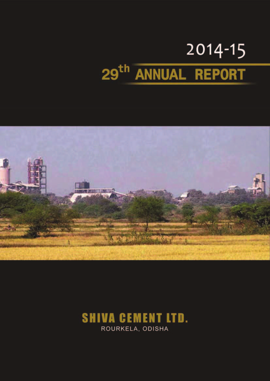# 2014-15 29<sup>th</sup> ANNUAL REPORT



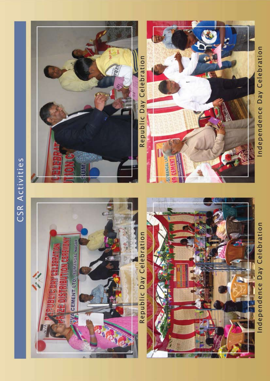# Independence Day Celebration





**4 CEMENT LTD., SUMANGAL NAGAR** 

画

**CSR Activities** 

# Republic Day Celebration

Republic Day Celebration



Independence Day Celebration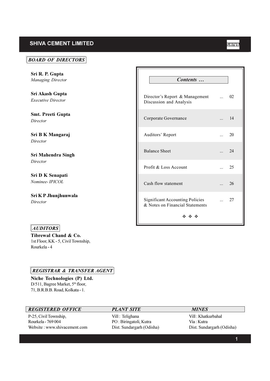# BOARD OF DIRECTORS

Sri R. P. Gupta Managing Director

Sri Akash Gupta Executive Director

Smt. Preeti Gupta Director

Sri B K Mangaraj Director

Sri Mahendra Singh Director

Sri D K Senapati Nominee- IPICOL

Sri K P Jhunjhunwala Director

| Contents                                                                  |          |            |
|---------------------------------------------------------------------------|----------|------------|
|                                                                           |          |            |
| Director's Report & Management<br>Discussion and Analysis                 |          | $\dots$ 02 |
| Corporate Governance                                                      |          | 14         |
| Auditors' Report                                                          |          | 20         |
| <b>Balance Sheet</b>                                                      |          | 24         |
| Profit & Loss Account                                                     | $\cdots$ | 25         |
| Cash flow statement                                                       |          | 26         |
| <b>Significant Accounting Policies</b><br>& Notes on Financial Statements | $\cdots$ | 27         |
| <b>必要要</b>                                                                |          |            |

# **AUDITORS**

Tibrewal Chand & Co. 1st Floor, KK - 5, Civil Township, Rourkela - 4

# REGISTRAR & TRANSFER AGENT

Niche Technologies (P) Ltd. D/511, Bagree Market, 5<sup>th</sup> floor, 71, B.R.B.B. Road, Kolkata - 1.

| <b>REGISTERED OFFICE</b>     | <b>PLANT SITE</b>         | <b>MINES</b>              |
|------------------------------|---------------------------|---------------------------|
| P-25, Civil Township,        | Vill: Telighana           | Vill: Khatkurbahal        |
| Rourkela - 769 004           | PO: Biringatoli, Kutra    | Via : Kutra               |
| Website: www.shivacement.com | Dist. Sundargarh (Odisha) | Dist. Sundargarh (Odisha) |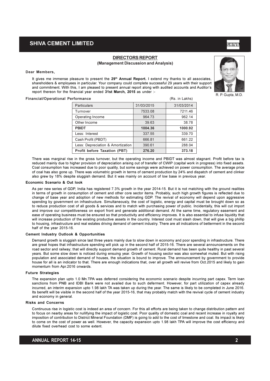### DIRECTORS REPORT (Management Discussion and Analysis)

### Dear Members,

It gives me immense pleasure to present the 29<sup>th</sup> Annual Report. I extend my thanks to all associates, shareholders & employees in particular. Your company could complete successful 29 years with their support and commitment. With this, I am pleased to present annual report along with audited accounts and Auditor's report thereon for the financial year ended 31st March, 2015 as under :-

| <b>Financial/Operational Performance</b> | (Rs. in Lakhs)                    |            |            |
|------------------------------------------|-----------------------------------|------------|------------|
|                                          | Particulars                       | 31/03/2015 | 31/03/2014 |
|                                          | Turnover                          | 7533.08    | 7211.46    |
|                                          | 962.14                            |            |            |
|                                          | Other Income                      | 39.63      | 38.78      |
|                                          | <b>PBIDT</b>                      | 1004.36    | 1000.92    |
|                                          | Less: Interest                    | 337.55     | 339.70     |
|                                          | Cash Profit (PBDT)                | 666.81     | 661.22     |
|                                          | Less: Depreciation & Amortization | 390.61     | 288.04     |
|                                          | Profit before Taxation (PBT)      | 276.20     | 373.18     |

There was marginal rise in the gross turnover, but the operating income and PBIDT was almost stagnant. Profit before tax is reduced mainly due to higher provision of depreciation arising out of transfer of CWIP (capital work in progress) into fixed assets. Coal consumption has increased due to poor quality, but some savings were achieved on power consumption. The average price of coal has also gone up. There was volumetric growth in terms of cement production by 24% and dispatch of cement and clinker also grew by 18% despite sluggish demand. But it was mainly on account of low base in previous year.

### Economic Scenario & Out look

As per new series of GDP, India has registered 7.3% growth in the year 2014-15. But it is not matching with the ground realities in terms of growth in consumption of cement and other core sector items. Probably, such high growth figures is reflected due to change of base year and adoption of new methods for estimating GDP. The revival of economy will depend upon aggressive spending by government on infrastructure. Simultaneously, the cost of logistic, energy and capital must be brought down so as to reduce production cost of all goods & services and to match with purchasing power of public. Incidentally, this will cut import and improve our competitiveness on export front and generate additional demand. At the same time, regulatory easement and ease of operating business must be ensured so that productivity and efficiency improves. It is also essential to infuse liquidity that will increase production of the existing productive assets in the country. Interest cost must slash down, that will give a big phillip to housing, infrastructure and real estates driving demand of cement industry. There are all indications of betterment in the second half of the year 2015-16.

### Cement Industry Outlook & Opportunities

Demand growth is sluggish since last three years mainly due to slow down in economy and poor spending in infrastructure. There are great hopes that infrastructure spending will pick up in the second half of 2015-16. There are several announcements on the road sector and railway; that will directly support demand growth of cement. Rural demand has been quite healthy in past several years. But some slow down is noticed during ensuing year. Growth of housing sector was also somewhat muted. But with rising population and associated demand of houses, the situation is bound to improve. The announcement by government to provide house for all is an indicator to that. There are enough indications that, over all growth will revive from Oct.2015 and likely to gain momentum from Apr.2016 onwards.

### Future Strategies

The expansion plan upto 1.0 Mn.TPA was deferred considering the economic scenario despite incurring part capex. Term loan sanctions from PNB and IDBI Bank were not availed due to such deferment. However, for part utilization of capex already incurred, an interim expansion upto 1.98 lakh TA was taken up during the year. The same is likely to be completed in June 2016. Its benefit will be visible in the second half of the year 2015-16, that may probably match with the revival cycle of cement industry and economy in general.

### Risks and Concerns

Continuous rise in logistic cost is indeed an area of concern. For this all efforts are being taken to change distribution pattern and to focus on nearby areas for nullifying the impact of logistic cost. Poor quality of domestic coal and recent increase in royalty and imposition of contribution to District Mineral Foundation (DMF) is going to add to the cost of limestone and coal. Its impact is likely to come on the cost of power as well. However, the capacity expansion upto 1.98 lakh TPA will improve the cost efficiency and dilute fixed overhead cost to some extent.

### R. P. Gupta, M.D.

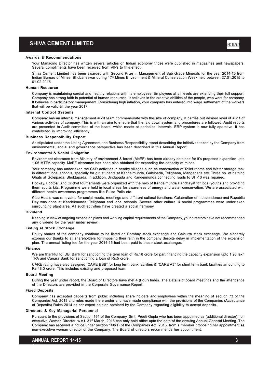### Awards & Recommendations

Your Managing Director has written several articles on Indian economy those were published in magazines and newspapers. Several compliments have been received from VIPs to this effect.

Shiva Cement Limited has been awarded with Second Prize in Management of Sub Grade Minerals for the year 2014-15 from Indian Bureau of Mines, Bhubaneswar during 17<sup>th</sup> Mines Environment & Mineral Conservation Week held between 27.01.2015 to 01.02.2015.

### Human Resource

Company is maintaining cordial and healthy relations with its employees. Employees at all levels are extending their full support. Company has strong faith in potential of human resources. It believes in the creative abilities of the people, who work for company. It believes in participatory management. Considering high inflation, your company has entered into wage settlement of the workers that will be valid till the year 2017.

### Internal Control Systems

Company has an internal management audit team commensurate with the size of company. It carries out desired level of audit of various activities of company. This is with an aim to ensure that the laid down system and procedures are followed. Audit reports are presented to Audit committee of the board, which meets at periodical intervals. ERP system is now fully operative. It has contributed in improving efficiency.

### Business Responsibility Report

As stipulated under the Listing Agreement, the Business Responsibility report describing the initiatives taken by the Company from environmental, social and governance perspective has been described in this Annual Report.

### Environmental & Social Obligation

Environment clearance from Ministry of environment & forest (MoEF) has been already obtained for it's proposed expansion upto 1.05 MTPA capacity. MoEF clearance has been also obtained for expanding the capacity of mines.

Your company has undertaken the CSR activities in nearby villages such as construction of Toilet rooms and Water storage tank in different local schools, specially for girl students at Kandeimunda, Guleipada, Telighana, Mangapada etc. Three no. of bathing Ghats at Goleipada, Bhoktapada. In addition, Jindapada and Kandeimunda connecting roads to SH-10 was repaired.

Hockey, Football and Cricket tournaments were organized with the help of Kandeimunda Panchayat for local youths and providing them sports kits. Programme were held in local areas for awareness of energy and water conservation. We are associated with different health awareness programmes like Pulse Polio etc.

Club House was renovated for social meets, meetings and different cultural functions. Celebration of Independence and Republic Day was done at Kandeimunda, Telighana and local schools. Several other cultural & social programmes were undertaken surrounding plant area. All such activities have created a social harmony.

### Dividend

Keeping in view of ongoing expansion plans and working capital requirements of the Company, your directors have not recommended any dividend for the year under review.

### Listing at Stock Exchange

Equity shares of the company continue to be listed on Bombay stock exchange and Calcutta stock exchange. We sincerely express our thanks to all shareholders for imposing their faith in the company despite delay in implementation of the expansion plan. The annual listing fee for the year 2014-15 had been paid to these stock exchanges.

### Finance

We are thankful to IDBI Bank for sanctioning the term loan of Rs.18 crore for part financing the capacity expansion upto 1.98 lakh TPA and Canara Bank for sanctioning a loan of Rs.5 crore.

CARE rating have also assigned "CARE BBB" for long term bank facilities & "CARE A3" for short term bank facilities amounting to Rs.48.0 crore. This includes existing and proposed loan.

### Board Meeting

During the year under report, the Board of Directors have met 4 (Four) times. The Details of board meetings and the attendance of the Directors are provided in the Corporate Governance Report.

### Fixed Deposits

Company has accepted deposits from public including share holders and employees within the meaning of section 73 of the Companies Act, 2013 and rules made there under and have made compliance with the provisions of the Companies (Acceptance of Deposits) Rules 2014 as per expert opinion obtained by the Company regarding eligibility to accept deposits.

### Directors & Key Managerial Personnel

Pursuant to the provisions of Section 161 of the Company, Smt. Preeti Gupta who has been appointed as (additional director) non executive Woman Director, w.e.f. 31<sup>st</sup> March, 2015 can only hold office upto the date of the ensuing Annual General Meeting. The Company has received a notice under section 160(1) of the Companies Act, 2013, from a member proposing her appointment as non-executive woman director of the Company. The Board of directors recommends her appointment.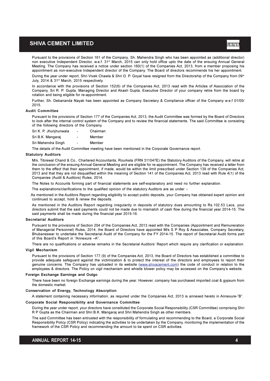Pursuant to the provisions of Section 161 of the Company, Sh. Mahendra Singh who has been appointed as (additional director) non executive Independent Director, w.e.f. 31<sup>st</sup> March, 2015 can only hold office upto the date of the ensuing Annual General Meeting. The Company has received a notice under section 160(1) of the Companies Act, 2013, from a member proposing his appointment as non-executive Independent director of the Company. The Board of directors recommends his her appointment.

During the year under report, Shri Vivek Chawla & Shri O. P. Goyal have resigned from the Directorship of the Company from 09th July, 2014 & 31st March, 2015 respectively.

In accordance with the provisions of Section 152(6) of the Companies Act, 2013 read with the Articles of Association of the Company, Sri R. P. Gupta, Managing Director and Akash Gupta, Executive Director of your company retire from the board by rotation and being eligible for re-appointment.

Further, Sh. Debananda Nayak has been appointed as Company Secretary & Compliance officer of the Company w.e.f 01/05/ 2015.

### Audit Committee

Pursuant to the provisions of Section 177 of the Companies Act, 2013, the Audit Committee was formed by the Board of Directors to look after the internal control system of the Company and to review the financial statements. The said Committee is consisting of the following directors of the Company.

Sri K. P. Jhunjhunwala - Chairman

Sri B.K. Mangaraj - Member

Sri Mahendra Singh - Member

The details of the Audit Committee meeting have been mentioned in the Corporate Governance report.

### Statutory Auditors

M/s. Tibrewal Chand & Co., Chartered Accountants, Rourkela (FRN 311047E) the Statutory Auditors of the Company, will retire at the conclusion of the ensuing Annual General Meeting and are eligible for re-appointment. The Company has received a letter from them to the effect that their appointment, if made, would be within the limit prescribed under Section 139 of the Companies Act, 2013 and that they are not disqualified within the meaning of Section 141 of the Companies Act, 2013 read with Rule 4(1) of the Companies (Audit & Auditors) Rules, 2014.

The Notes to Accounts forming part of financial statements are self-explanatory and need no further explanation.

The explanations/clarifications to the qualified opinion of the statutory Auditors are as under :-

 As mentioned in the Auditors Report regarding eligibility to accept public deposits, your Company has obtained expert opinion and continued to accept, hold & renew the deposits.

As mentioned in the Auditors Report regarding irregularity in deposits of statutory dues amounting to Rs.102.53 Lacs, your directors submit that the said payments could not be made due to mismatch of cash flow during the financial year 2014-15. The said payments shall be made during the financial year 2015-16.

### Secretarial Auditors

Pursuant to the provisions of Section 204 of the Companies Act, 2013 read with the Companies (Appointment and Remuneration of Managerial Personnel) Rules, 2014, the Board of Directors have appointed M/s S P Roy & Associates, Company Secretary, Bhubaneswar to undertake the Secretarial Audit of the Company for the FY 2014-15. The report of Secretarial Audit forms part of this Board's Report in "Annexure –A".

There are no qualifications or adverse remarks in the Secretarial Auditors' Report which require any clarification or explanation.

### Vigil Mechanism

Pursuant to the provisions of Section 177 (9) of the Companies Act, 2013, the Board of Directors has established a committee to provide adequate safeguard against the victimization & to protect the interest of the directors and employees to report their genuine concerns. The Company has uploaded in its website (www.shivacement.com) the code of conduct in relation to the employees & directors. The Policy on vigil mechanism and whistle blower policy may be accessed on the Company's website.

### Foreign Exchange Earnings and Outgo

There have been no foreign Exchange earnings during the year. However, company has purchased imported coal & gypsum from the domestic market.

### Conservation of Energy, Technology Absorption

A statement containing necessary information, as required under the Companies Act, 2013 is annexed hereto in Annexure-"B".

### Corporate Social Responsibility and Governance Committee

During the year under report, your directors have constituted the Corporate Social Responsibility (CSR Committee) comprising Shri R P Gupta as the Chairman and Shri B.K. Mangaraj and Shri Mahendra Singh as other members.

The said Committee has been entrusted with the responsibility of formulating and recommending to the Board, a Corporate Social Responsibility Policy (CSR Policy) indicating the activities to be undertaken by the Company, monitoring the implementation of the framework of the CSR Policy and recommending the amount to be spent on CSR activities.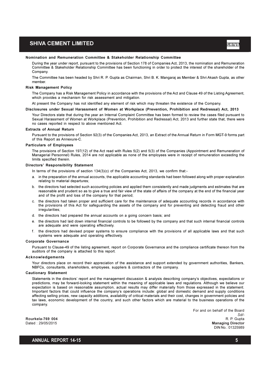### Nomination and Remuneration Committee & Stakeholder Relationship Committee

During the year under report, pursuant to the provisions of Section 178 of Companies Act, 2013, the nomination and Remuneration Committee & Stakeholder Relationship Committee has been functioning in order to protect the interest of the shareholder of the Company.

The Committee has been headed by Shri R. P. Gupta as Chairman, Shri B. K. Mangaraj as Member & Shri Akash Gupta, as other member.

### Risk Management Policy

The Company has a Risk Management Policy in accordance with the provisions of the Act and Clause 49 of the Listing Agreement, which provides a mechanism for risk assessment and mitigation.

At present the Company has not identified any element of risk which may threaten the existence of the Company.

### Disclosures under Sexual Harassment of Women at Workplace (Prevention, Prohibition and Redressal) Act, 2013

Your Directors state that during the year an Internal Complaint Committee has been formed to review the cases filed pursuant to Sexual Harassment of Women at Workplace (Prevention, Prohibition and Redressal) Act, 2013 and further state that, there were no cases reported in respect to above mentioned Act.

### Extracts of Annual Return

Pursuant to the provisions of Section 92(3) of the Companies Act, 2013, an Extract of the Annual Return in Form MGT-9 forms part of this Report as Annexure-C.

### Particulars of Employees

The provisions of Section 197(12) of the Act read with Rules 5(2) and 5(3) of the Companies (Appointment and Remuneration of Managerial Personnel) Rules, 2014 are not applicable as none of the employees were in receipt of remuneration exceeding the limits specified therein.

### Directors' Responsibility Statement

In terms of the provisions of section 134(3)(c) of the Companies Act, 2013, we confirm that:-

- a. in the preparation of the annual accounts, the applicable accounting standards had been followed along with proper explanation relating to material departures;
- b. the directors had selected such accounting policies and applied them consistently and made judgments and estimates that are reasonable and prudent so as to give a true and fair view of the state of affairs of the company at the end of the financial year and of the profit and loss of the company for that period;
- c. the directors had taken proper and sufficient care for the maintenance of adequate accounting records in accordance with the provisions of this Act for safeguarding the assets of the company and for preventing and detecting fraud and other irregularities:
- d. the directors had prepared the annual accounts on a going concern basis; and
- e. the directors had laid down internal financial controls to be followed by the company and that such internal financial controls are adequate and were operating effectively.
- f. the directors had devised proper systems to ensure compliance with the provisions of all applicable laws and that such systems were adequate and operating effectively.

### Corporate Governance

Pursuant to Clause-49 of the listing agreement, report on Corporate Governance and the compliance certificate thereon from the auditors of the company is attached to this report.

### Acknowledgements

Your directors place on record their appreciation of the assistance and support extended by government authorities, Bankers, NBFCs, consultants, shareholders, employees, suppliers & contractors of the company.

### Cautionary Statement

Statements in the directors' report and the management discussion & analysis describing company's objectives, expectations or predictions, may be forward-looking statement within the meaning of applicable laws and regulations. Although we believe our expectation is based on reasonable assumption, actual results may differ materially from those expressed in the statement. Important factors that could influence the company's operations include: global and domestic demand and supply conditions affecting selling prices, new capacity additions, availability of critical materials and their cost, changes in government policies and tax laws, economic development of the country, and such other factors which are material to the business operations of the company.

Rourkela-769 004

 For and on behalf of the Board Sd/-<br>R. P. Gupta Dated : 29/05/2015 Managing Director DIN No.: 01325989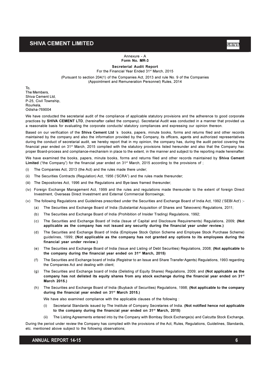

Annexure - A Form No. MR-3

Secreterial Audit Report For the Financial Year Ended 31st March, 2015

(Pursuant to section 204(1) of the Companies Act, 2013 and rule No. 9 of the Companies (Appointment and Remuneration Personnel) Rules, 2014

To, The Members, Shiva Cement Ltd, P-25, Civil Township, Rourkela, Odisha-769004

We have conducted the secretarial audit of the compliance of applicable statutory provisions and the adherence to good corporate practices by SHIVA CEMENT LTD, (hereinafter called the company). Secretarial Audit was conducted in a manner that provided us a reasonable basis for evaluating the corporate conducts/ statutory compliances and expressing our opinion thereon.

Based on our verification of the Shiva Cement Ltd 's books, papers, minute books, forms and returns filed and other records maintained by the company and also the information provided by the Company, its officers, agents and authorized representatives during the conduct of secretarial audit, we hereby report that in my opinion, the company has, during the audit period covering the financial year ended on 31st March, 2015 complied with the statutory provisions listed hereunder and also that the Company has proper Board-process and compliance-mechanism in place to the extent, in the manner and subject to the reporting made hereinafter.

We have examined the books, papers, minute books, forms and returns filed and other records maintained by Shiva Cement Limited ("the Company") for the financial year ended on 31<sup>st</sup> March, 2015 according to the provisions of ;

- (i) The Companies Act, 2013 (the Act) and the rules made there under;
- (ii) The Securities Contracts (Regulation) Act, 1956 ('SCRA") and the rules made thereunder;
- (iii) The Depositories Act, 1996 and the Regulations and Bye-laws framed thereunder;
- (iv) Foreign Exchange Management Act, 1999 and the rules and regulations made thereunder to the extent of foreign Direct Investment, Overseas Direct Investment and External Commercial Borrowings;
- (v) The following Regulations and Guidelines prescribed under the Securities and Exchange Board of India Act, 1992 ('SEBI Act') :-
	- (a) The Securities and Exchange Board of India (Substantial Acquisition of Shares and Takeovers) Regulations, 2011;
	- (b) The Securities and Exchange Board of India (Prohibition of Insider Trading) Regulations, 1992;
	- (c) The Securities and Exchange Board of India (Issue of Capital and Disclosure Requirements) Regulations, 2009; (Not applicable as the company has not issued any security during the financial year under review.)
	- (d) The Securities and Exchange Board of India (Employee Stock Option Scheme and Employee Stock Purchase Scheme) guidelines, 1999; (Not applicable as the company has not granted any options to its employees during the financial year under review.)
	- (e) The Securities and Exchange Board of India (Issue and Listing of Debt Securities) Regulations, 2008; (Not applicable to the company during the financial year ended on 31st March, 2015)
	- (f) The Securities and Exchange board of India (Registrar to an Issue and Share Transfer Agents) Regulations, 1993 regarding the Companies Act and dealing with client;
	- (g) The Securities and Exchange board of India (Delisting of Equity Shares) Regulations, 2009; and (Not applicable as the company has not delisted its equity shares from any stock exchange during the financial year ended on 31<sup>st</sup> March 2015.)
	- (h) The Securities and Exchange Board of India (Buyback of Securities) Regulations, 1998; (Not applicable to the company during the financial year ended on 31<sup>st</sup> March 2015.)

We have also examined compliance with the applicable clauses of the following :

- (i) Secretarial Standards issued by The Institute of Company Secretaries of India. (Not notified hence not applicable to the company during the financial year ended on 31<sup>st</sup> March, 2015)
- The Listing Agreements entered into by the Company with Bombay Stock Exchange(s) and Calcutta Stock Exchange,

During the period under review the Company has complied with the provisions of the Act, Rules, Regulations, Guidelines, Standards, etc. mentioned above subject to the following observations;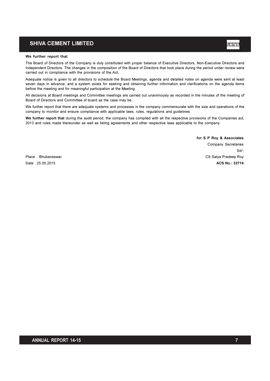### We further report that

The Board of Directors of the Company is duly constituted with proper balance of Executive Directors, Non-Executive Directors and Independent Directors. The changes in the composition of the Board of Directors that took place during the period under review were carried out in compliance with the provisions of the Act,

Adequate notice is given to all directors to schedule the Board Meetings, agenda and detailed notes on agenda were sent at least seven days in advance, and a system exists for seeking and obtaining further information and clarifications on the agenda items before the meeting and for meaningful participation at the Meeting.

All decisions at Board meetings and Committee meetings are carried out unanimously as recorded in the minutes of the meeting of Board of Directors and Committee of board as the case may be.

We further report that there are adequate systems and processes in the company commensurate with the size and operations of the company to monitor and ensure compliance with applicable laws, rules, regulations and guidelines.

We further report that during the audit period, the company has complied with all the respective provisions of the Companies act. 2013 and rules made thereunder as well as listing agreements and other respective laws applicable to the company.

for S P Roy & Associates Company Secretaries Sd/- Place : Bhubaneswar CS Satya Pradeep Roy Date : 25.05.2015 ACS No.: 32714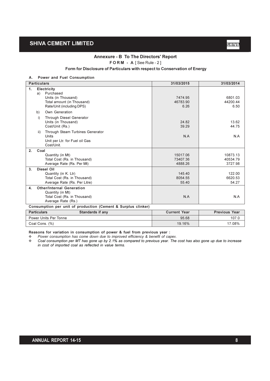# Annexure - B To The Directors' Report

FORM - A [ See Rule - 2 ]

### Form for Disclosure of Particulars with respect to Conservation of Energy

# A. Power and Fuel Consumption

| <b>Particulars</b> |                                                                                                         | 31/03/2015                      | 31/03/2014                      |
|--------------------|---------------------------------------------------------------------------------------------------------|---------------------------------|---------------------------------|
| 1.                 | <b>Electricity</b><br>Purchased<br>a)                                                                   |                                 |                                 |
|                    | Units (in Thousand)<br>Total amount (in Thousand)<br>Rate/Unit (including DPS)                          | 7474.95<br>46783.90<br>6.26     | 6801.03<br>44200.44<br>6.50     |
| b)                 | Own Generation                                                                                          |                                 |                                 |
| i)                 | <b>Through Diesel Generator</b><br>Units (in Thousand)<br>Cost/Unit (Rs.)                               | 24.82<br>39.29                  | 13.62<br>44.75                  |
|                    | Through Steam Turbines Generator<br>ii)<br><b>Units</b><br>Unit per Ltr. for Fuel oil Gas<br>Cost/Unit. | N.A                             | N.A                             |
| 2 <sub>1</sub>     | Coal                                                                                                    |                                 |                                 |
|                    | Quantity (in Mt)<br>Total Cost (Rs. in Thousand)<br>Average Rate (Rs. Per Mt)                           | 15017.06<br>73407.36<br>4888.26 | 10873.13<br>40534.79<br>3727.98 |
| 3.                 | Diesel Oil                                                                                              |                                 |                                 |
|                    | Quantity (in K. Ltr)<br>Total Cost (Rs. in Thousand)<br>Average Rate (Rs. Per Litre)                    | 145.40<br>8054.55<br>55.40      | 122.00<br>6620.53<br>54.27      |
| 4.                 | <b>Other/Internal Generation</b>                                                                        |                                 |                                 |
|                    | Quantity (in Mt)<br>Total Cost (Rs. in Thousand)<br>Average Rate (Rs.)                                  | N.A                             | N.A                             |
|                    | Consumption per unit of production (Cement & Surplus clinker)                                           |                                 |                                 |
| <b>Particulars</b> | <b>Standards if any</b>                                                                                 | <b>Current Year</b>             | <b>Previous Year</b>            |

Power Units Per Tonne 107.0 Coal Cons. (%) 19.16% 17.08%

Reasons for variation in consumption of power & fuel from previous year :<br> $\div$  Power consumption has come down due to improved efficiency & benefit of car

❖ Power consumption has come down due to improved efficiency & benefit of capex.

Coal consumption per MT has gone up by 2.1% as compared to previous year. The cost has also gone up due to increase in cost of imported coal as reflected in value terms.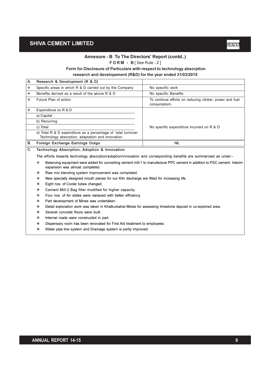### Annexure - B To The Directors' Report (contd..)

FORM - B [See Rule - 2]

Form for Disclosure of Particulars with respect to technology absorption

research and developement (R&D) for the year ended 31/03/2015

| А.             |          | Research & Development (R & D)                                                                                     |                                                                                                                          |
|----------------|----------|--------------------------------------------------------------------------------------------------------------------|--------------------------------------------------------------------------------------------------------------------------|
| ÷              |          | Specific areas in which $R \& D$ carried out by the Company                                                        | No specific work                                                                                                         |
| ÷              |          | Benefits derived as a result of the above $R & D$                                                                  | No specific Benefits                                                                                                     |
| ÷              |          | Future Plan of action                                                                                              | To continue efforts on reducing clinker, power and fuel<br>consumptiom.                                                  |
| ÷              |          | Expenditure on R & D                                                                                               |                                                                                                                          |
|                |          | a) Capital                                                                                                         |                                                                                                                          |
|                |          | b) Recurring                                                                                                       |                                                                                                                          |
|                | c) Total |                                                                                                                    | No specific expenditure incurred on R & D                                                                                |
|                |          | d) Total R & D expenditure as a percentage of total turnover<br>Technology absorption, adaptation and innovation   |                                                                                                                          |
| <b>B.</b>      |          | Foreign Exchange Earnings Outgo                                                                                    | <b>NIL</b>                                                                                                               |
| $\mathbf{C}$ . |          | Technology Absorption, Adoption & Innovation                                                                       |                                                                                                                          |
|                |          | The efforts towards technology absorption/adoption/innovation and corresponding benefits are summarized as under:- |                                                                                                                          |
|                | ÷        | expansion was almost completed.                                                                                    | Balancing equipment were added for converting cement mill-1 to manufacture PPC cement in addition to PSC cement. Interim |
|                | ❖        | Raw mix blending system improvement was completed.                                                                 |                                                                                                                          |
|                | ❖        | New specially designed mouth pieces for our Kiln discharge are fitted for increasing life.                         |                                                                                                                          |
|                | ٠        | Eight nos. of Cooler tubes changed.                                                                                |                                                                                                                          |
|                | ٠        | Cement Mill-2 Bag filter modified for higher capacity.                                                             |                                                                                                                          |
|                | ٠        | Four nos. of Air slides were replaced with better efficiency.                                                      |                                                                                                                          |
|                | ٠        | Part development of Mines was undertaken.                                                                          |                                                                                                                          |
|                | ٠        | Detail exploration work was taken in Khatkurbahal Mines for assessing limestone deposit in un-explored area.       |                                                                                                                          |
|                | ٠        | Several concrete floors were built.                                                                                |                                                                                                                          |
|                |          |                                                                                                                    |                                                                                                                          |
|                | ٠        | Internal roads were constructed in part.                                                                           |                                                                                                                          |

\* Dispensary room has been renovated for First Aid treatment to employees.

\* Water pipe line system and Drainage system is partly improved.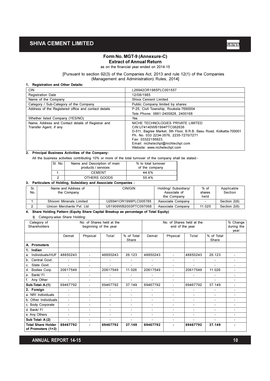# Form No. MGT-9 (Annexure-C) Extract of Annual Return

as on the financial year ended on 2014-15

[Pursuant to section 92(3) of the Companies Act, 2013 and rule 12(1) of the Companies (Management and Administration) Rules, 2014]

### 1. Registration and Other Details:

| <b>CIN</b>                                                                   | L26942OR1985PLC001557                                                                                                                                                                                                                    |
|------------------------------------------------------------------------------|------------------------------------------------------------------------------------------------------------------------------------------------------------------------------------------------------------------------------------------|
| <b>Registration Date</b>                                                     | 12/08/1985                                                                                                                                                                                                                               |
| Name of the Company                                                          | Shiva Cement Limited                                                                                                                                                                                                                     |
| Category / Sub-Category of the Company                                       | Public Company limited by shares                                                                                                                                                                                                         |
| Address of the Registered office and contact details                         | P-25, Civil Township, Roukela-7690004                                                                                                                                                                                                    |
|                                                                              | Tele Phone: 0661-2400828, 2400168                                                                                                                                                                                                        |
| Whether listed Company (YES/NO)                                              | Yes                                                                                                                                                                                                                                      |
| Name, Address and Contact details of Registrar and<br>Transfer Agent, if any | NICHE TECHNOLOGIES PRIVATE LIMITED<br>CIN:U74140WB1994PTC062636<br>D-511, Bagree Market, 5th Floor, B.R.B. Basu Road, Kolkatta-700001<br>Ph. No. 033 2234-3576, 2235-7270/7271<br>Fax: 03322156823.<br>Email: nichetechpl@nichtechpl.com |
|                                                                              | Website: www.nichetechpl.com                                                                                                                                                                                                             |

### 2. Principal Business Activities of the Company:

All the business activities contributing 10% or more of the total turnover of the company shall be stated:-

| SI. No. | Name and Description of main<br>products / services | % to total turnover<br>of the company |
|---------|-----------------------------------------------------|---------------------------------------|
|         | <b>CEMENT</b>                                       | 44.6%                                 |
|         | OTHERS GOODS                                        | 55.4%                                 |
|         |                                                     |                                       |

### 3. Particulars of Holding, Subsidiary and Associate Companies -

| Sr.<br>No. | Name and Address of<br>the Company | CIN/GIN               | Holding/ Subsidiary/<br>Associate of<br>the Company | % of<br>shares<br>held   | Applicable<br>Section |
|------------|------------------------------------|-----------------------|-----------------------------------------------------|--------------------------|-----------------------|
|            | Shivom Minerals Limited            | U26941OR1999PLC005785 | Associate Company                                   | $\overline{\phantom{a}}$ | Section 2(6)          |
| <u>.</u>   | Unicon Merchants Pyt. Ltd.         | U51909WB2003PTC097068 | Associate Company                                   | 11.025                   | Section 2(6)          |

### 4. Share Holding Pattern (Equity Share Capital Breakup as percentage of Total Equity)

i) Category-wise Share Holding:

| Category of<br>Shareholders                     | No. of Shares held at the<br>No. of Shares held at the<br>beginning of the year<br>end of the year |                          |                          |                          | % Change<br>during the<br>year |                          |                          |                          |                          |
|-------------------------------------------------|----------------------------------------------------------------------------------------------------|--------------------------|--------------------------|--------------------------|--------------------------------|--------------------------|--------------------------|--------------------------|--------------------------|
|                                                 | Demat                                                                                              | Physical                 | Total                    | % of Total<br>Share      | Demat                          | Physical                 | Total                    | % of Total<br>Share      |                          |
| A. Promoters                                    |                                                                                                    |                          |                          |                          |                                |                          |                          |                          |                          |
| 1. Indian                                       |                                                                                                    |                          |                          |                          |                                |                          |                          |                          |                          |
| a. Individuals/HUF                              | 48850243                                                                                           |                          | 48850243                 | 26.123                   | 48850243                       | $\overline{\phantom{0}}$ | 48850243                 | 26.123                   |                          |
| b. Central Govt.                                |                                                                                                    |                          |                          |                          |                                | -                        |                          | $\overline{\phantom{a}}$ | $\overline{\phantom{a}}$ |
| c. State Govt.                                  | $\overline{\phantom{a}}$                                                                           |                          | $\overline{\phantom{a}}$ | $\blacksquare$           | $\overline{\phantom{a}}$       | $\overline{\phantom{0}}$ | $\overline{\phantom{a}}$ | ÷                        | $\overline{\phantom{a}}$ |
| d. Bodies Corp.                                 | 20617549                                                                                           |                          | 20617549                 | 11.026                   | 20617549                       | ÷.                       | 20617549                 | 11.026                   |                          |
| e. Bank/FI                                      |                                                                                                    |                          | $\overline{\phantom{a}}$ |                          |                                | $\overline{\phantom{0}}$ |                          | $\overline{\phantom{a}}$ | $\overline{\phantom{a}}$ |
| f. Any Other                                    | $\blacksquare$                                                                                     | $\overline{\phantom{a}}$ | $\overline{\phantom{a}}$ | $\overline{\phantom{a}}$ | $\overline{\phantom{a}}$       | ۰                        |                          | ۰                        | $\overline{\phantom{a}}$ |
| Sub-Total-A-(1)                                 | 69467792                                                                                           | $\blacksquare$           | 69467792                 | 37.149                   | 69467792                       | ÷.                       | 69467792                 | 37.149                   | $\overline{a}$           |
| 2. Foreign                                      |                                                                                                    |                          | $\overline{\phantom{a}}$ |                          |                                | -                        |                          | ٠                        |                          |
| a. NRI Individuals                              | $\overline{\phantom{a}}$                                                                           | $\overline{\phantom{0}}$ | $\overline{\phantom{a}}$ | $\overline{\phantom{0}}$ | $\overline{\phantom{a}}$       | -                        | $\overline{\phantom{a}}$ | Ξ.                       | $\overline{\phantom{a}}$ |
| b. Other Individuals                            | $\sim$                                                                                             |                          | $\overline{\phantom{a}}$ | $\overline{a}$           | $\overline{\phantom{a}}$       | $\overline{\phantom{0}}$ | $\overline{\phantom{a}}$ | ۰                        | $\overline{\phantom{a}}$ |
| c. Body Corporate                               | $\overline{\phantom{a}}$                                                                           |                          | $\overline{\phantom{a}}$ | $\overline{\phantom{0}}$ | $\sim$                         | $\overline{\phantom{0}}$ | $\overline{\phantom{a}}$ | Ξ.                       | $\overline{\phantom{0}}$ |
| d. Bank/ FI                                     | $\overline{\phantom{a}}$                                                                           | $\overline{\phantom{0}}$ | $\overline{\phantom{a}}$ | $\overline{\phantom{0}}$ | $\overline{\phantom{a}}$       | ٠                        | $\overline{\phantom{a}}$ | ٠                        | $\overline{\phantom{a}}$ |
| e. Any Others                                   | $\overline{\phantom{a}}$                                                                           |                          | $\overline{\phantom{a}}$ | $\blacksquare$           | $\sim$                         | $\overline{\phantom{0}}$ | $\sim$                   | ٠                        | $\overline{\phantom{a}}$ |
| Sub Total-A(2)                                  |                                                                                                    |                          |                          |                          |                                | $\overline{\phantom{0}}$ |                          | ۰                        |                          |
| <b>Total Share Holder</b><br>of Promoters (1+2) | 69467792                                                                                           |                          | 69467792                 | 37.149                   | 69467792                       | ٠                        | 69467792                 | 37.149                   | $\blacksquare$           |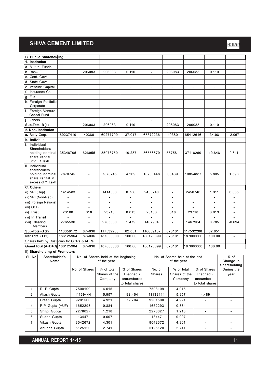# **SHIVA**

| <b>B. Public Shareholding</b>                                                              |                          |                          |                          |                          |                          |                          |                          |                              |                          |
|--------------------------------------------------------------------------------------------|--------------------------|--------------------------|--------------------------|--------------------------|--------------------------|--------------------------|--------------------------|------------------------------|--------------------------|
| 1. Institution                                                                             |                          |                          |                          |                          |                          |                          |                          |                              |                          |
| a. Mutual Funds                                                                            | $\overline{a}$           | $\overline{a}$           | $\overline{a}$           | $\overline{\phantom{a}}$ | $\equiv$                 | L.                       | $\mathbf{r}$             | $\equiv$                     | $\blacksquare$           |
| b. Bank/ FI                                                                                | $\blacksquare$           | 206083                   | 206083                   | 0.110                    | $\blacksquare$           | 206083                   | 206083                   | 0.110                        | $\mathbf{r}$             |
| c. Cent. Govt.                                                                             | $\overline{\phantom{a}}$ | ÷,                       | $\frac{1}{2}$            | $\overline{\phantom{a}}$ | $\overline{\phantom{a}}$ | $\blacksquare$           | ÷,                       | ÷,                           | $\overline{\phantom{a}}$ |
| d. State Govt.                                                                             | $\blacksquare$           | $\overline{\phantom{a}}$ | $\frac{1}{2}$            | $\overline{\phantom{a}}$ | $\bar{\phantom{a}}$      | $\overline{\phantom{a}}$ | $\blacksquare$           | $\overline{\phantom{a}}$     | $\blacksquare$           |
| e. Venture Capital                                                                         | $\overline{\phantom{a}}$ | $\overline{\phantom{a}}$ | $\overline{\phantom{0}}$ | $\overline{\phantom{a}}$ | $\overline{\phantom{a}}$ | $\overline{\phantom{a}}$ | $\overline{\phantom{a}}$ | $\overline{\phantom{a}}$     | $\overline{\phantom{a}}$ |
| f. Insurance Co.                                                                           | $\overline{\phantom{a}}$ | $\overline{\phantom{a}}$ | $\overline{a}$           | $\overline{\phantom{a}}$ | $\mathbf{r}$             | $\overline{a}$           |                          | ä,                           |                          |
| g. Flls                                                                                    | $\blacksquare$           | ÷.                       | $\blacksquare$           | $\blacksquare$           | $\blacksquare$           | $\blacksquare$           | $\blacksquare$           | ÷                            | $\blacksquare$           |
| h. Foreign Portfolio<br>Corporate                                                          | $\blacksquare$           | ä,                       | $\overline{\phantom{a}}$ | $\overline{a}$           | ÷,                       | $\overline{a}$           | ä,                       | ÷                            |                          |
| i. Foreign Venture<br>Capital Fund                                                         | $\blacksquare$           | $\blacksquare$           | $\blacksquare$           | $\overline{\phantom{a}}$ | $\blacksquare$           | $\overline{\phantom{a}}$ | $\blacksquare$           | $\overline{\phantom{a}}$     | $\blacksquare$           |
| j. Others                                                                                  |                          |                          |                          | ÷,                       |                          | L.                       |                          | ÷.                           |                          |
| Sub-Total-B(1)                                                                             |                          | 206083                   | 206083                   | 0.110                    |                          | 206083                   | 206083                   | 0.110                        |                          |
| 2. Non- Institution                                                                        |                          |                          |                          |                          |                          |                          |                          |                              |                          |
| a. Body Corp.                                                                              | 69237419                 | 40380                    | 69277799                 | 37.047                   | 65372236                 | 40380                    | 65412616                 | 34.98                        | $-2.067$                 |
| <b>b.</b> Individual                                                                       |                          |                          |                          |                          |                          |                          |                          |                              |                          |
| i. Individual<br>Shareholders<br>holding nominal<br>share capital<br>upto ' 1 lakh         | 35346795                 | 626955                   | 35973750                 | 19.237                   | 36558679                 | 557581                   | 37116260                 | 19.848                       | 0.611                    |
| ii. Individual<br>shareholders<br>holding nominal<br>share capital in<br>excess of '1 Lakh | 7870745                  |                          | 7870745                  | 4.209                    | 10786448                 | 68439                    | 10854887                 | 5.805                        | 1.596                    |
| C. Others                                                                                  |                          |                          |                          |                          |                          |                          |                          |                              |                          |
| (i) NRI (Rep)                                                                              | 1414583                  | $\blacksquare$           | 1414583                  | 0.756                    | 2450740                  | $\blacksquare$           | 2450740                  | 1.311                        | 0.555                    |
| (ii) NRI (Non-Rep)                                                                         | $\overline{\phantom{a}}$ | $\blacksquare$           | $\overline{\phantom{a}}$ | $\overline{\phantom{m}}$ | $\blacksquare$           | $\blacksquare$           |                          | $\qquad \qquad \blacksquare$ |                          |
| (iii) Foreign National                                                                     | $\blacksquare$           | $\overline{a}$           |                          |                          | $\overline{a}$           | $\blacksquare$           | $\overline{\phantom{a}}$ | ÷,                           |                          |
| (iv) OCB                                                                                   | $\blacksquare$           | $\blacksquare$           | $\blacksquare$           | $\overline{a}$           | $\blacksquare$           | $\blacksquare$           |                          | $\overline{\phantom{a}}$     |                          |
| (v) Trust                                                                                  | 23100                    | 618                      | 23718                    | 0.013                    | 23100                    | 618                      | 23718                    | 0.013                        | $\overline{\phantom{a}}$ |
| (vi) In Transit                                                                            | $\blacksquare$           | $\overline{a}$           |                          | $\blacksquare$           |                          | $\overline{a}$           |                          |                              |                          |
| (vii) Clearing<br>Members                                                                  | 2765530                  |                          | 2765530                  | 1.479                    | 1467904                  | $\overline{a}$           | 1467904                  | 0.785                        | $-0.694$                 |
| Sub-Total-B(2)                                                                             | 116658172                | 874036                   | 117532208                | 62.851                   | 116659107                | 873101                   | 117532208                | 62.851                       |                          |
| Net Total (1+2)                                                                            | 186125964                | 874036                   | 187000000                | 100.00                   | 186126899                | 873101                   | 187000000                | 100.00                       |                          |
| Shares held by Custodian for GDRs & ADRs                                                   |                          |                          |                          |                          |                          |                          |                          |                              |                          |
| Grand Total (A+B+C) 186125964<br>the Alexander of Historic Collection and                  |                          | 874036                   | 187000000                | 100.00                   | 186126899                | 873101                   | 187000000                | 100.00                       |                          |

### ii) Shareholding of Promoters

| SI. No.        | Shareholder's<br>Name |               | No. of Shares held at the beginning<br>of the year |                 | No. of Shares held at the end<br>of the year |               |                 | $%$ of<br>Change in |
|----------------|-----------------------|---------------|----------------------------------------------------|-----------------|----------------------------------------------|---------------|-----------------|---------------------|
|                |                       |               |                                                    |                 |                                              |               |                 | Shareholding        |
|                |                       | No. of Shares | % of total                                         | % of Shares     | No. of                                       | % of total    | % of Shares     | During the          |
|                |                       |               | Shares of the                                      | Pledged /       | <b>Shares</b>                                | Shares of the | Pledged /       | year                |
|                |                       |               | Company                                            | encumbered      |                                              | Company       | encumbered      |                     |
|                |                       |               |                                                    | to total shares |                                              |               | to total shares |                     |
| 1              | R. P. Gupta           | 7508109       | 4.015                                              |                 | 7508109                                      | 4.015         |                 |                     |
| $\overline{2}$ | Akash Gupta           | 11139444      | 5.957                                              | 92.464          | 11139444                                     | 5.957         | 4.489           |                     |
| 3              | Preeti Gupta          | 9201500       | 4.921                                              | 77.704          | 9201500                                      | 4.921         |                 |                     |
| 4              | R.P. Gupta (HUF)      | 1652293       | 0.884                                              |                 | 1652293                                      | 0.884         |                 |                     |
| 5              | Shilpi Gupta          | 2278027       | 1.218                                              |                 | 2278027                                      | 1.218         |                 |                     |
| 6              | Sudha Gupta           | 13447         | 0.007                                              |                 | 13447                                        | 0.007         |                 |                     |
| 7              | Vikash Gupta          | 8042672       | 4.301                                              |                 | 8042672                                      | 4.301         |                 |                     |
| 8              | Anubha Gupta          | 5125120       | 2.741                                              |                 | 5125120                                      | 2.741         |                 |                     |

ANNUAL REPORT 14-15 11 NOVEMBER 14: 15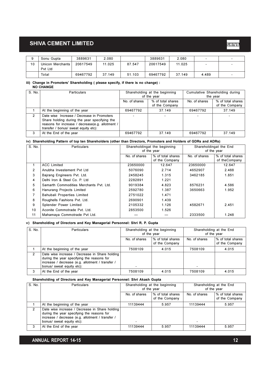| C  | Sonu Gupta                  | 3889631  | 2.080  |        | 3889631  | 2.080  | $\overline{\phantom{0}}$ | -                        |
|----|-----------------------------|----------|--------|--------|----------|--------|--------------------------|--------------------------|
| 10 | Unicon Merchants<br>Pvt Ltd | 20617549 | 11.025 | 87.547 | 20617549 | 11.025 | $\overline{\phantom{0}}$ |                          |
|    | Total                       | 69467792 | 37.149 | 51.103 | 69467792 | 37.149 | 4.489                    | $\overline{\phantom{0}}$ |

### iii) Change in Promoters' Shareholding ( please specify, if there is no change) : NO CHANGE

| S. No.        | <b>Particulars</b>                                                                                                                                                                     | Shareholding at the beginning<br>of the year |                                     | Cumulative Shareholding during<br>the year |                                     |  |
|---------------|----------------------------------------------------------------------------------------------------------------------------------------------------------------------------------------|----------------------------------------------|-------------------------------------|--------------------------------------------|-------------------------------------|--|
|               |                                                                                                                                                                                        | No. of shares                                | % of total shares<br>of the Company | No. of shares                              | % of total shares<br>of the Company |  |
|               | At the beginning of the year                                                                                                                                                           | 69467792                                     | 37.149                              | 69467792                                   | 37.149                              |  |
| $\mathcal{P}$ | Date wise Increase / Decrease in Promoters<br>Share holding during the year specifying the<br>reasons for increase / decrease(e.g. allotment /<br>transfer / bonus/ sweat equity etc): |                                              |                                     |                                            |                                     |  |
| 3             | At the End of the year                                                                                                                                                                 | 69467792                                     | 37.149                              | 69467792                                   | 37.149                              |  |

### iv) Shareholding Pattern of top ten Shareholders (other than Directors, Promoters and Holders of GDRs and ADRs)

| S. No.         | Particulars                             | Shareholdingat the beginning<br>of the year |                                     | Shareholdingat the End<br>of the year |                                    |
|----------------|-----------------------------------------|---------------------------------------------|-------------------------------------|---------------------------------------|------------------------------------|
|                |                                         | No. of shares                               | % of total shares<br>of the Company | No. of shares                         | % of total shares<br>of theCompany |
| 1              | <b>ACC Limited</b>                      | 23650000                                    | 12.647                              | 23650000                              | 12.647                             |
| $\overline{2}$ | Anubha Investement Pvt Ltd              | 5076090                                     | 2.714                               | 4652907                               | 2.488                              |
| 3              | Bajrang Engineers Pvt. Ltd.             | 2458245                                     | 1.315                               | 3462185                               | 1.851                              |
| 4              | Delhi Iron & Steel Co. P. Ltd.          | 2282891                                     | 1.221                               |                                       |                                    |
| 5              | Samarth Commodities Merchants Pyt. Ltd. | 9019384                                     | 4.823                               | 8576231                               | 4.586                              |
| 6              | Hanurang Projects Limited               | 2592780                                     | 1.387                               | 3650663                               | 1.952                              |
| 7              | Bahubali Properties Limited             | 2751022                                     | 1.471                               |                                       |                                    |
| 8              | Roughells Fashions Pvt. Ltd.            | 2690901                                     | 1.439                               |                                       |                                    |
| 9              | Splender Power Limited                  | 2105332                                     | 1.126                               | 4582671                               | 2.451                              |
| 10             | Aconite Commotrade Pvt. Ltd.            | 2853500                                     | 1.526                               |                                       |                                    |
| 11             | Mahamaya Commotrade Pvt Ltd.            |                                             |                                     | 2333500                               | 1.248                              |

### v) Shareholding of Directors and Key Managerial Personnel: Shri R. P. Gupta

| S. No.         | <b>Particulars</b>                                                                                                                                                            | Shareholding at the beginning<br>of the year |                                     | Shareholding at the End<br>of the year |                                     |  |
|----------------|-------------------------------------------------------------------------------------------------------------------------------------------------------------------------------|----------------------------------------------|-------------------------------------|----------------------------------------|-------------------------------------|--|
|                |                                                                                                                                                                               | No. of shares                                | % of total shares<br>of the Company | No. of shares                          | % of total shares<br>of the Company |  |
|                | At the beginning of the year                                                                                                                                                  | 7508109                                      | 4.015                               | 7508109                                | 4.015                               |  |
| $\overline{2}$ | Date wise increase / Decrease in Share holding<br>during the year specifying the reasons for<br>increase / decrease (e.g. allotment / transfer /<br>bonus/ sweat equity etc): |                                              |                                     |                                        |                                     |  |
| 3              | At the End of the year                                                                                                                                                        | 7508109                                      | 4.015                               | 7508109                                | 4.015                               |  |

### Shareholding of Directors and Key Managerial Personnel: Shri Akash Gupta

| S. No. | <b>Particulars</b>                                                                                                                                                            | Shareholding at the beginning<br>of the year |                                     | Shareholding at the End<br>of the year |                                     |  |
|--------|-------------------------------------------------------------------------------------------------------------------------------------------------------------------------------|----------------------------------------------|-------------------------------------|----------------------------------------|-------------------------------------|--|
|        |                                                                                                                                                                               | No. of shares                                | % of total shares<br>of the Company | No. of shares                          | % of total shares<br>of the Company |  |
|        | At the beginning of the year                                                                                                                                                  | 11139444                                     | 5.957                               | 11139444                               | 5.957                               |  |
| 2      | Date wise increase / Decrease in Share holding<br>during the year specifying the reasons for<br>increase / decrease (e.g. allotment / transfer /<br>bonus/ sweat equity etc): |                                              |                                     |                                        |                                     |  |
| 3      | At the End of the year                                                                                                                                                        | 11139444                                     | 5.957                               | 11139444                               | 5.957                               |  |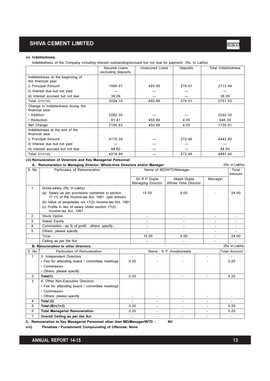### vi) Indebtedness

Indebtedness of the Company including interest outstanding/accrued but not due for payment: (Rs. In Lakhs)

|                                                        | Secured Loans<br>excluding deposits | <b>Unsecured Loans</b> | Deposits | <b>Total Indebtedness</b> |
|--------------------------------------------------------|-------------------------------------|------------------------|----------|---------------------------|
| Indebtedness at the beginning of<br>the financial year |                                     |                        |          |                           |
| i) Principal Amount                                    | 1986.07                             | 450.86                 | 276.51   | 2713.44                   |
| ii) Interest due but not paid                          |                                     |                        |          |                           |
| iii) Interest accrued but not due                      | 38.09                               |                        |          | 38.09                     |
| Total (i+ii+iii)                                       | 2024.16                             | 450.86                 | 276.51   | 2751.53                   |
| Change in Indebtedness during the<br>financial year    |                                     |                        |          |                           |
| • Addition                                             | 2282.30                             |                        |          | 2282.30                   |
| • Reduction                                            | 91.47                               | 450.86                 | 4.05     | 546.39                    |
| Net Change                                             | 2190.83                             | 450.86                 | 4.05     | 1735.91                   |
| Indebtedness at the end of the<br>financial year       |                                     |                        |          |                           |
| i) Principal Amount                                    | 4170.39                             |                        | 272.46   | 4442.85                   |
| ii) Interest due but not paid                          |                                     |                        |          |                           |
| iii) Interest accrued but not due                      | 44.60                               |                        |          | 44.60                     |
| Total (i+ii+iii)                                       | 4214.99                             |                        | 272.46   | 4487.45                   |

### vii) Remuneration of Directors and Key Managerial Personnel

|                | A. Remuneration to Managing Director, Whole-time Directors and/or Manager:                          |  |      |                          |                        |  |                          | (Rs. in Lakhs)      |
|----------------|-----------------------------------------------------------------------------------------------------|--|------|--------------------------|------------------------|--|--------------------------|---------------------|
| S. No.         | Particulars of Remuneration                                                                         |  |      |                          | Name of MD/WTD/Manager |  |                          | Total               |
|                |                                                                                                     |  |      |                          |                        |  |                          | Amount              |
|                |                                                                                                     |  |      | Sri R P Gupta            | Akash Gupta            |  | Manager                  |                     |
|                |                                                                                                     |  |      | <b>Managing Director</b> | Whole Time Director    |  |                          |                     |
| 1 <sub>1</sub> | Gross salary (Rs. In Lakhs)                                                                         |  |      |                          |                        |  |                          |                     |
|                | (a) Salary as per provisions contained in section<br>17 (1) of the Income-tax Act, 1961 (per annum) |  |      | 15.00                    | 9.00                   |  |                          | 24.00               |
|                | (b) Value of perquisites u/s 17(2) Income-tax Act, 1961                                             |  |      |                          |                        |  |                          |                     |
|                | (c) Profits in lieu of salary under section 17(3)<br>Income-tax Act. 1961                           |  |      |                          |                        |  |                          |                     |
| 2.             | Stock Option                                                                                        |  |      |                          |                        |  | $\overline{\phantom{a}}$ |                     |
| 3.             | Sweat Equity                                                                                        |  |      |                          |                        |  |                          |                     |
| 4.             | Commission - as % of profit - others, specify                                                       |  |      |                          |                        |  | $\overline{\phantom{a}}$ |                     |
| 5.             | Others, please specify                                                                              |  |      |                          |                        |  |                          |                     |
|                | Total                                                                                               |  |      | 15.00                    | 9.00                   |  | ÷.                       | 24.00               |
|                | Ceiling as per the Act                                                                              |  |      |                          |                        |  |                          |                     |
|                | <b>B.</b> Remuneration to other directors:                                                          |  |      |                          |                        |  |                          | (Rs. in Lakhs)      |
| S. No.         | Particulars of Remuneration                                                                         |  |      |                          | Name: K P Jhunjhunwala |  |                          | <b>Total Amount</b> |
| $\mathbf{1}$   | 3. Independent Directors                                                                            |  |      |                          |                        |  |                          |                     |
|                | • Fee for attending board / committee meetings                                                      |  | 0.20 |                          |                        |  |                          | 0.20                |
|                | • Commission                                                                                        |  |      |                          |                        |  |                          |                     |
|                | • Others, please specify                                                                            |  |      |                          |                        |  |                          |                     |
| $\overline{2}$ | Total(1)                                                                                            |  | 0.20 | $\overline{\phantom{a}}$ | $\overline{a}$         |  | $\sim$                   | 0.20                |
| 3              | 4. Other Non-Executive Directors                                                                    |  |      |                          |                        |  |                          |                     |
|                | • Fee for attending board / committee meetings                                                      |  |      |                          |                        |  |                          |                     |
|                | • Commission                                                                                        |  |      |                          |                        |  |                          |                     |
|                | · Others, please specify                                                                            |  |      |                          |                        |  |                          |                     |
| 4              | Total (2)                                                                                           |  |      | $\blacksquare$           | $\overline{a}$         |  |                          | $\blacksquare$      |
| 5              | Total $(B)=(1+2)$                                                                                   |  | 0.20 |                          |                        |  |                          | 0.20                |
| 6              | <b>Total Managerial Remuneration</b>                                                                |  | 0.20 | $\overline{\phantom{a}}$ | $\overline{a}$         |  |                          | 0.20                |
| $\overline{7}$ | Overall Ceiling as per the Act                                                                      |  |      |                          |                        |  |                          |                     |

C. Remuneration to Key Managerial Personnel other than MD/Manager/WTD : Nil

viii) Penalties / Punishment/ Compounding of Offences: None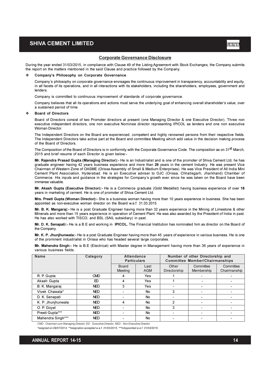### Corporate Governance Disclosure

During the year ended 31/03/2015, in compliance with Clause 49 of the Listing Agreement with Stock Exchanges, the Company submits the report on the matters mentioned in the said Clause and practice followed by the Company.

### Company's Philosophy on Corporate Governance

Company's philosophy on corporate governance envisages the continuous improvement in transparency, accountability and equity, in all facets of its operations, and in all interactions with its stakeholders, including the shareholders, employees, government and lenders.

Company is committed to continuous improvement of standards of corporate governance.

Company believes that all its operations and actions must serve the underlying goal of enhancing overall shareholder's value, over a sustained period of time.

### **Board of Directors**

Board of Directors consist of two Promoter directors at present (one Managing Director & one Executive Director), Three non executive independent directors, one non executive Nominee director representing IPICOL as lenders and one non executive Woman Director.

The Independent Directors on the Board are experienced, competent and highly renowned persons from their respective fields. The Independent Directors take active part at the Board and committee Meeting which add value in the decision making process of the Board of Directors.

The Composition of the Board of Directors is in conformity with the Corporate Governance Code. The composition as on 31<sup>st</sup> March, 2015 and brief resume of each Director is given below:-

Mr. Rajendra Prasad Gupta (Managing Director):- He is an Industrialist and is one of the promoter of Shiva Cement Ltd, he has graduate engineer having 42 years business experience and more than 29 years in the cement Industry. He was present Vice Chairman of Western Zone of OASME (Orissa Assembly of Small & Medium Enterprises). He was Vice President of All India Mini Cement Plant Association, Hyderabad. He is an Executive adviser to OJC (Orissa, Chhatisgarh, Jharkhand) Chamber of Commerce. His inputs and guidance in the strategies for Company's growth ever since he was taken on the Board have been immense valuable.

Mr. Akash Gupta (Executive Director):- He is a Commerce graduate (Gold Medallist) having business experience of over 18 years in marketing of cement. He is one of promoter of Shiva Cement Ltd.

Mrs. Preeti Gupta (Woman Director):- She is a business woman having more than 10 years experience in business. She has been appointed as non-executive woman director on the Board w.e.f. 31.03.2015.

Mr. B. K. Mangaraj:- He is a post Graduate Engineer having more than 32 years experience in the Mining of Limestone & other Minerals and more than 15 years experience in operation of Cement Plant. He was also awarded by the President of India in past. He has also worked with TISCO, and BSL (SAIL subsidiary) in past.

Mr. D. K. Senapati:- He is a B E and working in IPICOL. The Financial Institution has nominated him as director on the Board of the Company.

Mr. K. P. Jhunjhunwala:- He is a post Graduate Engineer having more than 45 years of experience in various business. He is one of the prominent industrialist in Orissa who has headed several large corporates.

Mr. Mahendra Singh:- He is B.E (Electrical) with Master degree in Management having more than 36 years of experience in various business fields.

| <b>Name</b>        | Category   | <b>Attendance</b><br><b>Particulars</b> |                    | Number of other Directorship and<br><b>Committee Member/Chairmanships</b> |                         |                           |  |
|--------------------|------------|-----------------------------------------|--------------------|---------------------------------------------------------------------------|-------------------------|---------------------------|--|
|                    |            | <b>Board</b><br>Meeting                 | Last<br><b>AGM</b> | Other<br>Directorship                                                     | Committee<br>Membership | Committee<br>Chairmanship |  |
| R. P. Gupta        | <b>CMD</b> | 4                                       | Yes                |                                                                           |                         |                           |  |
| Akash Gupta        | Ð          | 4                                       | Yes                |                                                                           |                         |                           |  |
| B. K. Mangaraj     | <b>NED</b> | 3                                       | Yes                |                                                                           |                         |                           |  |
| Vivek Chawala*     | <b>NED</b> |                                         | <b>No</b>          | 3                                                                         |                         |                           |  |
| D. K. Senapati     | <b>NED</b> |                                         | <b>No</b>          |                                                                           |                         |                           |  |
| K. P. Jhunjhunwala | <b>NED</b> | 4                                       | <b>No</b>          | 2                                                                         |                         |                           |  |
| O. P. Goyal        | <b>NED</b> |                                         | <b>No</b>          | 3                                                                         |                         |                           |  |
| Preeti Gupta***    | <b>NED</b> |                                         | <b>No</b>          |                                                                           |                         |                           |  |
| Mahendra Singh***  | <b>NED</b> |                                         | No                 |                                                                           |                         |                           |  |

*CMD : Chairman cum Managing Director, ED : Executive Director, NED : Non Executive Director.*

*\*resigned on 09/07/2014. \*\*resignation accepted w.e.f. 31/03/2015. \*\*\*mAppointed w.e.f. 31/03/2015.*

### ANNUAL REPORT 14-15 2000 12:00 12:00 12:00 14:00 14:00 14:00 14:00 14:00 14:00 14:00 14:00 14:00 14:00 14:00 1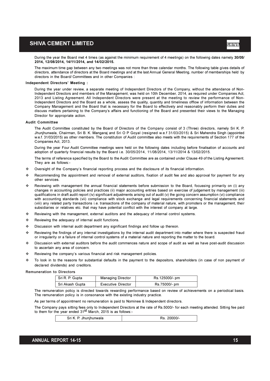During the year the Board met 4 times (as against the minimum requirement of 4 meetings) on the following dates namely 30/05/ 2014, 12/08/2014, 14/11/2014, and 14/02/2015.

The maximum time gap between any two meetings was not more than three calendar months. The following table gives details of directors, attendance of directors at the Board meetings and at the last Annual General Meeting, number of memberships held by directors in the Board/ Committees and in other Companies :

### Independent Directors' Meeting :

During the year under review, a separate meeting of Independent Directors of the Company, without the attendance of Non-Independent Directors and members of the Management, was held on 10th December, 2014, as required under Companies Act, 2013 and Listing Agreement. All Independent Directors were present at the meeting to review the performance of Non-Independent Directors and the Board as a whole, assess the quality, quantity and timeliness offlow of information between the Company Management and the Board that is necessary for the Board to effectively and reasonably perform their duties and discuss matters pertaining to the Company's affairs and functioning of the Board and presented their views to the Managing Director for appropriate action.

### Audit Committee

The Audit Committee constituted by the Board of Directors of the Company consist of 3 (Three) directors, namely Sri K. P. Jhunjhunwala, Chairman, Sri B. K. Mangaraj and Sri O P Goyal (resigned w.e.f 31/03/2015) & Sri Mahendra Singh (appointed w.e.f. 31/03/2015) as other members. The constitution of Audit committee also meets with the requirements of Section 177 of the Companies Act, 2013.

During the year Four Audit Committee meetings were held on the following dates including before finalisation of accounts and adoption of quarterly financial results by the Board i.e. 30/05/2014, 11/08/2014, 13/11/2014 & 13/02/2015.

The terms of reference specified by the Board to the Audit Committee are as contained under Clause 49 of the Listing Agreement. They are as follows:-

- v Oversight of the Company's financial reporting process and the disclosure of its financial information.
- Recommending the appointment and removal of external auditors, fixation of audit fee and also approval for payment for any other services.
- v Reviewing with management the annual financial statements before submission to the Board, focussing primarily on (i) any changes in accounting policies and practices (ii) major accounting entries based on exercise of judgement by management (iii) qualifications in draft audit report (iv) significant adjustments arising out of audit (v) the going concern assumption (vi) compliance with accounting standards (vii) compliance with stock exchange and legal requirements concerning financial statements and (viii) any related party transactions i.e. transactions of the company of material nature, with promoters or the management, their subsidiaries or relatives etc. that may have potential conflict with the interest of company at large.
- v Reviewing with the management, external auditors and the adequacy of internal control systems.
- \* Reviewing the adequacy of internal audit functions.
- v Discussion with internal audit department any significant findings and follow up thereon.
- v Reviewing the findings of any internal investigations by the internal audit department into matter where there is suspected fraud or irregularity or a failure of internal control systems of a material nature and reporting the matter to the board.
- v Discussion with external auditors before the audit commences nature and scope of audit as well as have post-audit discussion to ascertain any area of concern.
- $\div$  Reviewing the company's various financial and risk management policies.
- \* To look in to the reasons for substantial defaults in the payment to the depositors, shareholders (in case of non payment of declared dividends) and creditors.

Remuneration to Directors

| Sri R. P. Gupta | <b>Managing Director</b>  | Rs.125000/- pm |
|-----------------|---------------------------|----------------|
| Sri Akash Gupta | <b>Executive Director</b> | Rs.75000/- pm  |

The remuneration policy is directed towards rewarding performance based on review of achievements on a periodical basis. The remuneration policy is in consonance with the existing industry practice.

As per terms of appointment no remuneration is paid to Nominee & Independent directors.

The Company pays sitting fees only to Independent Directors at the rate of Rs.5000/- for each meeting attended. Sitting fee paid to them for the year ended 31<sup>st</sup> March, 2015 is as follows:-

| Sri K. P. Jhunihunwala | Rs. 20000/- |
|------------------------|-------------|
|------------------------|-------------|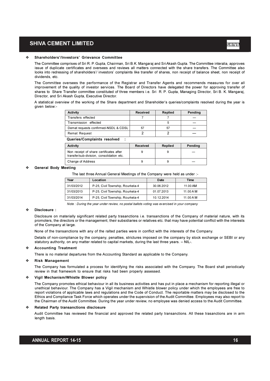### v Shareholders'/Investors' Grievance Committee

The Committee comprises of Sri R. P. Gupta, Chairman, Sri B.K. Mangaraj and SriAkash Gupta. The Committee interalia, approves issue of duplicate certificates and oversees and reviews all matters connected with the share transfers. The Committee also looks into redressing of shareholders'/ investors' complaints like transfer of shares, non receipt of balance sheet, non receipt of dividends, etc.

The Committee oversees the performance of the Registrar and Transfer Agents and recommends measures for over all improvement of the quality of investor services. The Board of Directors have delegated the power for approving transfer of shares to Share Transfer committee constituted of three members i.e. Sri R. P. Gupta, Managing Director, Sri B. K. Mangaraj, Director, and Sri Akash Gupta, Executive Director.

A statistical overview of the working of the Share department and Shareholder's queries/complaints resolved during the year is given below:-

| <b>Activity</b>                      | <b>Received</b> | Replied | Pending |
|--------------------------------------|-----------------|---------|---------|
| Transfers effected                   |                 |         |         |
| Transmission effected                |                 |         |         |
| Demat requests confirmed-NSDL & CDSL | 57              | 57      |         |
| <b>Remat Request</b>                 |                 |         |         |

Queries/Complaints resolved :

| <b>Activity</b>                                                                      | <b>Received</b> | <b>Replied</b> | Pending |
|--------------------------------------------------------------------------------------|-----------------|----------------|---------|
| Non receipt of share certificates after<br>transfer/sub-division, consolidation etc. |                 |                |         |
| Change of Address                                                                    |                 |                |         |

### v General Body Meeting

The last three Annual General Meetings of the Company were held as under :-

| Year       | Location                         | Date       | Time      |
|------------|----------------------------------|------------|-----------|
| 31/03/2012 | P-25, Civil Township, Rourkela-4 | 30.06.2012 | 11.00 AM  |
| 31/03/2013 | P-25, Civil Township, Rourkela-4 | 01.07.2013 | 11.00 A M |
| 31/03/2014 | P-25, Civil Township, Rourkela-4 | 10.12.2014 | 11.00 A M |

*Note : During the year under review, no postal ballots voting was exercised in your company*

### v Disclosure :

Disclosure on materially significant related party trasanctions i.e. transanctions of the Company of material nature, with its promoters, the directors or the management, their subsidiaries or relatives etc. that may have potential conflict with the interests of the Company at large.

None of the transanctions with any of the ralted parties were in conflict with the interests of the Company.

Details of non-compliance by the company, penalties, strictures imposed on the company by stock exchange or SEBI or any statutory authority, on any matter related to capital markets, during the last three years. – NIL-.

### ❖ Accounting Treatment

There is no material departures from the Accounting Standard as applicable to the Company.

### v Risk Management

The Company has formulated a process for identifying the risks associated with the Company. The Board shall periodically review in that framework to ensure that risks had been properly assessed.

### ◆ Vigil Mechanism/Whistle Blower policy

The Company promotes ethical behaviour in all its business activities and has put in place a mechanism for reporting illegal or unethical behaviour. The Company has a Vigil mechanism and Whistle blower policy under which the employees are free to report violations of applicable laws and regulations and the Code of Conduct. The reportable matters may be disclosed to the Ethics and Compliance Task Force which operates under the supervision of the Audit Committee. Employees may also report to the Chairman of the Audit Committee. During the year under review, no employee was denied access to the Audit Committee.

### **Related Party transanctions disclosure**

Audit Committee has reviewed the financial and approved the related party transanctions. All these trasanctions are in arm length basis.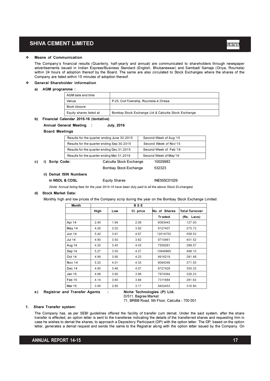### v Means of Communication

The Company's financial results (Quarterly, half-yearly and annual) are communicated to shareholders through newspaper advertisements issued in Indian Express/Business Standard (English, Bhubaneswar) and Sambad/ Samaja (Oriya, Rourkela) within 24 hours of adoption thereof by the Board. The same are also circulated to Stock Exchanges where the shares of the Company are listed within 15 minutes of adoption thereof.

### v General Shareholder information

### a) AGM programme :

| AGM date and time       |                                                     |
|-------------------------|-----------------------------------------------------|
| Venue                   | P-25, Civil Township, Rourkela-4, Orissa            |
| Book closure            |                                                     |
| Equity shares listed at | Bombay Stock Exchange Ltd & Calcutta Stock Exchange |

### b) Financial Calendar 2015-16 (tentative)

### Annual General Meeting : July, 2016

### Board Meetings

| C) | Scrip Code: | Calcutta Stock Exchange                      | 10029983               |
|----|-------------|----------------------------------------------|------------------------|
|    |             | Results for the quarter ending Mar 31,2016   | Second Week of May'16  |
|    |             | Results for the quarter ending Dec 31, 2015  | Second Week of Feb '16 |
|    |             | Results for the quarter ending Sep 30,2015   | Second Week of Nov'15  |
|    |             | Results for the quarter ending June 30, 2015 | Second Week of Aug '15 |

### Bombay Stock Exchange 532323

ii) Demat ISIN Numbers

### in NSDL & CDSL Equity Shares INE555C01029

*(Note: Annual listing fees for the year 2014-15 have been duly paid to all the above Stock Exchanges)*

### d) Stock Market Data:

Monthly high and low prices of the Company scrip during the year on the Bombay Stock Exchange Limited:

| Month         | <b>BSE</b> |      |           |               |                        |
|---------------|------------|------|-----------|---------------|------------------------|
|               | High       | Low  | Cl. price | No. of Shares | <b>Tot al Turnover</b> |
|               |            |      |           | <b>Traded</b> | (Rs. Lacs)             |
| Apr 14        | 2.40       | 1.94 | 2.09      | 6093443       | 127.00                 |
| May 14        | 4.26       | 2.02 | 3.92      | 9127407       | 275.72                 |
| <b>Jun 14</b> | 5.42       | 3.91 | 4.67      | 12014703      | 558.53                 |
| Jul 14        | 4.90       | 3.50 | 3.62      | 9710461       | 401.52                 |
| Aug 14        | 4.20       | 3.40 | 4.03      | 7559281       | 288.57                 |
| Sep 14        | 5.27       | 3.55 | 4.27      | 10949860      | 498.10                 |
| Oct 14        | 4.99       | 3.90 | 4.23      | 6616219       | 281.48                 |
| <b>Nov 14</b> | 5.20       | 4.01 | 4.33      | 8094346       | 371.50                 |
| Dec 14        | 4.90       | 3.46 | 4.07      | 8727429       | 355.33                 |
| Jan 15        | 4.68       | 3.90 | 3.96      | 7974364       | 326.23                 |
| Feb 15        | 4.14       | 3.60 | 3.84      | 7311684       | 281.62                 |
| <b>Mar 15</b> | 3.95       | 2.85 | 3.17      | 9402453       | 316.80                 |

### e) Registrar and Transfer Agents : Niche Technologies (P) Ltd.

# D/511, Bagree Market

71, BRBB Road, 5th Floor, Calcutta - 700 001

### 1. Share Transfer system:

The Company has, as per SEBI guidelines offered the facility of transfer cum demat. Under the said system, after the share transfer is effected, an option letter is sent to the transferee indicating the details of the transferred shares and requesting him in case he wishes to demat the shares, to approach a Depository Participant (DP) with the option letter. The DP, based on the option letter, generates a demat request and sends the same to the Registrar along with the option letter issued by the Company. On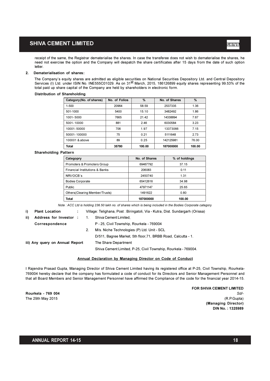receipt of the same, the Registrar dematerialise the shares. In case the transferee does not wish to dematerialise the shares, he need not exercise the option and the Company will despatch the share certificates after 15 days from the date of such option letter.

### 2. Dematerialisation of shares:

The Company's equity shares are admitted as eligible securities on National Securities Depository Ltd. and Central Depository Services (I) Ltd. under ISIN No. INE555C01029. As on 31st March, 2015, 186126899 equity shares representing 99.53% of the total paid up share capital of the Company are held by shareholders in electronic form.

### Distribution of Shareholding

| Category (No. of shares) | No. of Folios | %      | No. of Shares | %      |
|--------------------------|---------------|--------|---------------|--------|
| 1-500                    | 20964         | 58.59  | 2537335       | 1.36   |
| 501-1000                 | 5400          | 15.10  | 3482492       | 1.86   |
| 1001-5000                | 7665          | 21.42  | 14338894      | 7.67   |
| 5001-10000               | 881           | 2.46   | 6030584       | 3.23   |
| 10001-50000              | 706           | 1.97   | 13373066      | 7.15   |
| 50001-100000             | 75            | 0.21   | 5111648       | 2.73   |
| 100001 & above           | 89            | 0.25   | 142125981     | 76.00  |
| Total                    | 35780         | 100.00 | 187000000     | 100.00 |

### Shareholding Pattern

| Categopry                       | No. of Shares | % of holdings |
|---------------------------------|---------------|---------------|
| Promoters & Promoters Group     | 69467792      | 37.15         |
| Financial Institutions & Banks  | 206083        | 0.11          |
| NRI/OCB's                       | 2450740       | 1.31          |
| <b>Bodies Corporate</b>         | 65412616      | 34.98         |
| Public                          | 47971147      | 25.65         |
| Others (Clearing Member/Trusts) | 1491622       | 0.80          |
| Total                           | 187000000     | 100.00        |

*Note : ACC Ltd is holding 236.50 lakh no. of shares which is being included in the Bodies Corporate category.*

- i) Plant Location : Village: Telighana, Post : Biringatoli, Via Kutra, Dist. Sundargarh (Orissa)
- ii) Address for Investor : 1. Shiva Cement Limited,
	- - Correspondence P 25, Civil Township, Rourkela 769004
			- 2. M/s. Niche Technologies (P) Ltd. Unit SCL

D/511, Bagree Market, 5th floor,71, BRBB Road, Calcutta - 1.

iii) Any query on Annual Report The Share Department

Shiva Cement Limited, P-25, Civil Township, Rourkela - 769004.

### Annual Declaration by Managing Director on Code of Conduct

I Rajendra Prasad Gupta, Managing Director of Shiva Cement Limited having its registered office at P-25, Civil Township, Rourkela-769004 hereby declare that the company has formulated a code of conduct for its Directors and Senior Management Personnel and that all Board Members and Senior Management Personnel have affirmed the Compliance of the code for the financial year 2014-15.

FOR SHIVA CEMENT LIMITED Rourkela - 769 004 Sd/- The 29th May 2015 (R.P.Gupta) (Managing Director) DIN No. : 1325989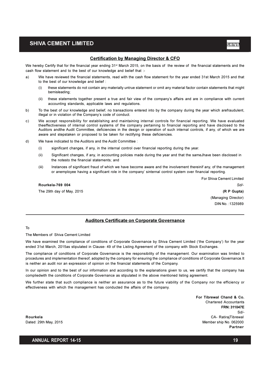### Certification by Managing Director & CFO

We hereby Certify that for the financial year ending 31<sup>st</sup> March 2015, on the basis of the review of the financial statements and the cash flow statement and to the best of our knowledge and belief that :-

- a) We have reviewed the financial statements, read with the cash flow statement for the year ended 31st March 2015 and that to the best of our knowledge and belief :
	- (i) these statements do not contain any materially untrue statement or omit any material factor contain statements that might bemisleading;
	- (ii) these statements together present a true and fair view of the company's affairs and are in compliance with current accounting standards, applicable laws and regulations.
- b) To the best of our knowledge and belief, no transactions entered into by the company during the year which arefraudulent, illegal or in violation of the Company's code of conduct.
- c) We accept responsibility for establishing and maintaining internal controls for financial reporting. We have evaluated theeffectiveness of internal control systems of the company pertaining to financial reporting and have disclosed to the Auditors andthe Audit Committee, deficiencies in the design or operation of such internal controls, if any, of which we are aware and stepstaken or proposed to be taken for rectifying these deficiencies.
- d) We have indicated to the Auditors and the Audit Committee :
	- (i) significant changes, if any, in the internal control over financial reporting during the year.
	- (ii) Significant changes, if any, in accounting policies made during the year and that the sameJhave been disclosed in the notesto the financial statements; and
	- (iii) Instances of significant fraud of which we have become aware and the involvement thereinif any, of the management or anemployee having a significant role in the company' sinternal control system over financial reporting.

For Shiva Cement Limited  $R_{\text{O}}$ urkela-769 004 Sd/-The 29th day of May, 2015 **(R P Gupta)** (R P Gupta) (Managing Director) DIN No. :1325989

### Auditors Certificate on Corporate Governance

To

The Members of Shiva Cement Limited

We have examined the compliance of conditions of Corporate Governance by Shiva Cement Limited ('the Company') for the year ended 31st March, 2015as stipulated in Clause- 49 of the Listing Agreement of the company with Stock Exchanges.

The compliance of conditions of Corporate Governance is the responsibility of the management. Our examination was limited to procedures and implementation thereof, adopted by the company for ensuring the compliance of conditions of Corporate Governance.It is neither an audit nor an expression of opinion on the financial statements of the Company.

In our opinion and to the best of our information and according to the explanations given to us, we certify that the company has compliedwith the conditions of Corporate Governance as stipulated in the above mentioned listing agreement.

We further state that such compliance is neither an assurance as to the future viability of the Company nor the efficiency or effectiveness with which the management has conducted the affairs of the company.

For Tibrewal Chand & Co. Chartered Accountants FRN: 311047E Sd/- Rourkela CA- RatirajTibrewal Dated: 29th May, 2015 Member ship No. 062000 Partner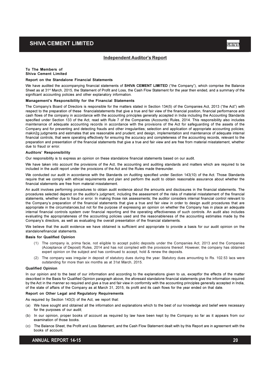### Independent Auditor's Report

To The Members of Shiva Cement Limited

### Report on the Standalone Financial Statements

We have audited the accompanying financial statements of SHIVA CEMENT LIMITED ("the Company"), which comprise the Balance Sheet as at 31<sup>st</sup> March, 2015, the Statement of Profit and Loss, the Cash Flow Statement for the year then ended, and a summary of the significant accounting policies and other explanatory information.

### Management's Responsibility for the Financial Statements

The Company's Board of Directors is responsible for the matters stated in Section 134(5) of the Companies Act, 2013 ("the Act") with respect to the preparation of these financialstatements that give a true and fair view of the financial position, financial performance and cash flows of the company in accordance with the accounting principles generally accepted in India including the Accounting Standards specified under Section 133 of the Act, read with Rule 7 of the Companies (Accounts) Rules, 2014. This responsibility also includes maintenance of adequate accounting records in accordance with the provisions of the Act for safeguarding of the assets of the Company and for preventing and detecting frauds and other irregularities; selection and application of appropriate accounting policies; makin2g judgments and estimates that are reasonable and prudent; and design, implementation and maintenance of adequate internal financial controls, that were operating effectively for ensuring the accuracy and completeness of the accounting records, relevant to the preparation and presentation of the financial statements that give a true and fair view and are free from material misstatement, whether due to fraud or error.

### Auditors' Responsibility

Our responsibility is to express an opinion on these standalone financial statements based on our audit.

We have taken into account the provisions of the Act, the accounting and auditing standards and matters which are required to be included in the audit report under the provisions of the Act and the Rules made thereunder.

We conducted our audit in accordance with the Standards on Auditing specified under Section 143(10) of the Act. Those Standards require that we comply with ethical requirements and plan and perform the audit to obtain reasonable assurance about whether the financial statements are free from material misstatement.

An audit involves performing procedures to obtain audit evidence about the amounts and disclosures in the financial statements. The procedures selected depend on the auditor's judgment, including the assessment of the risks of material misstatement of the financial statements, whether due to fraud or error. In making those risk assessments; the auditor considers internal financial control relevant to the Company's preparation of the financial statements that give a true and fair view in order to design audit procedures that are appropriate in the circumstances,but not for the purpose of expressing an opinion on whether the Company has in place an adequate internal financial controls system over financial reporting and the operating effectiveness of such controls. An audit also includes evaluating the appropriateness of the accounting policies used and the reasonableness of the accounting estimates made by the Company's directors, as well as evaluating the overall presentation of the financial statements.

We believe that the audit evidence we have obtained is sufficient and appropriate to provide a basis for our audit opinion on the standalonefinancial statements.

### Basis for Qualified Opinion

- (1) The company is, prima facie, not eligible to accept public deposits under the Companies Act, 2013 and the Companies (Acceptance of Deposit) Rules, 2014 and has not complied with the provisions thereof. However, the company has obtained expert opinion on the subject and has continued to accept, hold & renew the deposits.
- (2) The company was irregular in deposit of statutory dues during the year. Statutory dues amounting to Rs. 102.53 lacs were outstanding for more than six months as at 31st March, 2015.

### Qualified Opinion

In our opinion and to the best of our information and according to the explanations given to us, exceptfor the effects of the matter described in the Basis for Qualified Opinion paragraph above, the aforesaid standalone financial statements give the information required by the Act in the manner so required and give a true and fair view in conformity with the accounting principles generally accepted in India, of the state of affairs of the Company as at March 31, 2015, its profit and its cash flows for the year ended on that date.

### Report on Other Legal and Regulatory Requirements

As required by Section 143(3) of the Act, we report that:

- (a) We have sought and obtained all the information and explanations which to the best of our knowledge and belief were necessary for the purposes of our audit;
- (b) In our opinion, proper books of account as required by law have been kept by the Company so far as it appears from our examination of those books.
- (c) The Balance Sheet, the Profit and Loss Statement, and the Cash Flow Statement dealt with by this Report are in agreement with the books of account.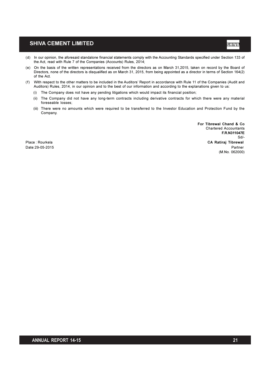- (d) In our opinion, the aforesaid standalone financial statements comply with the Accounting Standards specified under Section 133 of the Act, read with Rule 7 of the Companies (Accounts) Rules, 2014;
- (e) On the basis of the written representations received from the directors as on March 31,2015, taken on record by the Board of Directors, none of the directors is disqualified as on March 31, 2015, from being appointed as a director in terms of Section 164(2) of the Act.
- (f) With respect to the other matters to be included in the Auditors' Report in accordance with Rule 11 of the Companies (Audit and Auditors) Rules, 2014, in our opinion and to the best of our information and according to the explanations given to us:
	- (i) The Company does not have any pending litigations which would impact its financial position;
	- (ii) The Company did not have any long-term contracts including derivative contracts for which there were any material foreseable losses;
	- (iii) There were no amounts which were required to be transferred to the Investor Education and Protection Fund by the Company.

For Tibrewal Chand & Co Chartered Accountants F.R.N311047E Sd/- Place : Rourkela CA Ratiraj Tibrewal CA Ratiraj Tibrewal CA Ratiraj Tibrewal CA Ratiraj Tibrewal Date:29-05-2015 Partner (M.No. 062000)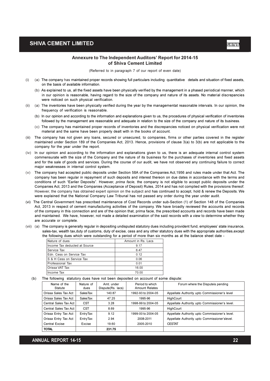### Annexure to The Independent Auditors' Report for 2014-15 of Shiva Cement Limited

(Referred to in paragraph 7 of our report of even date)

- (i) (a) The company has maintained proper records showing full particulars including quantitative details and situation of fixed assets, on the basis of available information.
	- (b) As explained to us, all the fixed assets have been physically verified by the management in a phased periodical manner, which in our opinion is reasonable, having regard to the size of the company and nature of its assets. No material discrepancies were noticed on such physical verification.
- (ii) (a) The inventories have been physically verified during the year by the managementat reasonable intervals. In our opinion, the frequency of verification is reasonable.
	- (b) In our opinion and according to the information and explanations given to us, the procedures of physical verification of inventories followed by the management are reasonable and adequate in relation to the size of the company and nature of its business.
	- (c) The company has maintained proper records of inventories and the discrepancies noticed on physical verification were not material and the same have been properly dealt with in the books of account.
- (iii) The company has not given any loans, secured or unsecured, to companies, firms or other parties covered in the register maintained under Section 189 of the Companies Act, 2013. Hence, provisions of clause 3(a) to 3(b) are not applicable to the company for the year under the report.
- (iv) In our opinion and according to the information and explanations given to us, there is an adequate internal control system commensurate with the size of the Company and the nature of its business for the purchases of inventories and fixed assets and for the sale of goods and services. During the course of our audit, we have not observed any continuing failure to correct major weaknesses in internal control system.
- (v) The company had accepted public deposits under Section 58A of the Companies Act,1956 and rules made under that Act. The company has been regular in repayment of such deposits and interest thereon on due dates in accordance with the terms and conditions of such "Earlier Deposits". However, prima facie, the company is not eligible to accept public deposits under the Companies Act, 2013 and the Companies (Acceptance of Deposit) Rules, 2014 and has not complied with the provisions thereof. However, the company has obtained expert opinion on the subject and has continued to accept, hold & renew the Deposits. We were explained that the National Company Law Tribunal has not passed any order during the year under audit.
- (vi) The Central Government has prescribed maintenance of Cost Records under sub-Section (1) of Section 148 of the Companies Act, 2013 in respect of cement manufacturing activities of the company. We have broadly reviewed the accounts and records of the company in this connection and are of the opinion that, prima facie, the prescribed accounts and records have been made and maintained. We have, however, not made a detailed examination of the said records with a view to determine whether they are accurate or complete.
- (vii) (a) The company is generally regular in depositing undisputed statutory dues including provident fund, employees' state insurance, sales-tax, wealth tax,duty of customs, duty of excise, cess and any other statutory dues with the appropriate authorities,except the following dues which were outstanding for a period of more than six months as at the balance sheet date -

| Nature of dues                | Amount in Rs. Lacs |
|-------------------------------|--------------------|
| Income Tax deducted at Source | 9.17               |
| Service Tax                   | 6.47               |
| Edn. Cess on Service Tax      | 0.12               |
| S & H Cess on Service Tax     | 0.06               |
| Professional Tax              | 0.01               |
| Orissa VAT Tax                | 16.00              |
| Income Tax                    | 70.00              |

(b) The following statutory dues have not been deposited on account of some dispute:

| Name of the<br>Statute | Nature of<br>dues | Amt. under<br>Dispute (Rs. lacs) | Period to which<br><b>Amount Relates</b> | Forum where the Disputeis pending              |
|------------------------|-------------------|----------------------------------|------------------------------------------|------------------------------------------------|
| Orissa Sales Tax Act   | SalesTax          | 140.87                           | 1992-93 to 2004-05                       | Appellate Authority upto Commissioner's level  |
| Orissa Sales Tax Act   | SalesTax          | 47.25                            | 1995-96                                  | <b>HighCourt</b>                               |
| Central Sales Tax Act  | CST               | 3.28                             | 1998-99 to 2004-05                       | Appellate Authority upto Commissioner's level. |
| Central Sales Tax Act  | CST               | 8.69                             | 1995-96                                  | <b>HighCourt</b>                               |
| Orissa Entry Tax Act   | EntryTax          | 9.12                             | 1999-00 to 2004-05                       | Appellate Authority upto Commissioner's level. |
| Orissa Entry Tax Act   | EntryTax          | 2.94                             | 2008-2011                                | Appellate Authority upto Commissioner'slevel.  |
| Central Excise         | Excise            | 19.60                            | 2005-2010                                | <b>CESTAT</b>                                  |
| <b>TOTAL</b>           |                   | 231.75                           |                                          |                                                |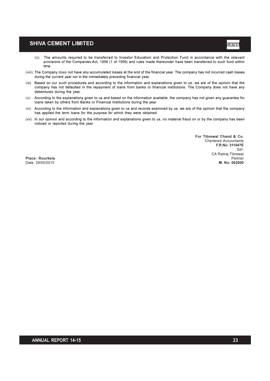- (c) The amounts required to be transferred to Investor Education and Protection Fund in accordance with the relevant provisions of the Companies Act, 1956 (1 of 1956) and rules made thereunder have been transferred to such fund within time.
- (viii) The Company does not have any accumulated losses at the end of the financial year. The company has not incurred cash losses during the current year nor in the immediately preceding financial year.
- (ix) Based on our audit procedures and according to the information and explanations given to us, we are of the opinion that the company has not defaulted in the repayment of loans from banks or financial institutions. The Company does not have any debentures during the year.
- (x) According to the explanations given to us and based on the information available, the company has not given any guarantee for loans taken by others from Banks or Financial Institutions during the year.
- (xi) According to the information and explanations given to us and records examined by us, we are of the opinion that the company has applied the term loans for the purpose for which they were obtained.
- (xii) In our opinion and according to the information and explanations given to us, no material fraud on or by the company has been noticed or reported during the year.

For Tibrewal Chand & Co. Chartered Accountants F.R.No: 311047E Sd/- CA Ratiraj Tibrewal Place: Rourkela Partner Date: 29/05/2015 M. No: 062000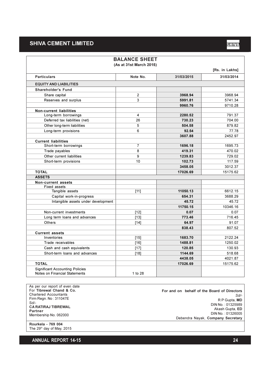| (As at 31st March 2015)<br>[Rs. in Lakhs]                               |                |            |            |  |  |
|-------------------------------------------------------------------------|----------------|------------|------------|--|--|
| <b>Particulars</b>                                                      | Note No.       | 31/03/2015 | 31/03/2014 |  |  |
| <b>EQUITY AND LIABILITIES</b>                                           |                |            |            |  |  |
| <b>Shareholder's Fund</b>                                               |                |            |            |  |  |
|                                                                         | $\overline{2}$ | 3968.94    | 3968.94    |  |  |
| Share capital<br>Reserves and surplus                                   | 3              | 5991.81    | 5741.34    |  |  |
|                                                                         |                | 9960.76    | 9710.28    |  |  |
| <b>Non-current liabilities</b>                                          |                |            |            |  |  |
| Long-term borrowings                                                    | 4              | 2280.52    | 791.37     |  |  |
| Deferred tax liabilities (net)                                          | 26             | 730.23     | 704.00     |  |  |
| Other long-term liabilities                                             | 5              | 504.58     | 879.82     |  |  |
| Long-term provisions                                                    | 6              | 92.54      | 77.78      |  |  |
|                                                                         |                | 3607.88    | 2452.97    |  |  |
| <b>Current liabilities</b>                                              |                |            |            |  |  |
| Short-term borrowings                                                   | $\overline{7}$ | 1696.18    | 1695.73    |  |  |
| Trade payables                                                          | 8              | 419.31     | 470.02     |  |  |
| Other current liabilities                                               | 9              | 1239.83    | 729.02     |  |  |
| Short-term provisions                                                   | 10             | 102.73     | 117.59     |  |  |
|                                                                         |                | 3458.05    | 3012.37    |  |  |
| <b>TOTAL</b>                                                            |                | 17026.69   | 15175.62   |  |  |
| <b>ASSETS</b>                                                           |                |            |            |  |  |
| <b>Non-current assets</b>                                               |                |            |            |  |  |
| Fixed assets                                                            |                |            |            |  |  |
| Tangible assets                                                         | $[11]$         | 11050.13   | 6612.15    |  |  |
| Capital work-in-progress                                                |                | 654.31     | 3688.29    |  |  |
| Intangible assets under development                                     |                | 45.72      | 45.72      |  |  |
|                                                                         |                | 11750.15   | 10346.16   |  |  |
| Non-current investments                                                 | $[12]$         | 0.07       | 0.07       |  |  |
| Long term loans and advances                                            | $[13]$         | 773.46     | 716.45     |  |  |
| <b>Others</b>                                                           | $[14]$         | 64.97      | 91.07      |  |  |
|                                                                         |                | 838.43     | 807.52     |  |  |
| <b>Current assets</b>                                                   |                |            |            |  |  |
| Inventories                                                             | $[15]$         | 1683.70    | 2122.24    |  |  |
| Trade receivables                                                       | $[16]$         | 1488.81    | 1250.02    |  |  |
| Cash and cash equivalents                                               | $[17]$         | 120.85     | 130.93     |  |  |
| Short-term loans and advances                                           | $[18]$         | 1144.69    | 518.68     |  |  |
|                                                                         |                | 4438.05    | 4021.87    |  |  |
| <b>TOTAL</b>                                                            |                | 17026.69   | 15175.62   |  |  |
| <b>Significant Accounting Policies</b><br>Notes on Financial Statements | 1 to 28        |            |            |  |  |

BALANCE SHEET

As per our report of even date For Tibrewal Chand & Co. Chartered Accountants Firm Regn. No : 311047E Sd/- CA RATIRAJ TIBREWAL Partner Membership No. 062000

Rourkela - 769 004 The 29<sup>th</sup> day of May, 2015

ANNUAL REPORT 14-15 24

For and on behalf of the Board of Directors Sd/- R P Gupta, MD DIN No. : 01325989 Akash Gupta, ED DIN No. : 01326005 Debendra Nayak, Company Secretary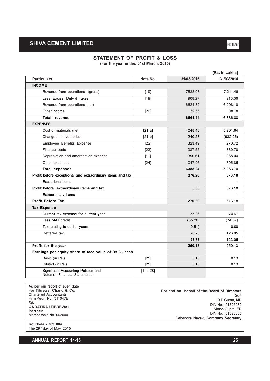|  |  | (For the year ended 51st March, 2015) |  |
|--|--|---------------------------------------|--|
|  |  |                                       |  |

|                                                                      |           |            | [Rs. in Lakhs] |
|----------------------------------------------------------------------|-----------|------------|----------------|
| <b>Particulars</b>                                                   | Note No.  | 31/03/2015 | 31/03/2014     |
| <b>INCOME</b>                                                        |           |            |                |
| Revenue from operations (gross)                                      | $[19]$    | 7533.08    | 7,211.46       |
| Less: Excise Duty & Taxes                                            | [19]      | 908.27     | 913.36         |
| Revenue from operations (net)                                        |           | 6624.82    | 6,298.10       |
| Other Income                                                         | $[20]$    | 39.63      | 38.78          |
| Total revenue                                                        |           | 6664.44    | 6,336.88       |
| <b>EXPENSES</b>                                                      |           |            |                |
| Cost of materials (net)                                              | [21.a]    | 4048.40    | 5,201.64       |
| Changes in inventories                                               | [21.b]    | 240.23     | (932.25)       |
| Employee Benefits Expense                                            | $[22]$    | 323.49     | 270.72         |
| Finance costs                                                        | $[23]$    | 337.55     | 339.70         |
| Depreciation and amortisation expense                                | [11]      | 390.61     | 288.04         |
| Other expenses                                                       | [24]      | 1047.96    | 795.85         |
| <b>Total expenses</b>                                                |           | 6388.24    | 5,963.70       |
| Profit before exceptional and extraordinary items and tax            |           | 276.20     | 373.18         |
| <b>Exceptional items</b>                                             |           |            |                |
| Profit before extraordinary items and tax                            |           | 0.00       | 373.18         |
| Extraordinary items                                                  |           |            |                |
| <b>Profit Before Tax</b>                                             |           | 276.20     | 373.18         |
| <b>Tax Expense</b>                                                   |           |            |                |
| Current tax expense for current year                                 |           | 55.26      | 74.67          |
| Less MAT credit                                                      |           | (55.26)    | (74.67)        |
| Tax relating to earlier years                                        |           | (0.51)     | 0.00           |
| Deffered tax                                                         |           | 26.23      | 123.05         |
|                                                                      |           | 25.73      | 123.05         |
| Profit for the year                                                  |           | 250.48     | 250.13         |
| Earnings per equity share of face value of Rs.2/- each               |           |            |                |
| Basic (in Rs.)                                                       | $[25]$    | 0.13       | 0.13           |
| Diluted (in Rs.)                                                     | $[25]$    | 0.13       | 0.13           |
| Significant Accounting Policies and<br>Notes on Financial Statements | [1 to 28] |            |                |

As per our report of even date For Tibrewal Chand & Co. Chartered Accountants Firm Regn. No : 311047E Sd/- CA RATIRAJ TIBREWAL Partner Membership No. 062000

Rourkela - 769 004 The 29th day of May, 2015

ANNUAL REPORT 14-15 25

For and on behalf of the Board of Directors Sd/- R P Gupta, MD DIN No. : 01325989 Akash Gupta, ED DIN No. : 01326005 Debendra Nayak, Company Secretary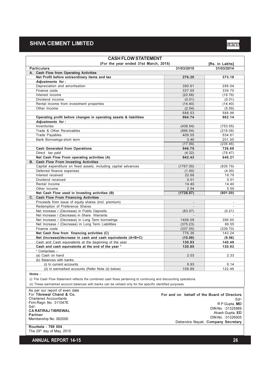| <b>CASH FLOW STATEMENT</b>                                                                                        |                                             |                              |
|-------------------------------------------------------------------------------------------------------------------|---------------------------------------------|------------------------------|
| (For the year ended 31st March, 2015)<br><b>Particulars</b>                                                       | 31/03/2015                                  | [Rs. in Lakhs]<br>31/03/2014 |
| A. Cash Flow from Operating Activities                                                                            |                                             |                              |
| Net Profit before extraordinary items and tax                                                                     | 276.20                                      | 373.18                       |
| <b>Adiustments for:</b>                                                                                           |                                             |                              |
| Depreciation and amortisation                                                                                     | 390.61                                      | 288.04                       |
| Finance costs                                                                                                     | 337.55                                      | 339.70                       |
| Interest income                                                                                                   | (22.68)                                     | (18.79)                      |
| Dividend income                                                                                                   | (0.01)                                      | (0.01)                       |
| Rental income from investment properties                                                                          | (14.40)                                     | (14.40)                      |
| Other Income                                                                                                      | (2.54)                                      | (5.59)                       |
|                                                                                                                   | 688.53                                      | 588.96                       |
| Operating profit before changes in operating assets & liabilities                                                 | 964.74                                      | 962.14                       |
| <b>Adjustments for:</b>                                                                                           |                                             |                              |
| Inventories                                                                                                       | (438.54)                                    | (753.95)                     |
| Trade & Other Receivables                                                                                         | (866.54)                                    | (218.08)                     |
| <b>Trade Payables</b>                                                                                             | 409.55                                      | 534.61                       |
| Bank Borrowings-short term                                                                                        | 0.46                                        | 201.95                       |
|                                                                                                                   | (17.99)                                     | (235.46)                     |
| <b>Cash Generated from Operations</b>                                                                             | 946.75                                      | 726.68                       |
| Direct tax paid                                                                                                   | (4.32)                                      | (78.47)                      |
| Net Cash Flow From operating activities (A)                                                                       | 942.43                                      | 648.21                       |
| B. Cash Flow From Investing Activities                                                                            |                                             |                              |
| Capital expenditure on fixed assets, including capital advances                                                   | (1767.00)                                   | (835.79)                     |
| Deferred finance expenses                                                                                         | (1.50)                                      | (4.00)                       |
| Interest received                                                                                                 | 22.68                                       | 18.79                        |
| Dividend received                                                                                                 | 0.01                                        | 0.01                         |
| Rental Income                                                                                                     | 14.40                                       | 14.40                        |
| Other Income                                                                                                      | 2.54                                        | 5.59                         |
| Net Cash Flow used in Investing activities (B)                                                                    | (1728.87)                                   | (801.00)                     |
| C. Cash Flow From Financing Activities                                                                            |                                             |                              |
| Proceeds from issue of equity shares (incl. premium)                                                              |                                             |                              |
| Redemption of Preference Shares                                                                                   |                                             |                              |
| Net Increase / (Decrease) in Public Deposits                                                                      | (83.07)                                     | (0.21)                       |
| Net Increase / (Decrease) in Share Warrants                                                                       |                                             |                              |
| Net Increase / (Decrease) in Long Term borrowings                                                                 | 1406.08                                     | 396.60                       |
| Net Increase / (Decrease) in Long Term Liabilities                                                                | (375.23)                                    | 86.55                        |
| Finance costs                                                                                                     | (337.55)                                    | (339.70)                     |
| Net Cash flow from financing activities (C)                                                                       | 776.36                                      | 143.24                       |
| Net (Increase)/decrease in cash and cash equivalents (A+B+C)                                                      | (10.08)                                     | (9.56)                       |
| Cash and Cash equivalents at the beginning of the year                                                            | 130.93                                      | 140.49                       |
| Cash and cash equivalents at the end of the year *                                                                | 120.85                                      | 130.93                       |
| * Comprises :-                                                                                                    |                                             |                              |
| (a) Cash on hand                                                                                                  | 2.03                                        | 2.33                         |
| (b) Balances with banks                                                                                           |                                             |                              |
| (i) In current accounts                                                                                           | 8.93                                        | 6.14                         |
| (ii) In earmarked accounts (Refer Note (ii) below)                                                                | 109.89                                      | 122.46                       |
| Notes:                                                                                                            |                                             |                              |
| (i) The Cash Flow Statement reflects the combined cash flows pertaining to continuing and discounting operations. |                                             |                              |
| (ii) These earmarked account balances with banks can be utilised only for the specific identified purposes.       |                                             |                              |
|                                                                                                                   |                                             |                              |
| As per our report of even date<br>For Tibrewal Chand & Co.                                                        | For and on behalf of the Board of Directors |                              |
| <b>Chartered Accountants</b>                                                                                      |                                             | Sd/-                         |
| Firm Rean, $No:311047F$                                                                                           |                                             |                              |

Firm Regn. No : 311047E Sd/- CA RATIRAJ TIBREWAL Partner Membership No. 062000

R P Gupta, MD DIN No. : 01325989 Akash Gupta, ED DIN No. : 01326005 Debendra Nayak, Company Secretary

Rourkela - 769 004 The 29<sup>th</sup> day of May, 2015

ANNUAL REPORT 14-15 26

**SHIVA**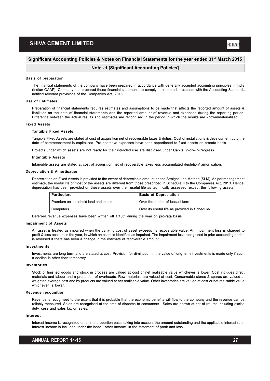### Significant Accounting Policies & Notes on Financial Statements for the year ended 31<sup>st</sup> March 2015

### Note - 1 [Significant Accounting Policies]

### Basis of preparation

The financial statements of the company have been prepared in accordance with generally accepted accounting principles in India (Indian GAAP). Company has prepared these financial statements to comply in all material respects with the Accounting Standards notified relevant provisions of the Companies Act, 2013.

### Use of Estimates

Preparation of financial statements requires estimates and assumptions to be made that affects the reported amount of assets & liabilities on the date of financial statements and the reported amount of revenue and expenses during the reporting period. Difference between the actual results and estimates are recognised in the period in which the results are known/materialised.

### Fixed Assets

### Tangible Fixed Assets

Tangible Fixed Assets are stated at cost of acquisition net of recoverable taxes & duties. Cost of installations & development upto the date of commencement is capitalised. Pre-operative expenses have been apportioned to fixed assets on prorata basis.

Projects under which assets are not ready for their intended use are disclosed under Capital Work-in-Progress.

### Intangible Assets

Intangible assets are stated at cost of acquisition net of recoverable taxes less accumulated depletion/ amortisation.

### Depreciation & Amortisation

Depreciation on Fixed Assets is provided to the extent of depreciable amount on the Straight Line Method (SLM). As per management estimate, the useful life of most of the assets are different from those prescribed in Schedule II to the Companies Act, 2013. Hence, depreciation has been provided on these assets over their useful life as technically assessed, except the following assets:

| Particulars                         | <b>Basis of Depreciation</b>                    |
|-------------------------------------|-------------------------------------------------|
| Premium on leasehold land and mines | Over the period of leased term                  |
| Computers                           | Over its useful life as provided in Schedule-II |

Deferred revenue expenses have been written off 1/10th during the year on pro-rata basis.

### Impairment of Assets

An asset is treated as impaired when the carrying cost of asset exceeds its recoverable value. An impairment loss is charged to profit & loss account in the year, in which an asset is identified as impaired. The impairment loss recognised in prior accounting period is reversed if there has been a change in the estimate of recoverable amount.

### Investments

Investments are long term and are stated at cost. Provision for diminution in the value of long term investments is made only if such a decline is other than temporary.

### Inventories

Stock of finished goods and stock in process are valued at cost or net realisable value whichever is lower. Cost includes direct materials and labour and a proportion of overheads. Raw materials are valued at cost; Consumable stores & spares are valued at weighted average cost and by products are valued at net realisable value. Other inventories are valued at cost or net realisable value whichever is lower.

### Revenue recognition

Revenue is recognised to the extent that it is probable that the economic benefits will flow to the company and the revenue can be reliably measured. Sales are recognised at the time of dispatch to consumers. Sales are shown at net of returns including excise duty, cess and sales tax on sales.

### Interest

Interest income is recognized on a time proportion basis taking into account the amount outstanding and the applicable interest rate. Interest income is included under the head " other income" in the statement of profit and loss.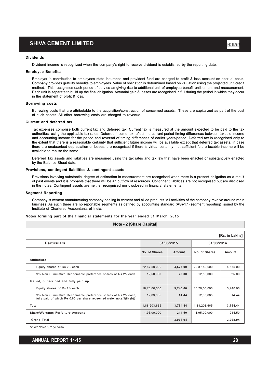### Dividends

Dividend income is recognized when the company's right to receive dividend is established by the reporting date.

### Employee Benefits

Employer 's contribution to employees state insurance and provident fund are charged to profit & loss account on accrual basis. Company provides gratuity benefits to employees. Value of obligation is determined based on valuation using the projected unit credit method. This recognises each period of service as giving rise to additional unit of employee benefit entitlement and measurement. Each unit is separate to build up the final obligation. Actuarial gain & losses are recognised in full during the period in which they occur in the statement of profit & loss.

### Borrowing costs

Borrowing costs that are attributable to the acquisition/construction of concerned assets. These are capitalized as part of the cost of such assets. All other borrowing costs are charged to revenue.

### Current and deferred tax

Tax expenses comprise both current tax and deferred tax. Current tax is measured at the amount expected to be paid to the tax authorities, using the applicable tax rates. Deferred income tax reflect the current period timing differences between taxable income and accounting income for the period and reversal of timing differences of earlier years/period. Deferred tax is recognised only to the extent that there is a reasonable certainty that sufficient future income will be available except that deferred tax assets, in case there are unabsorbed depreciation or losses, are recognised if there is virtual certainty that sufficient future taxable income will be available to realise the same.

Deferred Tax assets and liabilities are measured using the tax rates and tax law that have been enacted or substantively enacted by the Balance Sheet date.

### Provisions, contingent liabilities & contingent assets

Provisions involving substantial degree of estimation in measurement are recognised when there is a present obligation as a result of past events and it is probable that there will be an outflow of resources. Contingent liabilities are not recognised but are disclosed in the notes. Contingent assets are neither recognised nor disclosed in financial statements.

### Segment Reporting

Company is cement manufacturing company dealing in cement and allied products. All activities of the company revolve around main business. As such there are no reportable segments as defined by accounting standard (AS)-17 (segment reporting) issued by the Institute of Chartered Accountants of India.

### Notes forming part of the financial statements for the year ended 31 March, 2015

| Note - 2 [Share Capital]                                                                                                                |               |               |               |          |  |
|-----------------------------------------------------------------------------------------------------------------------------------------|---------------|---------------|---------------|----------|--|
| [Rs. in Lakhs]                                                                                                                          |               |               |               |          |  |
| <b>Particulars</b>                                                                                                                      |               | 31/03/2015    | 31/03/2014    |          |  |
|                                                                                                                                         | No. of Shares | <b>Amount</b> | No. of Shares | Amount   |  |
| Authorised                                                                                                                              |               |               |               |          |  |
| Equity shares of Rs.2/- each                                                                                                            | 22,87,50,000  | 4,575.00      | 22,87,50,000  | 4,575.00 |  |
| 9% Non Cumulative Reedemable preference shares of Rs.2/- each                                                                           | 12,50,000     | 25.00         | 12,50,000     | 25.00    |  |
| Issued, Subscribed and fully paid up                                                                                                    |               |               |               |          |  |
| Equity shares of Rs.2/- each                                                                                                            | 18,70,00,000  | 3,740.00      | 18,70,00,000  | 3,740.00 |  |
| 9% Non Cumulative Reedemable preference shares of Rs.2/- each,<br>fully paid of which Re 0.80 per share redeemed (refer note.3(ii) (b)) | 12.03.665     | 14.44         | 12,03,665     | 14.44    |  |
| Total                                                                                                                                   | 1,88,203,665  | 3,754.44      | 1,88,203,665  | 3,754.44 |  |
| Share/Warrants Forfeiture Account                                                                                                       | 1,95,00,000   | 214.50        | 1.95.00.000   | 214.50   |  |
| <b>Grand Total</b>                                                                                                                      |               | 3,968.94      |               | 3,968.94 |  |

Refers Notes (i) to (v) below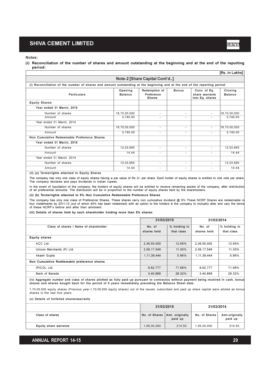### Notes:

(i) Reconciliation of the number of shares and amount outstanding at the beginning and at the end of the reporting period:

| Note-2 [Share Capital Cont'd]<br>(i) Reconcillation of the number of shares and amount outstanding at the beginning and at the end of the reporting period:<br><b>Bonus</b><br>Opening<br>Redemption of<br>Conv. of Eq.<br>Closing<br><b>Particulars</b><br><b>Balance</b><br>Preference<br>share warrants<br><b>Balance</b><br><b>Shares</b><br>into Eq. shares<br><b>Equity Shares</b><br>Year ended 31 March, 2015<br>Number of shares<br>18,70,00,000<br>18,70,00,000<br>$\overline{\phantom{a}}$<br>$\overline{a}$<br>$\overline{\phantom{a}}$<br>Amount<br>3,740.00<br>3.740.00<br>L,<br>Year ended 31 March, 2014<br>18,70,00,000<br>18,70,00,000<br>Number of shares<br>$\overline{a}$<br>$\overline{\phantom{a}}$<br>L,<br>Amount<br>3,740.00<br>3,740.00<br>$\overline{\phantom{a}}$<br>$\overline{\phantom{0}}$<br>$\overline{\phantom{a}}$<br>Non Cumulative Redeemable Preference Shares<br>Year ended 31 March, 2015<br>Number of shares<br>12,03,665<br>12,03,665<br>$\overline{\phantom{a}}$<br>$\overline{a}$<br>14.44<br>14.44<br>Amount<br>$\overline{\phantom{0}}$<br>٠<br>$\overline{\phantom{a}}$<br>Year ended 31 March, 2014<br>Number of shares<br>12,03,665<br>12,03,665<br>$\overline{\phantom{0}}$<br>$\overline{a}$<br>14.44<br>Amount<br>14.44<br>$\overline{\phantom{a}}$<br>$\overline{a}$<br>(ii) (a) Terms/rights attached to Equity Shares<br>The company has only one class of equity shares having a par value of Rs 2/- per share. Each holder of equity shares is entitled to one vote per share.<br>The company declares and pays dividends in Indian rupees.<br>In the event of liquidation of the company, the holders of equity shares will be entitled to receive remaining assets of the company, after distribution<br>of all preferential amounts. The distribution will be in proportion to the number of equity shares held by the shareholders.<br>(ii) (b) Terms/rights attached to 9% Non Cumulative Redeemable Preference Shares<br>The company has only one class of Preference Shares. These shares carry non cumulative dividend @ 9% These NCRP Shares are redeemable in<br>four installments by 2011-12 (out of which 40% has been redeemed) with an option to the holders & the company to mutually alter and vary the terms<br>of these NCRP's before and after their allotment.<br>(iii) Details of shares held by each shareholder holding more than 5% shares:<br>31/03/2015<br>31/03/2014<br>Class of shares / Name of shareholder<br>No. of<br>% holding in<br>No. of<br>% holding in<br>that class<br>shares held<br>that class<br>shares held<br><b>Equity shares</b><br>ACC Ltd.<br>2,36,50,000<br>12.65%<br>2,36,50,000<br>12.65%<br>Unicon Merchants (P) Ltd.<br>11.03%<br>2,06,17,549<br>11.03%<br>2,06,17,549<br>Akash Gupta<br>1, 11, 39, 444<br>5.96%<br>1, 11, 39, 444<br>5.96%<br>Non Cumulative Reddemable preference shares<br><b>IPICOL Ltd.</b><br>71.68%<br>8,62,777<br>71.68%<br>8,62,777<br>3,40,888<br>28.32%<br>28 32%<br>3,40,888<br><b>Bank of Barada</b><br>(iv) Aggregate number and class of shares allotted as fully paid up pursuant to contract(s) without payment being received in cash, bonus<br>shares and shares bought back for the period of 5 years immediately preceding the Balance Sheet date:<br>1,70,00,000 equity shares (Previous year-1,70,00,000 equity shares) out of the issued, subscribed and paid up share capital were alloted as bonus<br>shares in the last five years.<br>(v) Details of forfeited shares/warrants<br>31/03/2015<br>31/03/2014<br>No. of Shares<br>Class of shares<br>No. of Shares<br>Amt. originally<br>paid up<br>paid up |                              |             |        |             | [Rs. in Lakhs] |
|---------------------------------------------------------------------------------------------------------------------------------------------------------------------------------------------------------------------------------------------------------------------------------------------------------------------------------------------------------------------------------------------------------------------------------------------------------------------------------------------------------------------------------------------------------------------------------------------------------------------------------------------------------------------------------------------------------------------------------------------------------------------------------------------------------------------------------------------------------------------------------------------------------------------------------------------------------------------------------------------------------------------------------------------------------------------------------------------------------------------------------------------------------------------------------------------------------------------------------------------------------------------------------------------------------------------------------------------------------------------------------------------------------------------------------------------------------------------------------------------------------------------------------------------------------------------------------------------------------------------------------------------------------------------------------------------------------------------------------------------------------------------------------------------------------------------------------------------------------------------------------------------------------------------------------------------------------------------------------------------------------------------------------------------------------------------------------------------------------------------------------------------------------------------------------------------------------------------------------------------------------------------------------------------------------------------------------------------------------------------------------------------------------------------------------------------------------------------------------------------------------------------------------------------------------------------------------------------------------------------------------------------------------------------------------------------------------------------------------------------------------------------------------------------------------------------------------------------------------------------------------------------------------------------------------------------------------------------------------------------------------------------------------------------------------------------------------------------------------------------------------------------------------------------------------------------------------------------------------------------------------------------------------------------------------------------------------------------------------------------------------------------------------------------------------------------------------------------------------------------------------------------------------------------------------------------------------------------------------------------------------------------------------------------|------------------------------|-------------|--------|-------------|----------------|
|                                                                                                                                                                                                                                                                                                                                                                                                                                                                                                                                                                                                                                                                                                                                                                                                                                                                                                                                                                                                                                                                                                                                                                                                                                                                                                                                                                                                                                                                                                                                                                                                                                                                                                                                                                                                                                                                                                                                                                                                                                                                                                                                                                                                                                                                                                                                                                                                                                                                                                                                                                                                                                                                                                                                                                                                                                                                                                                                                                                                                                                                                                                                                                                                                                                                                                                                                                                                                                                                                                                                                                                                                                                                     |                              |             |        |             |                |
|                                                                                                                                                                                                                                                                                                                                                                                                                                                                                                                                                                                                                                                                                                                                                                                                                                                                                                                                                                                                                                                                                                                                                                                                                                                                                                                                                                                                                                                                                                                                                                                                                                                                                                                                                                                                                                                                                                                                                                                                                                                                                                                                                                                                                                                                                                                                                                                                                                                                                                                                                                                                                                                                                                                                                                                                                                                                                                                                                                                                                                                                                                                                                                                                                                                                                                                                                                                                                                                                                                                                                                                                                                                                     |                              |             |        |             |                |
|                                                                                                                                                                                                                                                                                                                                                                                                                                                                                                                                                                                                                                                                                                                                                                                                                                                                                                                                                                                                                                                                                                                                                                                                                                                                                                                                                                                                                                                                                                                                                                                                                                                                                                                                                                                                                                                                                                                                                                                                                                                                                                                                                                                                                                                                                                                                                                                                                                                                                                                                                                                                                                                                                                                                                                                                                                                                                                                                                                                                                                                                                                                                                                                                                                                                                                                                                                                                                                                                                                                                                                                                                                                                     |                              |             |        |             |                |
|                                                                                                                                                                                                                                                                                                                                                                                                                                                                                                                                                                                                                                                                                                                                                                                                                                                                                                                                                                                                                                                                                                                                                                                                                                                                                                                                                                                                                                                                                                                                                                                                                                                                                                                                                                                                                                                                                                                                                                                                                                                                                                                                                                                                                                                                                                                                                                                                                                                                                                                                                                                                                                                                                                                                                                                                                                                                                                                                                                                                                                                                                                                                                                                                                                                                                                                                                                                                                                                                                                                                                                                                                                                                     |                              |             |        |             |                |
|                                                                                                                                                                                                                                                                                                                                                                                                                                                                                                                                                                                                                                                                                                                                                                                                                                                                                                                                                                                                                                                                                                                                                                                                                                                                                                                                                                                                                                                                                                                                                                                                                                                                                                                                                                                                                                                                                                                                                                                                                                                                                                                                                                                                                                                                                                                                                                                                                                                                                                                                                                                                                                                                                                                                                                                                                                                                                                                                                                                                                                                                                                                                                                                                                                                                                                                                                                                                                                                                                                                                                                                                                                                                     |                              |             |        |             |                |
|                                                                                                                                                                                                                                                                                                                                                                                                                                                                                                                                                                                                                                                                                                                                                                                                                                                                                                                                                                                                                                                                                                                                                                                                                                                                                                                                                                                                                                                                                                                                                                                                                                                                                                                                                                                                                                                                                                                                                                                                                                                                                                                                                                                                                                                                                                                                                                                                                                                                                                                                                                                                                                                                                                                                                                                                                                                                                                                                                                                                                                                                                                                                                                                                                                                                                                                                                                                                                                                                                                                                                                                                                                                                     |                              |             |        |             |                |
|                                                                                                                                                                                                                                                                                                                                                                                                                                                                                                                                                                                                                                                                                                                                                                                                                                                                                                                                                                                                                                                                                                                                                                                                                                                                                                                                                                                                                                                                                                                                                                                                                                                                                                                                                                                                                                                                                                                                                                                                                                                                                                                                                                                                                                                                                                                                                                                                                                                                                                                                                                                                                                                                                                                                                                                                                                                                                                                                                                                                                                                                                                                                                                                                                                                                                                                                                                                                                                                                                                                                                                                                                                                                     |                              |             |        |             |                |
|                                                                                                                                                                                                                                                                                                                                                                                                                                                                                                                                                                                                                                                                                                                                                                                                                                                                                                                                                                                                                                                                                                                                                                                                                                                                                                                                                                                                                                                                                                                                                                                                                                                                                                                                                                                                                                                                                                                                                                                                                                                                                                                                                                                                                                                                                                                                                                                                                                                                                                                                                                                                                                                                                                                                                                                                                                                                                                                                                                                                                                                                                                                                                                                                                                                                                                                                                                                                                                                                                                                                                                                                                                                                     |                              |             |        |             |                |
|                                                                                                                                                                                                                                                                                                                                                                                                                                                                                                                                                                                                                                                                                                                                                                                                                                                                                                                                                                                                                                                                                                                                                                                                                                                                                                                                                                                                                                                                                                                                                                                                                                                                                                                                                                                                                                                                                                                                                                                                                                                                                                                                                                                                                                                                                                                                                                                                                                                                                                                                                                                                                                                                                                                                                                                                                                                                                                                                                                                                                                                                                                                                                                                                                                                                                                                                                                                                                                                                                                                                                                                                                                                                     |                              |             |        |             |                |
|                                                                                                                                                                                                                                                                                                                                                                                                                                                                                                                                                                                                                                                                                                                                                                                                                                                                                                                                                                                                                                                                                                                                                                                                                                                                                                                                                                                                                                                                                                                                                                                                                                                                                                                                                                                                                                                                                                                                                                                                                                                                                                                                                                                                                                                                                                                                                                                                                                                                                                                                                                                                                                                                                                                                                                                                                                                                                                                                                                                                                                                                                                                                                                                                                                                                                                                                                                                                                                                                                                                                                                                                                                                                     |                              |             |        |             |                |
|                                                                                                                                                                                                                                                                                                                                                                                                                                                                                                                                                                                                                                                                                                                                                                                                                                                                                                                                                                                                                                                                                                                                                                                                                                                                                                                                                                                                                                                                                                                                                                                                                                                                                                                                                                                                                                                                                                                                                                                                                                                                                                                                                                                                                                                                                                                                                                                                                                                                                                                                                                                                                                                                                                                                                                                                                                                                                                                                                                                                                                                                                                                                                                                                                                                                                                                                                                                                                                                                                                                                                                                                                                                                     |                              |             |        |             |                |
|                                                                                                                                                                                                                                                                                                                                                                                                                                                                                                                                                                                                                                                                                                                                                                                                                                                                                                                                                                                                                                                                                                                                                                                                                                                                                                                                                                                                                                                                                                                                                                                                                                                                                                                                                                                                                                                                                                                                                                                                                                                                                                                                                                                                                                                                                                                                                                                                                                                                                                                                                                                                                                                                                                                                                                                                                                                                                                                                                                                                                                                                                                                                                                                                                                                                                                                                                                                                                                                                                                                                                                                                                                                                     |                              |             |        |             |                |
|                                                                                                                                                                                                                                                                                                                                                                                                                                                                                                                                                                                                                                                                                                                                                                                                                                                                                                                                                                                                                                                                                                                                                                                                                                                                                                                                                                                                                                                                                                                                                                                                                                                                                                                                                                                                                                                                                                                                                                                                                                                                                                                                                                                                                                                                                                                                                                                                                                                                                                                                                                                                                                                                                                                                                                                                                                                                                                                                                                                                                                                                                                                                                                                                                                                                                                                                                                                                                                                                                                                                                                                                                                                                     |                              |             |        |             |                |
|                                                                                                                                                                                                                                                                                                                                                                                                                                                                                                                                                                                                                                                                                                                                                                                                                                                                                                                                                                                                                                                                                                                                                                                                                                                                                                                                                                                                                                                                                                                                                                                                                                                                                                                                                                                                                                                                                                                                                                                                                                                                                                                                                                                                                                                                                                                                                                                                                                                                                                                                                                                                                                                                                                                                                                                                                                                                                                                                                                                                                                                                                                                                                                                                                                                                                                                                                                                                                                                                                                                                                                                                                                                                     |                              |             |        |             |                |
|                                                                                                                                                                                                                                                                                                                                                                                                                                                                                                                                                                                                                                                                                                                                                                                                                                                                                                                                                                                                                                                                                                                                                                                                                                                                                                                                                                                                                                                                                                                                                                                                                                                                                                                                                                                                                                                                                                                                                                                                                                                                                                                                                                                                                                                                                                                                                                                                                                                                                                                                                                                                                                                                                                                                                                                                                                                                                                                                                                                                                                                                                                                                                                                                                                                                                                                                                                                                                                                                                                                                                                                                                                                                     |                              |             |        |             |                |
|                                                                                                                                                                                                                                                                                                                                                                                                                                                                                                                                                                                                                                                                                                                                                                                                                                                                                                                                                                                                                                                                                                                                                                                                                                                                                                                                                                                                                                                                                                                                                                                                                                                                                                                                                                                                                                                                                                                                                                                                                                                                                                                                                                                                                                                                                                                                                                                                                                                                                                                                                                                                                                                                                                                                                                                                                                                                                                                                                                                                                                                                                                                                                                                                                                                                                                                                                                                                                                                                                                                                                                                                                                                                     |                              |             |        |             |                |
|                                                                                                                                                                                                                                                                                                                                                                                                                                                                                                                                                                                                                                                                                                                                                                                                                                                                                                                                                                                                                                                                                                                                                                                                                                                                                                                                                                                                                                                                                                                                                                                                                                                                                                                                                                                                                                                                                                                                                                                                                                                                                                                                                                                                                                                                                                                                                                                                                                                                                                                                                                                                                                                                                                                                                                                                                                                                                                                                                                                                                                                                                                                                                                                                                                                                                                                                                                                                                                                                                                                                                                                                                                                                     |                              |             |        |             |                |
|                                                                                                                                                                                                                                                                                                                                                                                                                                                                                                                                                                                                                                                                                                                                                                                                                                                                                                                                                                                                                                                                                                                                                                                                                                                                                                                                                                                                                                                                                                                                                                                                                                                                                                                                                                                                                                                                                                                                                                                                                                                                                                                                                                                                                                                                                                                                                                                                                                                                                                                                                                                                                                                                                                                                                                                                                                                                                                                                                                                                                                                                                                                                                                                                                                                                                                                                                                                                                                                                                                                                                                                                                                                                     |                              |             |        |             |                |
|                                                                                                                                                                                                                                                                                                                                                                                                                                                                                                                                                                                                                                                                                                                                                                                                                                                                                                                                                                                                                                                                                                                                                                                                                                                                                                                                                                                                                                                                                                                                                                                                                                                                                                                                                                                                                                                                                                                                                                                                                                                                                                                                                                                                                                                                                                                                                                                                                                                                                                                                                                                                                                                                                                                                                                                                                                                                                                                                                                                                                                                                                                                                                                                                                                                                                                                                                                                                                                                                                                                                                                                                                                                                     |                              |             |        |             |                |
|                                                                                                                                                                                                                                                                                                                                                                                                                                                                                                                                                                                                                                                                                                                                                                                                                                                                                                                                                                                                                                                                                                                                                                                                                                                                                                                                                                                                                                                                                                                                                                                                                                                                                                                                                                                                                                                                                                                                                                                                                                                                                                                                                                                                                                                                                                                                                                                                                                                                                                                                                                                                                                                                                                                                                                                                                                                                                                                                                                                                                                                                                                                                                                                                                                                                                                                                                                                                                                                                                                                                                                                                                                                                     |                              |             |        |             |                |
|                                                                                                                                                                                                                                                                                                                                                                                                                                                                                                                                                                                                                                                                                                                                                                                                                                                                                                                                                                                                                                                                                                                                                                                                                                                                                                                                                                                                                                                                                                                                                                                                                                                                                                                                                                                                                                                                                                                                                                                                                                                                                                                                                                                                                                                                                                                                                                                                                                                                                                                                                                                                                                                                                                                                                                                                                                                                                                                                                                                                                                                                                                                                                                                                                                                                                                                                                                                                                                                                                                                                                                                                                                                                     |                              |             |        |             |                |
|                                                                                                                                                                                                                                                                                                                                                                                                                                                                                                                                                                                                                                                                                                                                                                                                                                                                                                                                                                                                                                                                                                                                                                                                                                                                                                                                                                                                                                                                                                                                                                                                                                                                                                                                                                                                                                                                                                                                                                                                                                                                                                                                                                                                                                                                                                                                                                                                                                                                                                                                                                                                                                                                                                                                                                                                                                                                                                                                                                                                                                                                                                                                                                                                                                                                                                                                                                                                                                                                                                                                                                                                                                                                     |                              |             |        |             |                |
|                                                                                                                                                                                                                                                                                                                                                                                                                                                                                                                                                                                                                                                                                                                                                                                                                                                                                                                                                                                                                                                                                                                                                                                                                                                                                                                                                                                                                                                                                                                                                                                                                                                                                                                                                                                                                                                                                                                                                                                                                                                                                                                                                                                                                                                                                                                                                                                                                                                                                                                                                                                                                                                                                                                                                                                                                                                                                                                                                                                                                                                                                                                                                                                                                                                                                                                                                                                                                                                                                                                                                                                                                                                                     |                              |             |        |             |                |
|                                                                                                                                                                                                                                                                                                                                                                                                                                                                                                                                                                                                                                                                                                                                                                                                                                                                                                                                                                                                                                                                                                                                                                                                                                                                                                                                                                                                                                                                                                                                                                                                                                                                                                                                                                                                                                                                                                                                                                                                                                                                                                                                                                                                                                                                                                                                                                                                                                                                                                                                                                                                                                                                                                                                                                                                                                                                                                                                                                                                                                                                                                                                                                                                                                                                                                                                                                                                                                                                                                                                                                                                                                                                     |                              |             |        |             |                |
|                                                                                                                                                                                                                                                                                                                                                                                                                                                                                                                                                                                                                                                                                                                                                                                                                                                                                                                                                                                                                                                                                                                                                                                                                                                                                                                                                                                                                                                                                                                                                                                                                                                                                                                                                                                                                                                                                                                                                                                                                                                                                                                                                                                                                                                                                                                                                                                                                                                                                                                                                                                                                                                                                                                                                                                                                                                                                                                                                                                                                                                                                                                                                                                                                                                                                                                                                                                                                                                                                                                                                                                                                                                                     |                              |             |        |             |                |
|                                                                                                                                                                                                                                                                                                                                                                                                                                                                                                                                                                                                                                                                                                                                                                                                                                                                                                                                                                                                                                                                                                                                                                                                                                                                                                                                                                                                                                                                                                                                                                                                                                                                                                                                                                                                                                                                                                                                                                                                                                                                                                                                                                                                                                                                                                                                                                                                                                                                                                                                                                                                                                                                                                                                                                                                                                                                                                                                                                                                                                                                                                                                                                                                                                                                                                                                                                                                                                                                                                                                                                                                                                                                     |                              |             |        |             |                |
|                                                                                                                                                                                                                                                                                                                                                                                                                                                                                                                                                                                                                                                                                                                                                                                                                                                                                                                                                                                                                                                                                                                                                                                                                                                                                                                                                                                                                                                                                                                                                                                                                                                                                                                                                                                                                                                                                                                                                                                                                                                                                                                                                                                                                                                                                                                                                                                                                                                                                                                                                                                                                                                                                                                                                                                                                                                                                                                                                                                                                                                                                                                                                                                                                                                                                                                                                                                                                                                                                                                                                                                                                                                                     |                              |             |        |             |                |
|                                                                                                                                                                                                                                                                                                                                                                                                                                                                                                                                                                                                                                                                                                                                                                                                                                                                                                                                                                                                                                                                                                                                                                                                                                                                                                                                                                                                                                                                                                                                                                                                                                                                                                                                                                                                                                                                                                                                                                                                                                                                                                                                                                                                                                                                                                                                                                                                                                                                                                                                                                                                                                                                                                                                                                                                                                                                                                                                                                                                                                                                                                                                                                                                                                                                                                                                                                                                                                                                                                                                                                                                                                                                     |                              |             |        |             |                |
|                                                                                                                                                                                                                                                                                                                                                                                                                                                                                                                                                                                                                                                                                                                                                                                                                                                                                                                                                                                                                                                                                                                                                                                                                                                                                                                                                                                                                                                                                                                                                                                                                                                                                                                                                                                                                                                                                                                                                                                                                                                                                                                                                                                                                                                                                                                                                                                                                                                                                                                                                                                                                                                                                                                                                                                                                                                                                                                                                                                                                                                                                                                                                                                                                                                                                                                                                                                                                                                                                                                                                                                                                                                                     |                              |             |        |             |                |
|                                                                                                                                                                                                                                                                                                                                                                                                                                                                                                                                                                                                                                                                                                                                                                                                                                                                                                                                                                                                                                                                                                                                                                                                                                                                                                                                                                                                                                                                                                                                                                                                                                                                                                                                                                                                                                                                                                                                                                                                                                                                                                                                                                                                                                                                                                                                                                                                                                                                                                                                                                                                                                                                                                                                                                                                                                                                                                                                                                                                                                                                                                                                                                                                                                                                                                                                                                                                                                                                                                                                                                                                                                                                     |                              |             |        |             |                |
|                                                                                                                                                                                                                                                                                                                                                                                                                                                                                                                                                                                                                                                                                                                                                                                                                                                                                                                                                                                                                                                                                                                                                                                                                                                                                                                                                                                                                                                                                                                                                                                                                                                                                                                                                                                                                                                                                                                                                                                                                                                                                                                                                                                                                                                                                                                                                                                                                                                                                                                                                                                                                                                                                                                                                                                                                                                                                                                                                                                                                                                                                                                                                                                                                                                                                                                                                                                                                                                                                                                                                                                                                                                                     |                              |             |        |             |                |
|                                                                                                                                                                                                                                                                                                                                                                                                                                                                                                                                                                                                                                                                                                                                                                                                                                                                                                                                                                                                                                                                                                                                                                                                                                                                                                                                                                                                                                                                                                                                                                                                                                                                                                                                                                                                                                                                                                                                                                                                                                                                                                                                                                                                                                                                                                                                                                                                                                                                                                                                                                                                                                                                                                                                                                                                                                                                                                                                                                                                                                                                                                                                                                                                                                                                                                                                                                                                                                                                                                                                                                                                                                                                     |                              |             |        |             |                |
|                                                                                                                                                                                                                                                                                                                                                                                                                                                                                                                                                                                                                                                                                                                                                                                                                                                                                                                                                                                                                                                                                                                                                                                                                                                                                                                                                                                                                                                                                                                                                                                                                                                                                                                                                                                                                                                                                                                                                                                                                                                                                                                                                                                                                                                                                                                                                                                                                                                                                                                                                                                                                                                                                                                                                                                                                                                                                                                                                                                                                                                                                                                                                                                                                                                                                                                                                                                                                                                                                                                                                                                                                                                                     |                              |             |        |             |                |
|                                                                                                                                                                                                                                                                                                                                                                                                                                                                                                                                                                                                                                                                                                                                                                                                                                                                                                                                                                                                                                                                                                                                                                                                                                                                                                                                                                                                                                                                                                                                                                                                                                                                                                                                                                                                                                                                                                                                                                                                                                                                                                                                                                                                                                                                                                                                                                                                                                                                                                                                                                                                                                                                                                                                                                                                                                                                                                                                                                                                                                                                                                                                                                                                                                                                                                                                                                                                                                                                                                                                                                                                                                                                     |                              |             |        |             |                |
|                                                                                                                                                                                                                                                                                                                                                                                                                                                                                                                                                                                                                                                                                                                                                                                                                                                                                                                                                                                                                                                                                                                                                                                                                                                                                                                                                                                                                                                                                                                                                                                                                                                                                                                                                                                                                                                                                                                                                                                                                                                                                                                                                                                                                                                                                                                                                                                                                                                                                                                                                                                                                                                                                                                                                                                                                                                                                                                                                                                                                                                                                                                                                                                                                                                                                                                                                                                                                                                                                                                                                                                                                                                                     |                              |             |        |             |                |
|                                                                                                                                                                                                                                                                                                                                                                                                                                                                                                                                                                                                                                                                                                                                                                                                                                                                                                                                                                                                                                                                                                                                                                                                                                                                                                                                                                                                                                                                                                                                                                                                                                                                                                                                                                                                                                                                                                                                                                                                                                                                                                                                                                                                                                                                                                                                                                                                                                                                                                                                                                                                                                                                                                                                                                                                                                                                                                                                                                                                                                                                                                                                                                                                                                                                                                                                                                                                                                                                                                                                                                                                                                                                     |                              |             |        |             |                |
|                                                                                                                                                                                                                                                                                                                                                                                                                                                                                                                                                                                                                                                                                                                                                                                                                                                                                                                                                                                                                                                                                                                                                                                                                                                                                                                                                                                                                                                                                                                                                                                                                                                                                                                                                                                                                                                                                                                                                                                                                                                                                                                                                                                                                                                                                                                                                                                                                                                                                                                                                                                                                                                                                                                                                                                                                                                                                                                                                                                                                                                                                                                                                                                                                                                                                                                                                                                                                                                                                                                                                                                                                                                                     |                              |             |        |             | Amt.originally |
|                                                                                                                                                                                                                                                                                                                                                                                                                                                                                                                                                                                                                                                                                                                                                                                                                                                                                                                                                                                                                                                                                                                                                                                                                                                                                                                                                                                                                                                                                                                                                                                                                                                                                                                                                                                                                                                                                                                                                                                                                                                                                                                                                                                                                                                                                                                                                                                                                                                                                                                                                                                                                                                                                                                                                                                                                                                                                                                                                                                                                                                                                                                                                                                                                                                                                                                                                                                                                                                                                                                                                                                                                                                                     | <b>Equity share warrants</b> | 1,95,00,000 | 214.50 | 1,95,00,000 | 214.50         |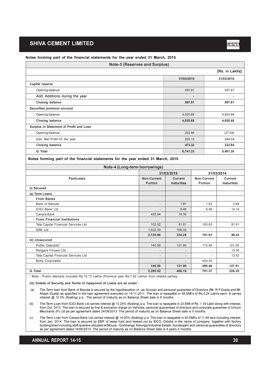### Notes forming part of the financial statements for the year ended 31 March, 2015

| <b>Note-3 (Reserves and Surplus)</b>    |                          |                |  |
|-----------------------------------------|--------------------------|----------------|--|
|                                         |                          | [Rs. in Lakhs] |  |
|                                         | 31/03/2015               | 31/03/2014     |  |
| Capital reserve                         |                          |                |  |
| Opening balance                         | 597.81                   | 597.81         |  |
| Add: Additions during the year          | $\overline{\phantom{a}}$ | -              |  |
| <b>Closing balance</b>                  | 597.81                   | 597.81         |  |
| Securities premium account              |                          |                |  |
| Opening balance                         | 4,920.68                 | 4,920.68       |  |
| Closing balance                         | 4,920.68                 | 4,920.68       |  |
| Surplus in Statement of Profit and Loss |                          |                |  |
| Opening balance                         | 222.84                   | (27.29)        |  |
| Add: Net Profit for the year            | 250.13                   | 264.94         |  |
| Closing balance                         | 473.32                   | 222.84         |  |
| G. Total                                | 5,741.33                 | 5,491.20       |  |
|                                         |                          |                |  |

Notes forming part of the financial statements for the year ended 31 March, 2015

| Note-4 (Long-term borrowings)        |                               |                              |                               |                       |  |
|--------------------------------------|-------------------------------|------------------------------|-------------------------------|-----------------------|--|
|                                      | 31/03/2015<br>31/03/2014      |                              |                               |                       |  |
| <b>Particulars</b>                   | Non-Current<br><b>Portion</b> | <b>Current</b><br>maturities | Non-Current<br><b>Portion</b> | Current<br>maturities |  |
| (i) Secured                          |                               |                              |                               |                       |  |
| (a) Term Loans                       |                               |                              |                               |                       |  |
| <b>From Banks</b>                    |                               |                              |                               |                       |  |
| Bank of Baroda                       | $\overline{\phantom{0}}$      | 1.81                         | 1.82                          | 2.68                  |  |
| <b>ICICI Bank Ltd</b>                |                               | 6.46                         | 6.46                          | 14.14                 |  |
| Canara Bank                          | 405.94                        | 76.36                        | $\overline{\phantom{a}}$      |                       |  |
| <b>From Financial Institutions</b>   |                               |                              |                               |                       |  |
| Tata Capital Financial Services Ltd  | 102.02                        | 81.61                        | 183.63                        | 81.61                 |  |
| IDBI Ltd.                            | 1,632.00                      | 168.00                       |                               |                       |  |
|                                      | 2,139.96                      | 334.25                       | 191.91                        | 98.43                 |  |
| (ii) Unsecured                       |                               |                              |                               |                       |  |
| Public Deposits*                     | 140.56                        | 131.90                       | 175.46                        | 101.05                |  |
| Religare Finvest Ltd.                | $\overline{\phantom{0}}$      |                              |                               | 13.35                 |  |
| Tata Capital Financial Services Ltd. | $\overline{\phantom{0}}$      | $\overline{\phantom{0}}$     | $\overline{a}$                | 13.52                 |  |
| <b>Body Corporates</b>               | $\overline{\phantom{0}}$      |                              | 424.00                        |                       |  |
|                                      | 140.56                        | 131.90                       | 599.46                        | 127.91                |  |
| G. Total                             | 2,280.52                      | 466.15                       | 791.37                        | 226.35                |  |

\* Note - Public deposits includes Rs.15.73 Lakhs (Previous year Rs.7.82 Lakhs) from related parties.

(iii) Details of Security and Terms of repayment of Loans are as under :

- (a) The Term loan from Bank of Baroda is secured by the hypothecation of car Scorpio and personal guarantee of Directors (Mr. R.P.Gupta and Mr. Akash Gupta) as specified in the loan agreement executed on 15-11-2011. The loan is repayable in 48 EMI's of Rs.0.24 Lakhs each. It carries interest @ 12.5% (floating) p.a. The period of maturity as on Balance Sheet date is 8 months.
- (b) The Term Loan from ICICI Bank Ltd carries interest @ 13.25% (floating) p.a. The loan is repayable in 23 EMI of Rs. 1.34 Lakh along with interest, from Oct, 2013. The loan is secured by first & exclusive charge on Vehicles, personal guarantees of directors and corporate guarantee of Unicon Merchants (P) Ltd as per agreement dated 24/09/2013. The period of maturity as on Balance Sheet date is 5 months.
- (c) The Term Loan from Canara Bank Ltd carries interest @ 14.20% (floating) p.a. The loan is repayable in 60 EMI's of 11.69 lacs including interest, from Jan, 2014. The loan is secured by EMT of lease hold land leased out by IDCO, Odisha in the name of company together with factory building/shed including staff quarters stituated at Mouza - Goibhanga, Kalunga Industrial Estate, Sundergarh and personal guarantees of directors as per agreement dated 16/06/2014. The period of maturity as on Balance Sheet date is 4 years 9 months.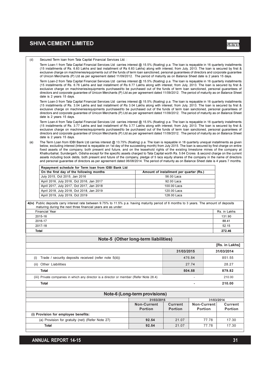| (d)          | Secured Term Ioan from Tata Capital Financial Services Ltd.:                                                                                                                                                                                                                                                                                                                                                                                                                                                                                                                                                                                                                                                                                                                                                                                                                              |                                      |                                         |             |                |  |
|--------------|-------------------------------------------------------------------------------------------------------------------------------------------------------------------------------------------------------------------------------------------------------------------------------------------------------------------------------------------------------------------------------------------------------------------------------------------------------------------------------------------------------------------------------------------------------------------------------------------------------------------------------------------------------------------------------------------------------------------------------------------------------------------------------------------------------------------------------------------------------------------------------------------|--------------------------------------|-----------------------------------------|-------------|----------------|--|
|              | Term Loan-1 from Tata Capital Financial Services Ltd carries interest @ 15.5% (floating) p.a. The loan is repayable in 16 quarterly installments<br>(15 installments of Rs. 6.83 Lakhs and last installment of Rs 6.83 Lakhs) along with interest, from July, 2013. The loan is secured by first &<br>exclusive charge on machineries/equipments out of the funds of term loan sanctioned, personal guarantees of directors and corporate guarantee<br>of Unicon Merchants (P) Ltd as per agreement dated 11/09/2012. The period of maturity as on Balance Sheet date is 2 years 15 days.                                                                                                                                                                                                                                                                                                 |                                      |                                         |             |                |  |
|              | Term Loan-2 from Tata Capital Financial Services Ltd carries interest @ 15.5% (floating) p.a. The loan is repayable in 16 quarterly installments<br>(15 installments of Rs. 6.76 Lakhs and last installment of Rs 6.77 Lakhs along with interest, from July, 2013. The loan is secured by first &<br>exclusive charge on machineries/equipments purchased/to be purchased out of the funds of term loan sanctioned, personal guarantees of<br>directors and corporate guarantee of Unicon Merchants (P) Ltd as per agreement dated 11/09/2012. The period of maturity as on Balance Sheet<br>date is 2 years 15 days.                                                                                                                                                                                                                                                                     |                                      |                                         |             |                |  |
|              | Term Loan-3 from Tata Capital Financial Services Ltd carries interest @ 15.5% (floating) p.a. The loan is repayable in 16 quarterly installments<br>(15 installments of Rs. 3.04 Lakhs and last installment of Rs 3.04 Lakhs along with interest, from July, 2013. The loan is secured by first &<br>exclusive charge on machineries/equipments purchased/to be purchased out of the funds of term loan sanctioned, personal guarantees of<br>directors and corporate guarantee of Unicon Merchants (P) Ltd as per agreement dated 11/09/2012. The period of maturity as on Balance Sheet<br>date is 2 years 15 days.                                                                                                                                                                                                                                                                     |                                      |                                         |             |                |  |
|              | Term Loan-4 from Tata Capital Financial Services Ltd carries interest @ 15.5% (floating) p.a. The loan is repayable in 16 quarterly installments<br>(15 installments of Rs. 3.77 Lakhs and last installment of Rs 3.77 Lakhs along with interest, from July, 2013. The loan is secured by first &<br>exclusive charge on machineries/equipments purchased/to be purchased out of the funds of term loan sanctioned, personal guarantees of<br>directors and corporate guarantee of Unicon Merchants (P) Ltd as per agreement dated 11/09/2012. The period of maturity as on Balance Sheet<br>date is 2 years 15 days.                                                                                                                                                                                                                                                                     |                                      |                                         |             |                |  |
| (e)          | The Term Loan from IDBI Bank Ltd carries interest @ 13.75% (floating) p.a. The loan is repayable in 18 quarterly unequal installments as given<br>below, excluding interest (Interest is repayable on 1st day of the succeeding month) from July 2015. The loan is secured by first charge on entire<br>fixed assets of the company, both present and future, and on the leasehold rights of the existing limestone mines of the company at<br>Khatkurbahal, Sundergarh, Odisha except for the specific assets charged to Tata Capital worth Rs. 5.64 Crores & second charge on the current<br>assets including book debts, both present and future of the company, pledge of 5 lacs equity shares of the company in the name of directors<br>and personal guarantee of directors as per agreement dated 06/08/2014. The period of maturity as on Balance Sheet date is 4 years 7 months. |                                      |                                         |             |                |  |
|              | Repayment schedule for Term Ioan from IDBI Bank Ltd                                                                                                                                                                                                                                                                                                                                                                                                                                                                                                                                                                                                                                                                                                                                                                                                                                       |                                      |                                         |             |                |  |
|              | On the first day of the following months                                                                                                                                                                                                                                                                                                                                                                                                                                                                                                                                                                                                                                                                                                                                                                                                                                                  |                                      | Amount of installment per quarter (Rs.) |             |                |  |
|              | July 2015, Oct 2015, Jan 2016                                                                                                                                                                                                                                                                                                                                                                                                                                                                                                                                                                                                                                                                                                                                                                                                                                                             |                                      | 56.00 Lacs                              |             |                |  |
|              | April 2016, July 2016, Oct 2016, Jan 2017                                                                                                                                                                                                                                                                                                                                                                                                                                                                                                                                                                                                                                                                                                                                                                                                                                                 |                                      | 92.00 Lacs                              |             |                |  |
|              | April 2017, July 2017, Oct 2017, Jan 2018                                                                                                                                                                                                                                                                                                                                                                                                                                                                                                                                                                                                                                                                                                                                                                                                                                                 |                                      | 100.00 Lacs                             |             |                |  |
|              | April 2018, July 2018, Oct 2018, Jan 2019                                                                                                                                                                                                                                                                                                                                                                                                                                                                                                                                                                                                                                                                                                                                                                                                                                                 |                                      | 120.00 Lacs                             |             |                |  |
|              | April 2019, July 2019, Oct 2019                                                                                                                                                                                                                                                                                                                                                                                                                                                                                                                                                                                                                                                                                                                                                                                                                                                           |                                      | 128.00 Lacs                             |             |                |  |
|              | 4(iv) Public deposits carry interest rate between 9.75% to 11.5% p.a. having maturity period of 6 months to 3 years. The amount of deposits                                                                                                                                                                                                                                                                                                                                                                                                                                                                                                                                                                                                                                                                                                                                               |                                      |                                         |             |                |  |
|              | maturing during the next three financial years are as under:                                                                                                                                                                                                                                                                                                                                                                                                                                                                                                                                                                                                                                                                                                                                                                                                                              |                                      |                                         |             |                |  |
|              | <b>Financial Year</b>                                                                                                                                                                                                                                                                                                                                                                                                                                                                                                                                                                                                                                                                                                                                                                                                                                                                     |                                      |                                         |             | Rs. in Lakhs   |  |
|              | 2015-16                                                                                                                                                                                                                                                                                                                                                                                                                                                                                                                                                                                                                                                                                                                                                                                                                                                                                   |                                      |                                         |             | 131.90         |  |
|              | 2016-17                                                                                                                                                                                                                                                                                                                                                                                                                                                                                                                                                                                                                                                                                                                                                                                                                                                                                   |                                      |                                         |             | 88.41          |  |
|              | 2017-18                                                                                                                                                                                                                                                                                                                                                                                                                                                                                                                                                                                                                                                                                                                                                                                                                                                                                   |                                      |                                         |             | 52.15          |  |
| <b>Total</b> |                                                                                                                                                                                                                                                                                                                                                                                                                                                                                                                                                                                                                                                                                                                                                                                                                                                                                           |                                      |                                         |             | 272.46         |  |
|              |                                                                                                                                                                                                                                                                                                                                                                                                                                                                                                                                                                                                                                                                                                                                                                                                                                                                                           |                                      |                                         |             |                |  |
|              |                                                                                                                                                                                                                                                                                                                                                                                                                                                                                                                                                                                                                                                                                                                                                                                                                                                                                           | Note-5 (Other long-term liabilities) |                                         |             |                |  |
|              |                                                                                                                                                                                                                                                                                                                                                                                                                                                                                                                                                                                                                                                                                                                                                                                                                                                                                           |                                      |                                         |             | [Rs. in Lakhs] |  |
|              |                                                                                                                                                                                                                                                                                                                                                                                                                                                                                                                                                                                                                                                                                                                                                                                                                                                                                           |                                      | 31/03/2015                              |             | 31/03/2014     |  |
| (i)          | Trade / security deposits received (refer note 5(iii))                                                                                                                                                                                                                                                                                                                                                                                                                                                                                                                                                                                                                                                                                                                                                                                                                                    |                                      |                                         | 476.84      | 851.55         |  |
|              | (ii) Other Liabilities                                                                                                                                                                                                                                                                                                                                                                                                                                                                                                                                                                                                                                                                                                                                                                                                                                                                    |                                      |                                         | 27.74       | 28.27          |  |
|              | Total                                                                                                                                                                                                                                                                                                                                                                                                                                                                                                                                                                                                                                                                                                                                                                                                                                                                                     |                                      |                                         | 504.58      | 879.82         |  |
|              | (iii) Private companies in which any director is a director or member (Refer Note 28.4)                                                                                                                                                                                                                                                                                                                                                                                                                                                                                                                                                                                                                                                                                                                                                                                                   |                                      |                                         |             | 210.00         |  |
|              | Total                                                                                                                                                                                                                                                                                                                                                                                                                                                                                                                                                                                                                                                                                                                                                                                                                                                                                     |                                      |                                         |             | 210.00         |  |
|              |                                                                                                                                                                                                                                                                                                                                                                                                                                                                                                                                                                                                                                                                                                                                                                                                                                                                                           |                                      |                                         |             |                |  |
|              |                                                                                                                                                                                                                                                                                                                                                                                                                                                                                                                                                                                                                                                                                                                                                                                                                                                                                           | <b>Note-6 (Long-term provisions)</b> |                                         |             |                |  |
|              |                                                                                                                                                                                                                                                                                                                                                                                                                                                                                                                                                                                                                                                                                                                                                                                                                                                                                           | 31/03/2015                           |                                         |             | 31/03/2014     |  |
|              |                                                                                                                                                                                                                                                                                                                                                                                                                                                                                                                                                                                                                                                                                                                                                                                                                                                                                           | <b>Non-Current</b>                   | <b>Current</b>                          | Non-Current | Current        |  |
|              |                                                                                                                                                                                                                                                                                                                                                                                                                                                                                                                                                                                                                                                                                                                                                                                                                                                                                           | Portion                              | <b>Portion</b>                          | Portion     | <b>Portion</b> |  |
|              | (i) Provision for employee benefits:                                                                                                                                                                                                                                                                                                                                                                                                                                                                                                                                                                                                                                                                                                                                                                                                                                                      |                                      |                                         |             |                |  |
|              | (a) Provision for gratuity (net) (Refer Note 27)                                                                                                                                                                                                                                                                                                                                                                                                                                                                                                                                                                                                                                                                                                                                                                                                                                          | 92.54                                | 21.07                                   | 77.78       | 17.30          |  |
|              | Total                                                                                                                                                                                                                                                                                                                                                                                                                                                                                                                                                                                                                                                                                                                                                                                                                                                                                     | 92.54                                | 21.07                                   | 77.78       | 17.30          |  |

Ť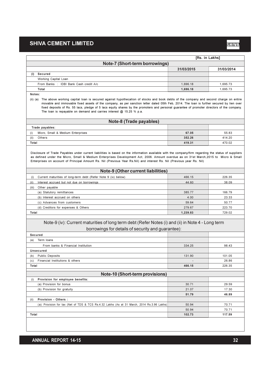|                                                                                                                                                                                                                                                                                                                                                                                                                                                                                                                            |                 | [Rs. in Lakhs]   |
|----------------------------------------------------------------------------------------------------------------------------------------------------------------------------------------------------------------------------------------------------------------------------------------------------------------------------------------------------------------------------------------------------------------------------------------------------------------------------------------------------------------------------|-----------------|------------------|
| Note-7 (Short-term borrowings)                                                                                                                                                                                                                                                                                                                                                                                                                                                                                             |                 |                  |
|                                                                                                                                                                                                                                                                                                                                                                                                                                                                                                                            | 31/03/2015      | 31/03/2014       |
| Secured<br>(i)                                                                                                                                                                                                                                                                                                                                                                                                                                                                                                             |                 |                  |
| Working Capital Loan                                                                                                                                                                                                                                                                                                                                                                                                                                                                                                       |                 |                  |
| From Banks : IDBI Bank Cash credit A/c                                                                                                                                                                                                                                                                                                                                                                                                                                                                                     | 1,696.18        | 1,695.73         |
| Total                                                                                                                                                                                                                                                                                                                                                                                                                                                                                                                      | 1,696.18        | 1,695.73         |
| Notes:<br>(ii) (a) The above working capital loan is secured against hypothecation of stocks and book debts of the company and second charge on entire<br>movable and immovable fixed assets of the company, as per sanction letter dated 05th Feb, 2014. The loan is further secured by lien over<br>fixed deposits of Rs. 55 lacs, pledge of 5 lacs equity shares by the promoters and personal guarantee of promoter directors of the company.<br>The loan is repayable on demand and carries interest $@$ 15.25 % p.a. |                 |                  |
| Note-8 (Trade payables)                                                                                                                                                                                                                                                                                                                                                                                                                                                                                                    |                 |                  |
| Trade payables:                                                                                                                                                                                                                                                                                                                                                                                                                                                                                                            |                 |                  |
| Micro, Small & Medium Enterprises<br>(i)                                                                                                                                                                                                                                                                                                                                                                                                                                                                                   | 67.05           | 55.83            |
| (ii)<br>Others                                                                                                                                                                                                                                                                                                                                                                                                                                                                                                             | 352.26          | 414.20           |
| Total                                                                                                                                                                                                                                                                                                                                                                                                                                                                                                                      | 419.31          | 470.02           |
| <b>Note-9 (Other current liabilities)</b><br>Current maturities of long-term debt (Refer Note 9 (iv) below)                                                                                                                                                                                                                                                                                                                                                                                                                | 466.15          | 226.35           |
| (i)                                                                                                                                                                                                                                                                                                                                                                                                                                                                                                                        |                 |                  |
| Interest accrued but not due on borrowings<br>(ii)                                                                                                                                                                                                                                                                                                                                                                                                                                                                         | 44.60           | 38.09            |
| (iii)<br>Other payable                                                                                                                                                                                                                                                                                                                                                                                                                                                                                                     |                 |                  |
| (a) Statutory remittances                                                                                                                                                                                                                                                                                                                                                                                                                                                                                                  | 385.77          | 166.79           |
|                                                                                                                                                                                                                                                                                                                                                                                                                                                                                                                            |                 |                  |
| (b) Interest accrued on others                                                                                                                                                                                                                                                                                                                                                                                                                                                                                             | 4.00            | 23.33            |
| (c) Advances from customers                                                                                                                                                                                                                                                                                                                                                                                                                                                                                                | 59.64           | 50.77            |
| (d) Creditors for expenses & Others<br>Total                                                                                                                                                                                                                                                                                                                                                                                                                                                                               | 279.67          | 223.70<br>729.02 |
|                                                                                                                                                                                                                                                                                                                                                                                                                                                                                                                            | 1,239.83        |                  |
| Note-9 (iv): Current maturities of long term debt (Refer Notes (i) and (ii) in Note 4 - Long term<br>borrowings for details of security and guarantee):                                                                                                                                                                                                                                                                                                                                                                    |                 |                  |
| <b>Secured</b>                                                                                                                                                                                                                                                                                                                                                                                                                                                                                                             |                 |                  |
| Term loans<br>(a)                                                                                                                                                                                                                                                                                                                                                                                                                                                                                                          |                 |                  |
| From banks & Financial Institution                                                                                                                                                                                                                                                                                                                                                                                                                                                                                         | 334.25          | 98.43            |
| <b>Unsecured</b>                                                                                                                                                                                                                                                                                                                                                                                                                                                                                                           |                 |                  |
| <b>Public Deposits</b><br>(b)                                                                                                                                                                                                                                                                                                                                                                                                                                                                                              | 131.90          | 101.05           |
| Financial Institutions & others<br>(c)                                                                                                                                                                                                                                                                                                                                                                                                                                                                                     |                 | 26.86            |
| Total                                                                                                                                                                                                                                                                                                                                                                                                                                                                                                                      | 466.15          | 226.35           |
| <b>Note-10 (Short-term provisions)</b>                                                                                                                                                                                                                                                                                                                                                                                                                                                                                     |                 |                  |
| Provision for employee benefits:<br>(i)                                                                                                                                                                                                                                                                                                                                                                                                                                                                                    |                 |                  |
| (a) Provision for bonus                                                                                                                                                                                                                                                                                                                                                                                                                                                                                                    | 30.71           | 29.59            |
| (b) Provision for gratuity                                                                                                                                                                                                                                                                                                                                                                                                                                                                                                 | 21.07           | 17.30            |
|                                                                                                                                                                                                                                                                                                                                                                                                                                                                                                                            | 51.79           | 46.89            |
| Provision - Others :<br>(ii)                                                                                                                                                                                                                                                                                                                                                                                                                                                                                               |                 |                  |
| (a) Provision for tax (Net of TDS & TCS Rs.4.32 Lakhs (As at 31 March, 2014 Rs.3.96 Lakhs)                                                                                                                                                                                                                                                                                                                                                                                                                                 | 50.94           | 70.71            |
| Total                                                                                                                                                                                                                                                                                                                                                                                                                                                                                                                      | 50.94<br>102.73 | 70.71<br>117.59  |

**SHIVA**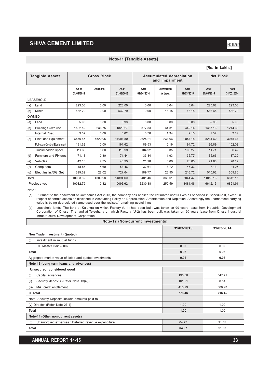|                                 | <b>Note-11 [Tangible Assets]</b>                                                                                                                                                                                                                                                                                                                                                                                                                                                                                                                            |                     |                  |                                   |                    |                            |                    |                    |                    |
|---------------------------------|-------------------------------------------------------------------------------------------------------------------------------------------------------------------------------------------------------------------------------------------------------------------------------------------------------------------------------------------------------------------------------------------------------------------------------------------------------------------------------------------------------------------------------------------------------------|---------------------|------------------|-----------------------------------|--------------------|----------------------------|--------------------|--------------------|--------------------|
|                                 | [Rs. in Lakhs]                                                                                                                                                                                                                                                                                                                                                                                                                                                                                                                                              |                     |                  |                                   |                    |                            |                    |                    |                    |
|                                 | <b>Tabgible Assets</b><br><b>Gross Block</b><br>Accumulated depreciation<br>and impairment                                                                                                                                                                                                                                                                                                                                                                                                                                                                  |                     |                  | <b>Net Block</b>                  |                    |                            |                    |                    |                    |
|                                 |                                                                                                                                                                                                                                                                                                                                                                                                                                                                                                                                                             | As at<br>01/04/2014 | <b>Additions</b> | Asat<br>31/03/2015                | Asat<br>01/04/2014 | Depreciation<br>for theyr. | Asat<br>31/03/2015 | Asat<br>31/03/2015 | Asat<br>31/03/2014 |
|                                 | <b>LEASEHOLD</b>                                                                                                                                                                                                                                                                                                                                                                                                                                                                                                                                            |                     |                  |                                   |                    |                            |                    |                    |                    |
| (a)                             | Land                                                                                                                                                                                                                                                                                                                                                                                                                                                                                                                                                        | 223.06              | 0.00             | 223.06                            | 0.00               | 3.04                       | 3.04               | 220.02             | 223.06             |
| (b)                             | Mines                                                                                                                                                                                                                                                                                                                                                                                                                                                                                                                                                       | 532.79              | 0.00             | 532.79                            | 0.00               | 16.15                      | 16.15              | 516.65             | 532.79             |
| OWNED                           |                                                                                                                                                                                                                                                                                                                                                                                                                                                                                                                                                             |                     |                  |                                   |                    |                            |                    |                    |                    |
| (a)                             | Land                                                                                                                                                                                                                                                                                                                                                                                                                                                                                                                                                        | 5.98                | 0.00             | 5.98                              | 0.00               | 0.00                       | 0.00               | 5.98               | 5.98               |
| (b)                             | <b>Buildings Own use</b>                                                                                                                                                                                                                                                                                                                                                                                                                                                                                                                                    | 1592.52             | 236.75           | 1829.27                           | 377.83             | 64.31                      | 442.14             | 1387.13            | 1214.69            |
|                                 | <b>Internal Road</b>                                                                                                                                                                                                                                                                                                                                                                                                                                                                                                                                        | 3.62                | 0.00             | 3.62                              | 0.76               | 1.34                       | 2.10               | 1.52               | 2.87               |
| (c)                             | Plant and Equipment                                                                                                                                                                                                                                                                                                                                                                                                                                                                                                                                         | 6570.85             | 4520.95          | 11091.80                          | 2625.21            | 231.96                     | 2857.18            | 8234.62            | 3945.64            |
|                                 | <b>Pollution Control Equipment</b><br>Truck\Loader\Tipper                                                                                                                                                                                                                                                                                                                                                                                                                                                                                                   | 191.62<br>111.39    | 0.00<br>5.60     | 191.62<br>116.99                  | 89.53<br>104.92    | 5.19<br>0.35               | 94.72<br>105.27    | 96.89<br>11.71     | 102.08<br>6.47     |
| (d)                             | <b>Furniture and Fixtures</b>                                                                                                                                                                                                                                                                                                                                                                                                                                                                                                                               | 71.13               | 0.30             | 71.44                             | 33.84              | 1.93                       | 35.77              | 35.66              | 37.29              |
| (e)                             | Vehicles                                                                                                                                                                                                                                                                                                                                                                                                                                                                                                                                                    | 42.18               | 4.75             | 46.93                             | 21.98              | 3.06                       | 25.05              | 21.88              | 20.19              |
| (f)                             | Computers                                                                                                                                                                                                                                                                                                                                                                                                                                                                                                                                                   | 48.86               | 4.60             | 53.46                             | 37.61              | 8.72                       | 46.33              | 7.13               | 11.25              |
| (g)                             | Elect.Instln./DG Set                                                                                                                                                                                                                                                                                                                                                                                                                                                                                                                                        | 699.62              | 28.02            | 727.64                            | 189.77             | 26.95                      | 216.72             | 510.92             | 509.85             |
| Total                           |                                                                                                                                                                                                                                                                                                                                                                                                                                                                                                                                                             | 10093.62            | 4800.98          | 14894.60                          | 3481.46            | 363.01                     | 3844.47            | 11050.13           | 6612.15            |
|                                 | Previous year                                                                                                                                                                                                                                                                                                                                                                                                                                                                                                                                               | 10082.79            | 10.82            | 10093.62                          | 3230.88            | 250.59                     | 3481.46            | 6612.15            | 6851.91            |
| (b)                             | respect of certain assets as disclosed in Accounting Policy on Depreciation, Amortisation and Depletion. Accordingly the unamortised carrying<br>value is being depreciated / amortised over the revised/ remaining useful lives.<br>Leasehold lands: The land at Kalunga on which Factory (U-1) has been built was taken on 90 years lease from Industrial Development<br>Corporation of Orissa. The land at Teleghana on which Factory (U-2) has been built was taken on 90 years lease from Orissa Industrial<br>Infrastructure Development Corporation. |                     |                  |                                   |                    |                            |                    |                    |                    |
|                                 |                                                                                                                                                                                                                                                                                                                                                                                                                                                                                                                                                             |                     |                  | Note-12 (Non-current investments) |                    |                            |                    |                    |                    |
|                                 |                                                                                                                                                                                                                                                                                                                                                                                                                                                                                                                                                             |                     |                  |                                   |                    |                            | 31/03/2015         |                    | 31/03/2014         |
|                                 | Non Trade investment (Quoted)                                                                                                                                                                                                                                                                                                                                                                                                                                                                                                                               |                     |                  |                                   |                    |                            |                    |                    |                    |
| (i)                             | Investment in mutual funds                                                                                                                                                                                                                                                                                                                                                                                                                                                                                                                                  |                     |                  |                                   |                    |                            |                    |                    |                    |
|                                 | UTI Master Gain (500)                                                                                                                                                                                                                                                                                                                                                                                                                                                                                                                                       |                     |                  |                                   |                    |                            | 0.07               |                    | 0.07               |
| Total                           |                                                                                                                                                                                                                                                                                                                                                                                                                                                                                                                                                             |                     |                  |                                   |                    |                            | 0.07               |                    | 0.07               |
|                                 | Aggregate market value of listed and quoted investments                                                                                                                                                                                                                                                                                                                                                                                                                                                                                                     |                     |                  |                                   |                    |                            | 0.06               |                    | 0.06               |
|                                 | Note-13 (Long-term loans and advances)                                                                                                                                                                                                                                                                                                                                                                                                                                                                                                                      |                     |                  |                                   |                    |                            |                    |                    |                    |
|                                 | Unsecured, considered good                                                                                                                                                                                                                                                                                                                                                                                                                                                                                                                                  |                     |                  |                                   |                    |                            |                    |                    |                    |
| (i)                             | Capital advances                                                                                                                                                                                                                                                                                                                                                                                                                                                                                                                                            |                     |                  |                                   |                    |                            | 195.56             |                    | 347.21             |
| (ii)                            | Security deposits (Refer Note 13(iv))                                                                                                                                                                                                                                                                                                                                                                                                                                                                                                                       |                     |                  |                                   |                    |                            | 161.91             |                    | 8.51               |
| (iii)<br>MAT credit entitlement |                                                                                                                                                                                                                                                                                                                                                                                                                                                                                                                                                             |                     | 415.99           |                                   | 360.73             |                            |                    |                    |                    |
| G. Total                        |                                                                                                                                                                                                                                                                                                                                                                                                                                                                                                                                                             |                     | 773.46           |                                   | 716.45             |                            |                    |                    |                    |
|                                 | Note: Security Deposits include amounts paid to                                                                                                                                                                                                                                                                                                                                                                                                                                                                                                             |                     |                  |                                   |                    |                            |                    |                    |                    |
|                                 | (v) Director (Refer Note 27.4)                                                                                                                                                                                                                                                                                                                                                                                                                                                                                                                              |                     |                  |                                   |                    |                            | 1.00               |                    | 1.00               |
| Total                           |                                                                                                                                                                                                                                                                                                                                                                                                                                                                                                                                                             |                     |                  |                                   |                    |                            | 1.00               |                    | 1.00               |
|                                 | Note-14 (Other non-current assets)                                                                                                                                                                                                                                                                                                                                                                                                                                                                                                                          |                     |                  |                                   |                    |                            |                    |                    |                    |
| (i)                             | Unamortised expenses : Deferred revenue expenditure                                                                                                                                                                                                                                                                                                                                                                                                                                                                                                         |                     |                  |                                   |                    |                            | 64.97              |                    | 91.07              |
|                                 | Total                                                                                                                                                                                                                                                                                                                                                                                                                                                                                                                                                       |                     |                  |                                   |                    |                            | 64.97              |                    | 91.07              |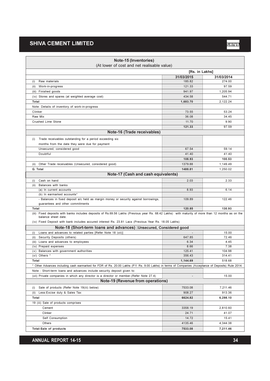| Note-15 (Inventories)<br>(At lower of cost and net realisable value)                                                                                                      |                          |            |  |
|---------------------------------------------------------------------------------------------------------------------------------------------------------------------------|--------------------------|------------|--|
|                                                                                                                                                                           | [Rs. in Lakhs]           |            |  |
|                                                                                                                                                                           | 31/03/2015               | 31/03/2014 |  |
| Raw materials<br>(i)                                                                                                                                                      | 185.82                   | 274.00     |  |
| (ii) Work-in-progress                                                                                                                                                     | 121.33                   | 97.59      |  |
| (iii) Finished goods                                                                                                                                                      | 941.97                   | 1,205.94   |  |
| (iv) Stores and spares (at weighted average cost)                                                                                                                         | 434.58                   | 544.71     |  |
| Total                                                                                                                                                                     | 1,683.70                 | 2,122.24   |  |
| Note: Details of inventory of work-in-progress                                                                                                                            |                          |            |  |
| Clinker                                                                                                                                                                   | 73.55                    | 53.24      |  |
| Raw Mix                                                                                                                                                                   | 36.08                    | 34.45      |  |
| <b>Crushed Lime Stone</b>                                                                                                                                                 | 11.70                    | 9.90       |  |
|                                                                                                                                                                           | 121.33                   | 97.59      |  |
| Note-16 (Trade receivables)                                                                                                                                               |                          |            |  |
| Trade receivables outstanding for a period exceeding six<br>(i)<br>months from the date they were due for payment                                                         |                          |            |  |
| Unsecured, considered good                                                                                                                                                | 67.54                    | 59.14      |  |
| Doubtful                                                                                                                                                                  | 41.40                    | 41.40      |  |
|                                                                                                                                                                           | 108.93                   | 100.53     |  |
| Other Trade receivables (Unsecured, considered good)<br>(ii)                                                                                                              | 1379.88                  | 1,149.49   |  |
| G. Total                                                                                                                                                                  | 1488.81                  | 1,250.02   |  |
| Note-17 (Cash and cash equivalents)                                                                                                                                       |                          |            |  |
| Cash on hand<br>(i)                                                                                                                                                       | 2.03                     | 2.33       |  |
| Balances with banks<br>(ii)                                                                                                                                               |                          |            |  |
| (a) In current accounts                                                                                                                                                   | 8.93                     | 6.14       |  |
| (b) In earmarked accounts*                                                                                                                                                |                          |            |  |
| - Balances in fixed deposit a/c held as margin money or security against borrowings,                                                                                      | 109.89                   | 122.46     |  |
| quarantees and other commitments                                                                                                                                          |                          |            |  |
| Total                                                                                                                                                                     | 120.85                   | 130.93     |  |
| (iii) Fixed deposits with banks includes deposits of Rs.69.56 Lakhs (Previous year Rs. 68.42 Lakhs) with maturity of more than 12 months as on the<br>balance sheet date. |                          |            |  |
| (iv) Fixed Deposit with bank includes accured interest Rs. 23.81 Lacs (Previous Year Rs. 18.05 Lakhs)                                                                     |                          |            |  |
| Note-18 (Short-term loans and advances) : Unsecured, Considered good                                                                                                      |                          |            |  |
| (i) Loans and advances to related parties [Refer Note 18 (vii)]                                                                                                           |                          | 15.00      |  |
| (ii) Security Deposits (others)                                                                                                                                           | 647.85                   | 72.46      |  |
| (iii) Loans and advances to employees                                                                                                                                     | 6.34                     | 4.45       |  |
| (iv) Prepaid expenses                                                                                                                                                     | 8.66                     | 7.38       |  |
| (v) Balances with government authorities                                                                                                                                  | 125.41                   | 104.98     |  |
| (vi) Others *                                                                                                                                                             | 356.43                   | 314.41     |  |
| Total                                                                                                                                                                     | 1,144.69                 | 518.68     |  |
| * Other Advances including cash earmarked for FDR of Rs. 20.00 Lakhs (P.Y. Rs. 9.00 Lakhs) in terms of Companies (Acceptance of Deposits) Rule 2014.                      |                          |            |  |
| Note: Short-term loans and advances include security deposit given to:                                                                                                    |                          |            |  |
| (vii) Private companies in which any director is a director or member. (Refer Note 27.4)                                                                                  | $\overline{\phantom{a}}$ | 15.00      |  |
| Note-19 (Revenue from operations)                                                                                                                                         |                          |            |  |
| Sale of products (Refer Note 19(iii) below)<br>(i)                                                                                                                        | 7533.08                  | 7,211.46   |  |
| Less: Excise duty & Sales Tax<br>(ii)                                                                                                                                     | 908.27                   | 913.36     |  |
| Total                                                                                                                                                                     | 6624.82                  | 6,298.10   |  |
| 19 (iii) Sale of products comprises                                                                                                                                       |                          |            |  |
| Cement                                                                                                                                                                    | 3358.19                  | 2,810.60   |  |
| Clinker                                                                                                                                                                   | 24.71                    | 41.07      |  |
| Self Consumption                                                                                                                                                          | 14.72                    | 15.41      |  |
| Others                                                                                                                                                                    | 4135.46                  | 4,344.38   |  |
| Total-Sale of products                                                                                                                                                    | 7533.08                  | 7,211.46   |  |
|                                                                                                                                                                           |                          |            |  |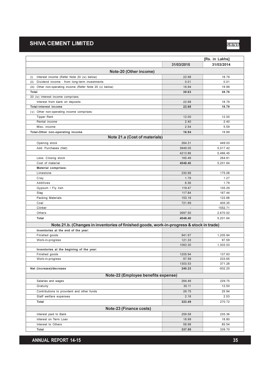|                                                                                          |            | [Rs. in Lakhs] |
|------------------------------------------------------------------------------------------|------------|----------------|
|                                                                                          | 31/03/2015 | 31/03/2014     |
| Note-20 (Other income)                                                                   |            |                |
| Interest income (Refer Note 20 (iv) below)<br>(i)                                        | 22.68      | 18.79          |
| Dividend income : from long-term investments<br>(ii)                                     | 0.01       | 0.01           |
| Other non-operating income (Refer Note 20 (v) below)<br>(iii)                            | 16.94      | 19.99          |
| Total                                                                                    | 39.63      | 38.78          |
| 20 (iv) Interest income comprises:                                                       |            |                |
| Interest from bank on deposits                                                           | 22.68      | 18.79          |
| <b>Total-interest income</b>                                                             | 22.68      | 18.79          |
| (v) Other non-operating income comprises:                                                |            |                |
| <b>Tipper Rent</b>                                                                       | 12.00      | 12.00          |
| Rental income                                                                            | 2.40       | 2.40           |
| Misc. income                                                                             | 2.54       | 5.59           |
| Total-Other non-operating income                                                         | 16.94      | 19.99          |
| Note 21.a (Cost of materials)                                                            |            |                |
| Opening stock                                                                            | 264.31     | 449.03         |
| Add: Purchases (Net)                                                                     | 3949.05    | 5,017.42       |
|                                                                                          | 4213.86    | 5,466.45       |
| Less: Closing stock                                                                      | 165.46     | 264.81         |
| Cost of material                                                                         | 4048.40    | 5,201.64       |
| <b>Material comprises:</b>                                                               |            |                |
| Limestone                                                                                | 230.68     | 175.08         |
| Clay                                                                                     | 1.79       | 1.27           |
| Additives                                                                                | 6.36       | 1.79           |
| Gypsum / Fly Ash                                                                         | 119.47     | 105.29         |
| Slag                                                                                     | 117.84     | 167.44         |
| Packing Materials                                                                        | 153.18     | 122.68         |
| Coal                                                                                     | 721.69     | 405.35         |
| Clinker                                                                                  |            | 1552.71        |
| Others                                                                                   | 2697.50    | 2,670.02       |
| Total                                                                                    | 4048.40    | 5,201.64       |
| Note.21.b. (Changes in inventories of finished goods, work-in-progress & stock in trade) |            |                |
| Inventories at the end of the year:                                                      |            |                |
| Finished goods                                                                           | 941.97     | 1,205.94       |
| Work-in-progress                                                                         | 121.33     | 97.59          |
| Inventories at the begining of the year:                                                 | 1063.30    | 1,303.53       |
| Finished goods                                                                           | 1205.94    | 137.63         |
| Work-in-progress                                                                         | 97.59      | 233.65         |
|                                                                                          | 1303.53    | 371.28         |
| Net (increase)/decrease                                                                  | 240.23     | $-932.25$      |
| Note-22 (Employee benefits expense)                                                      |            |                |
| Salaries and wages                                                                       | 264.46     | 229.75         |
| Gratuity                                                                                 | 30.11      | 12.50          |
| Contributions to provident and other funds                                               | 26.75      | 25.94          |
| Staff welfare expenses                                                                   | 2.18       | 2.53           |
| Total                                                                                    | 323.49     | 270.72         |
|                                                                                          |            |                |
| Note-23 (Finance costs)                                                                  |            |                |
| Interest paid to Bank                                                                    | 259.58     | 235.36         |
| Interest on Term Loan                                                                    | 18.99      | 18.80          |
| Interest to Others                                                                       | 58.98      | 85.54          |
| Total                                                                                    | 337.55     | 339.70         |

**SHIVA**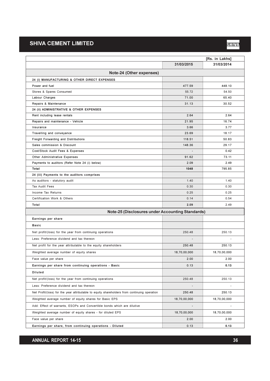|                                                                                              |              | [Rs. in Lakhs] |  |
|----------------------------------------------------------------------------------------------|--------------|----------------|--|
|                                                                                              | 31/03/2015   | 31/03/2014     |  |
| Note-24 (Other expenses)                                                                     |              |                |  |
| 24 (i) MANUFACTURING & OTHER DIRECT EXPENSES                                                 |              |                |  |
| Power and fuel                                                                               | 477.59       | 448.10         |  |
| Stores & Spares Consumed                                                                     | 55.72        | 54.50          |  |
| Labour Charges                                                                               | 71.00        | 65.40          |  |
| Repairs & Maintenance                                                                        | 31.13        | 30.52          |  |
| 24 (ii) ADMINISTRATIVE & OTHER EXPENSES                                                      |              |                |  |
| Rent including lease rentals                                                                 | 2.64         | 2.64           |  |
| Repairs and maintenance - Vehicle                                                            | 21.95        | 16.74          |  |
| Insurance                                                                                    | 3.66         | 3.77           |  |
| Travelling and conveyance                                                                    | 23.69        | 18.17          |  |
| Freight Forwarding and Distributions                                                         | 118.51       | 50.83          |  |
| Sales commission & Discount                                                                  | 148.36       | 29.17          |  |
| Cost/Stock Audit Fees & Expenses                                                             |              | 0.42           |  |
| Other Administrative Expenses                                                                | 91.62        | 73.11          |  |
| Payments to auditors (Refer Note 24 (i) below)                                               | 2.09         | 2.49           |  |
| Total                                                                                        | 1048         | 795.85         |  |
| 24 (iii) Payments to the auditors comprises                                                  |              |                |  |
| As auditors - statutory audit                                                                | 1.40         | 1.40           |  |
| <b>Tax Audit Fees</b>                                                                        | 0.30         | 0.30           |  |
| Income Tax Returns                                                                           | 0.25         | 0.25           |  |
| Certification Work & Others                                                                  | 0.14         | 0.54           |  |
| Total                                                                                        | 2.09         | 2.49           |  |
| <b>Note-25 (Disclosures under Accounting Standards)</b>                                      |              |                |  |
| Earnings per share                                                                           |              |                |  |
| <b>Basic</b>                                                                                 |              |                |  |
| Net profit/(loss) for the year from continuing operations                                    | 250.48       | 250.13         |  |
| Less: Preference dividend and tax thereon                                                    |              |                |  |
| Net profit for the year attributable to the equity shareholders                              | 250.48       | 250.13         |  |
| Weighted average number of equity shares                                                     | 18,70,00,000 | 18,70,00,000   |  |
| Face value per share                                                                         | 2.00         | 2.00           |  |
| Earnings per share from continuing operations - Basic                                        | 0.13         | 0.13           |  |
| Diluted                                                                                      |              |                |  |
| Net profit/(loss) for the year from continuing operations                                    | 250.48       | 250.13         |  |
| Less: Preference dividend and tax thereon                                                    |              |                |  |
| Net Profit/(loss) for the year attributable to equity shareholders from continuing operation | 250.48       | 250.13         |  |
| Weighted average number of equity shares for Basic EPS                                       | 18,70,00,000 | 18,70,00,000   |  |
| Add: Effect of warrants, ESOPs and Convertible bonds which are dilutive                      |              |                |  |
| Weighted average number of equity shares - for diluted EPS                                   | 18,70,00,000 | 18,70,00,000   |  |
| Face value per share                                                                         | 2.00         | 2.00           |  |
| Earnings per share, from continuing operations - Diluted                                     | 0.13         | 0.13           |  |

# ANNUAL REPORT 14-15 36

**SHIVA**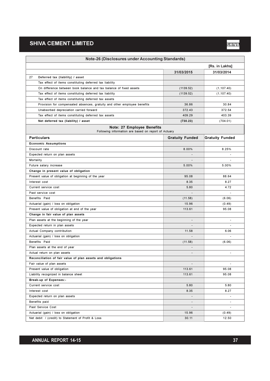| Note-26 (Disclosures under Accounting Standards)                                   |                          |                          |
|------------------------------------------------------------------------------------|--------------------------|--------------------------|
|                                                                                    |                          | [Rs. in Lakhs]           |
|                                                                                    | 31/03/2015               | 31/03/2014               |
| 27<br>Deferred tax (liability) / asset                                             |                          |                          |
| Tax effect of items constituting deferred tax liability                            |                          |                          |
| On difference between book balance and tax balance of fixed assets                 | (1139.52)                | (1, 107.40)              |
| Tax effect of items constituting deferred tax liability                            | (1139.52)                | (1, 107.40)              |
| Tax effect of items constituting deferred tax assets                               |                          |                          |
| Provision for compensated absences, gratuity and other employee benefits           | 36.86                    | 30.84                    |
| Unabsorbed depreciation carried forward                                            | 372.43                   | 372.54                   |
| Tax effect of items constituting deferred tax assets                               | 409.29                   | 403.39                   |
| Net deferred tax (liability) / asset                                               | (730.23)                 | (704.01)                 |
| Note: 27 Employee Benefits<br>Following information are based on report of Actuary |                          |                          |
| Particulars                                                                        | <b>Gratuity Funded</b>   | <b>Gratuity Funded</b>   |
| <b>Economic Assumptions</b>                                                        |                          |                          |
| Discount rate                                                                      | 8.00%                    | 8.25%                    |
| Expected return on plan assets                                                     | $\overline{\phantom{a}}$ | $\blacksquare$           |
| Mortality                                                                          |                          |                          |
| Future salary increase                                                             | 5.00%                    | 5.00%                    |
| Change in present value of obligation                                              |                          |                          |
| Present value of obligation at beginning of the year                               | 95.08                    | 88.64                    |
| Interest cost                                                                      | 8.35                     | 8.27                     |
| Current service cost                                                               | 5.80                     | 4.72                     |
| Past service cost                                                                  | $\overline{\phantom{a}}$ |                          |
| Benefits Paid                                                                      | (11.58)                  | (6.06)                   |
| Actuarial (gain) / loss on obligation                                              | 15.96                    | (0.49)                   |
| Present value of obligation at end of the year                                     | 113.61                   | 95.08                    |
| Change in fair value of plan assets                                                |                          |                          |
| Plan assets at the beginning of the year                                           |                          |                          |
| Expected return in plan assets                                                     |                          |                          |
| Actual Company contribution                                                        | 11.58                    | 6.06                     |
| Actuarial (gain) / loss on obligation                                              |                          |                          |
| Benefits Paid                                                                      | (11.58)                  | (6.06)                   |
| Plan assets at the end of year                                                     |                          |                          |
| Actual return on plan assets                                                       |                          | $\overline{\phantom{a}}$ |
| Reconciliation of fair value of plan assets and obligations                        |                          |                          |
| Fair value of plan assets                                                          | $\overline{\phantom{a}}$ | $\overline{\phantom{a}}$ |
| Present value of obligation                                                        | 113.61                   | 95.08                    |
| Liability recognized in balance sheet                                              | 113.61                   | 95.08                    |
| Break-up of Expenses:-                                                             |                          |                          |
| Current service cost                                                               | 5.80                     | 5.80                     |
| Interest cost                                                                      | 8.35                     | 8.27                     |
| Expected return on plan assets                                                     | $\overline{\phantom{a}}$ | $\overline{\phantom{a}}$ |
| Benefits paid                                                                      | $\overline{\phantom{a}}$ | $\overline{\phantom{a}}$ |
| Past Service Cost                                                                  | $\overline{\phantom{a}}$ | $\overline{\phantom{a}}$ |
| Actuarial (gain) / loss on obligation                                              | 15.96                    | (0.49)                   |
| Net debit / (credit) to Statement of Profit & Loss                                 | 30.11                    | 12.50                    |
|                                                                                    |                          |                          |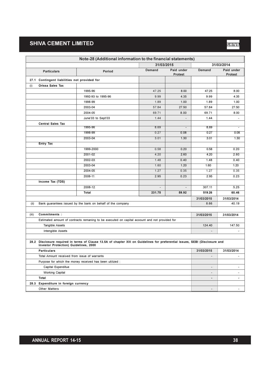# SHIVA

|       | Note-28 (Additional information to the financial statements) |                                                                                                                               |            |                              |                          |                              |
|-------|--------------------------------------------------------------|-------------------------------------------------------------------------------------------------------------------------------|------------|------------------------------|--------------------------|------------------------------|
|       |                                                              |                                                                                                                               | 31/03/2015 |                              |                          | 31/03/2014                   |
|       | <b>Particulars</b>                                           | Period                                                                                                                        | Demand     | Paid under<br><b>Protest</b> | Demand                   | Paid under<br><b>Protest</b> |
|       | 27.1 Contingent liabilities not provided for                 |                                                                                                                               |            |                              |                          |                              |
| (i)   | Orissa Sales Tax                                             |                                                                                                                               |            |                              |                          |                              |
|       |                                                              | 1995-96                                                                                                                       | 47.25      | 8.00                         | 47.25                    | 8.00                         |
|       |                                                              | 1992-93 to 1995-96                                                                                                            | 9.99       | 4.35                         | 9.99                     | 4.35                         |
|       |                                                              | 1998-99                                                                                                                       | 1.89       | 1.00                         | 1.89                     | 1.00                         |
|       |                                                              | 2003-04                                                                                                                       | 57.84      | 27.50                        | 57.84                    | 27.50                        |
|       |                                                              | 2004-05                                                                                                                       | 69.71      | 8.00                         | 69.71                    | 8.00                         |
|       |                                                              | June'03 to Sept'03                                                                                                            | 1.44       | $\overline{\phantom{a}}$     | 1.44                     |                              |
|       | <b>Central Sales Tax</b>                                     |                                                                                                                               |            |                              |                          |                              |
|       |                                                              | 1995-96                                                                                                                       | 8.69       | $\overline{\phantom{a}}$     | 8.69                     |                              |
|       |                                                              | 1998-99                                                                                                                       | 0.27       | 0.08                         | 0.27                     | 0.08                         |
|       |                                                              | 2003-04                                                                                                                       | 3.01       | 1.30                         | 3.01                     | 1.30                         |
|       | <b>Entry Tax</b>                                             |                                                                                                                               |            |                              |                          |                              |
|       |                                                              | 1999-2000                                                                                                                     | 0.58       | 0.20                         | 0.58                     | 0.20                         |
|       |                                                              | 2001-02                                                                                                                       | 4.20       | 2.60                         | 4.20                     | 2.60                         |
|       |                                                              | 2002-03                                                                                                                       | 1.48       | 0.40                         | 1.48                     | 0.40                         |
|       |                                                              | 2003-04                                                                                                                       | 1.60       | 1.20                         | 1.60                     | 1.20                         |
|       |                                                              | 2004-05                                                                                                                       | 1.27       | 0.35                         | 1.27                     | 0.35                         |
|       |                                                              | 2008-11                                                                                                                       | 2.95       | 0.23                         | 2.95                     | 0.23                         |
|       | Income Tax (TDS)                                             |                                                                                                                               |            |                              |                          |                              |
|       |                                                              | 2008-12                                                                                                                       |            |                              | 307.11                   | 5.25                         |
|       |                                                              | Total                                                                                                                         | 231.75     | 59.92                        | 519.26                   | 60.46                        |
|       |                                                              |                                                                                                                               |            |                              | 31/03/2015               | 31/03/2014                   |
| (ii)  |                                                              | Bank guarantees issued by the bank on behalf of the company                                                                   |            |                              | 8.66                     | 40.19                        |
|       |                                                              |                                                                                                                               |            |                              |                          |                              |
| (iii) | Commitments :                                                |                                                                                                                               |            |                              | 31/03/2015               | 31/03/2014                   |
|       |                                                              | Estimated amount of contracts remaning to be executed on capital acoount and not provided for                                 |            |                              |                          |                              |
|       | Tangible Assets                                              |                                                                                                                               |            |                              | 124.40                   | 147.50                       |
|       | Intengible Assets                                            |                                                                                                                               |            |                              | $\overline{\phantom{a}}$ | $\overline{\phantom{a}}$     |
|       |                                                              |                                                                                                                               |            |                              |                          |                              |
|       | <b>Investor Protection) Guidelines, 2000</b>                 | 28.2 Disclosure required in terms of Clause 13.5A of chapter XIII on Guidelines for preferential issues, SEBI (Disclosure and |            |                              |                          |                              |
|       | Particulars                                                  |                                                                                                                               |            |                              | 31/03/2015               | 31/03/2014                   |
|       | Total Amount received from issue of warrants                 |                                                                                                                               |            |                              |                          | $\blacksquare$               |
|       | Purpose for which the money received has been utilized :     |                                                                                                                               |            |                              |                          |                              |
|       | Capital Expenditue                                           |                                                                                                                               |            |                              | $\overline{a}$           | $\overline{\phantom{a}}$     |
|       | <b>Working Capital</b>                                       |                                                                                                                               |            |                              | $\overline{\phantom{a}}$ | $\overline{a}$               |
|       | Total                                                        |                                                                                                                               |            |                              | $\blacksquare$           | $\blacksquare$               |
|       | 28.3 Expenditure in foreign currency                         |                                                                                                                               |            |                              |                          |                              |
|       | <b>Other Matters</b>                                         |                                                                                                                               |            |                              |                          | $\overline{a}$               |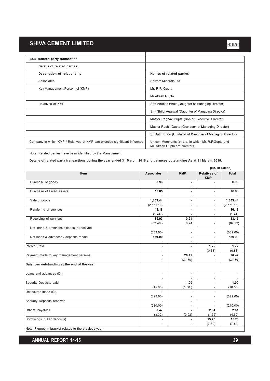| 28.4 Related party transaction                                             |                                                                                         |
|----------------------------------------------------------------------------|-----------------------------------------------------------------------------------------|
| Details of related parties:                                                |                                                                                         |
| Description of relationship                                                | Names of related parties                                                                |
| Associates                                                                 | Shivom Minerals Ltd.                                                                    |
| Key Management Personnel (KMP)                                             | Mr. R.P. Gupta                                                                          |
|                                                                            | Mr. Akash Gupta                                                                         |
| Relatives of KMP                                                           | Smt Anubha Bhoir (Daughter of Managing Director)                                        |
|                                                                            | Smt Shilpi Agarwal (Daughter of Managing Director)                                      |
|                                                                            | Master Raghav Gupta (Son of Executive Director)                                         |
|                                                                            | Master Rachit Gupta (Grandson of Managing Director)                                     |
|                                                                            | Sri Jatin Bhoir (Husband of Daughter of Managing Director)                              |
| Company in which KMP / Relatives of KMP can exercise significant influence | Unicon Merchants (p) Ltd. In which Mr. R.P. Gupta and<br>Mr. Akash Gupta are directors. |
|                                                                            |                                                                                         |

 $\mathbf{I}$ 

Note: Related parties have been identified by the Management.

Details of related party transactions during the year ended 31 March, 2015 and balances outstanding As at 31 March, 2015:

|                                                          |                          |                          | [Rs. in Lakhs]                    |              |
|----------------------------------------------------------|--------------------------|--------------------------|-----------------------------------|--------------|
| Item                                                     | <b>Associates</b>        | <b>KMP</b>               | <b>Relatives of</b><br><b>KMP</b> | <b>Total</b> |
| Purchase of goods                                        | 6.93                     | $\overline{\phantom{a}}$ |                                   | 6.93         |
| Purchase of Fixed Assets                                 | 16.85                    | $\overline{\phantom{a}}$ | $\overline{\phantom{0}}$          | 16.85        |
|                                                          |                          |                          | $\overline{\phantom{0}}$          |              |
| Sale of goods                                            | 1,853.44                 | $\overline{\phantom{a}}$ | $\overline{\phantom{a}}$          | 1,853.44     |
|                                                          | (2, 571.13)              | $\overline{\phantom{a}}$ | $\overline{\phantom{a}}$          | (2, 571.13)  |
| Rendering of services                                    | 16.18                    | $\overline{\phantom{a}}$ | $\overline{\phantom{0}}$          | 16.18        |
|                                                          | (1.44)                   |                          |                                   | (1.44)       |
| Receiving of services                                    | 82.93                    | 0.24                     | $\overline{a}$                    | 83.17        |
|                                                          | (82.48)                  | 0.24                     |                                   | (82.72)      |
| Net loans & advances / deposits received                 |                          |                          |                                   |              |
|                                                          | (539.00)                 | $\blacksquare$           |                                   | (539.00)     |
| Net loans & advances / deposits repaid                   | 539.00                   | $\overline{\phantom{a}}$ | Ĭ.                                | 539.00       |
|                                                          |                          | $\blacksquare$           |                                   |              |
| Interest Paid<br>Payment made to key management personal |                          | $\blacksquare$           | 1.72                              | 1.72         |
|                                                          | $\overline{\phantom{a}}$ |                          | (0.88)                            | (0.88)       |
|                                                          | $\overline{\phantom{a}}$ | 26.42                    | $\overline{\phantom{a}}$          | 26.42        |
|                                                          |                          | (31.59)                  |                                   | (31.59)      |
| Balances outstanding at the end of the year              |                          |                          |                                   |              |
| Loans and advances (Dr)                                  | $\overline{a}$           | $\sim$                   | $\overline{a}$                    |              |
|                                                          |                          |                          |                                   |              |
| Security Deposits paid                                   |                          | 1.00                     |                                   | 1.00         |
|                                                          | (15.00)                  | (1.00)                   |                                   | (16.00)      |
| Unsecured loans (Cr)                                     |                          | $\overline{\phantom{a}}$ | $\overline{a}$                    |              |
|                                                          | (329.00)                 |                          |                                   | (329.00)     |
| Security Deposits received                               |                          | $\blacksquare$           | $\overline{\phantom{0}}$          |              |
|                                                          | (210.00)                 | $\overline{\phantom{a}}$ |                                   | (210.00)     |
| Others Payables                                          | 0.47                     |                          | 2.34                              | 2.81         |
|                                                          | (3.32)                   | (0.02)                   | (1.35)                            | (4.69)       |
| Borrowings (public deposits)                             |                          |                          | 15.73                             | 15.73        |
|                                                          |                          |                          | (7.82)                            | (7.82)       |
| Note: Figures in bracket relates to the previous year    |                          |                          |                                   |              |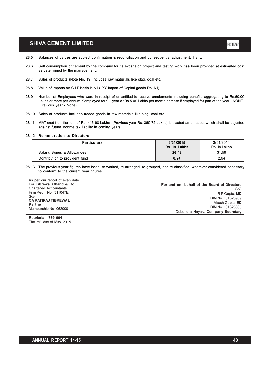- 28.5 Balances of parties are subject confirmation & reconciliation and consequential adjustment, if any.
- 28.6 Self consumption of cement by the company for its expansion project and testing work has been provided at estimated cost as determined by the management.
- 28.7 Sales of products (Note No. 19) includes raw materials like slag, coal etc.
- 28.8 Value of imports on C.I.F basis is Nil ( P.Y Import of Capital goods Rs. Nil)
- 28.9 Number of Employees who were in receipt of or entitled to receive emoluments including benefits aggregating to Rs.60.00 Lakhs or more per annum if employed for full year or Rs.5.00 Lakhs per month or more if employed for part of the year - NONE. (Previous year - None)
- 28.10 Sales of products includes traded goods in raw materials like slag, coal etc.
- 28.11 MAT credit entitlement of Rs. 415.98 Lakhs (Previous year Rs. 360.72 Lakhs) is treated as an asset which shall be adjusted against future income tax liability in coming years.

### 28.12 Remuneration to Directors

| <b>Particulars</b>             | 3/31/2015<br>Rs. in Lakhs | 3/31/2014<br>Rs. in Lakhs |
|--------------------------------|---------------------------|---------------------------|
| Salary, Bonus & Allowances     | 26.42                     | 31.59                     |
| Contribution to provident fund | 0.24                      | 2.64                      |

28.13 The previous year figures have been re-worked, re-arranged, re-grouped, and re-classified, wherever considered necessary to conform to the current year figures.

| As per our report of even date        |                                             |
|---------------------------------------|---------------------------------------------|
| For Tibrewal Chand & Co.              | For and on behalf of the Board of Directors |
| <b>Chartered Accountants</b>          | Sd/-                                        |
| Firm Regn. No: 311047E                | R P Gupta, MD                               |
| Sd/-                                  | DIN No.: 01325989                           |
| <b>CA RATIRAJ TIBREWAL</b><br>Partner | Akash Gupta, ED                             |
| Membership No. 062000                 | DIN No.: 01326005                           |
|                                       | Debendra Nayak, Company Secretary           |
| Rourkela - 769 004                    |                                             |

The 29<sup>th</sup> day of May, 2015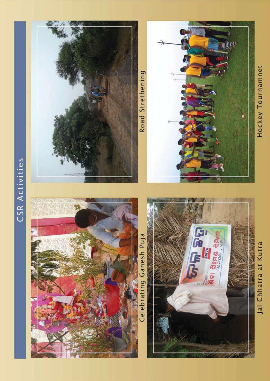**CSR Activities** 

d.

್ಡಲ



Jal Chhatra at Kutra

Hockey Tournamnet

**WILLIAM**